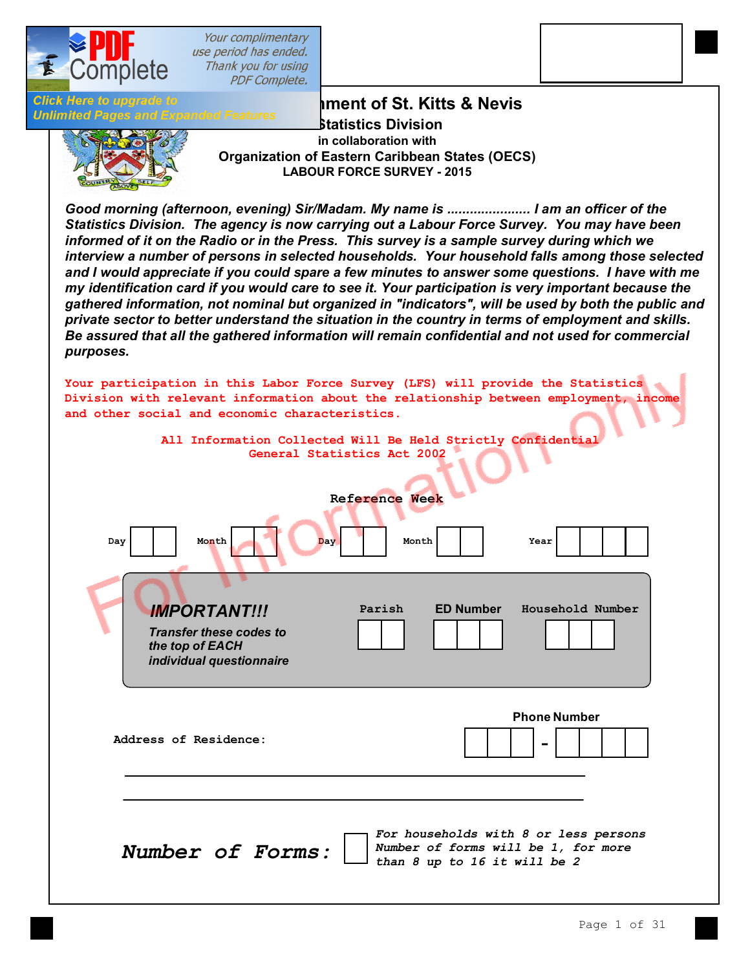

Your complimentary use period has ended. Thank you for using **PDF Complete.** 

**Click Here to upgrade to Unlimited Pages and E** 

**[The Govern](http://www.pdfcomplete.com/cms/hppl/tabid/108/Default.aspx?r=q8b3uige22)ment of St. Kitts & Nevis**<br>The Covernment of St. Kitts & Nevis **Statistics Division in collaboration with Organization of Eastern Caribbean States (OECS) LABOUR FORCE SURVEY - 2015**

*Good morning (afternoon, evening) Sir/Madam. My name is ...................... I am an officer of the Statistics Division. The agency is now carrying out a Labour Force Survey. You may have been informed of it on the Radio or in the Press. This survey is a sample survey during which we interview a number of persons in selected households. Your household falls among those selected and I would appreciate if you could spare a few minutes to answer some questions. I have with me my identification card if you would care to see it. Your participation is very important because the gathered information, not nominal but organized in "indicators", will be used by both the public and private sector to better understand the situation in the country in terms of employment and skills. Be assured that all the gathered information will remain confidential and not used for commercial purposes.*

**All Information Collected Will Be Held Strictly Confidential General Statistics Act 2002 Reference Week Day** | | Month Month Day | | Month | | Year **Parish ED Number Household Number Phone Number** - **Address of Residence:** *Number of Forms:*  **Month** *For households with 8 or less persons Number of forms will be 1, for more than 8 up to 16 it will be 2* **Your participation in this Labor Force Survey (LFS) will provide the Statistics Division with relevant information about the relationship between employment, income and other social and economic characteristics.** *IMPORTANT!!! Transfer these codes to the top of EACH individual questionnaire*

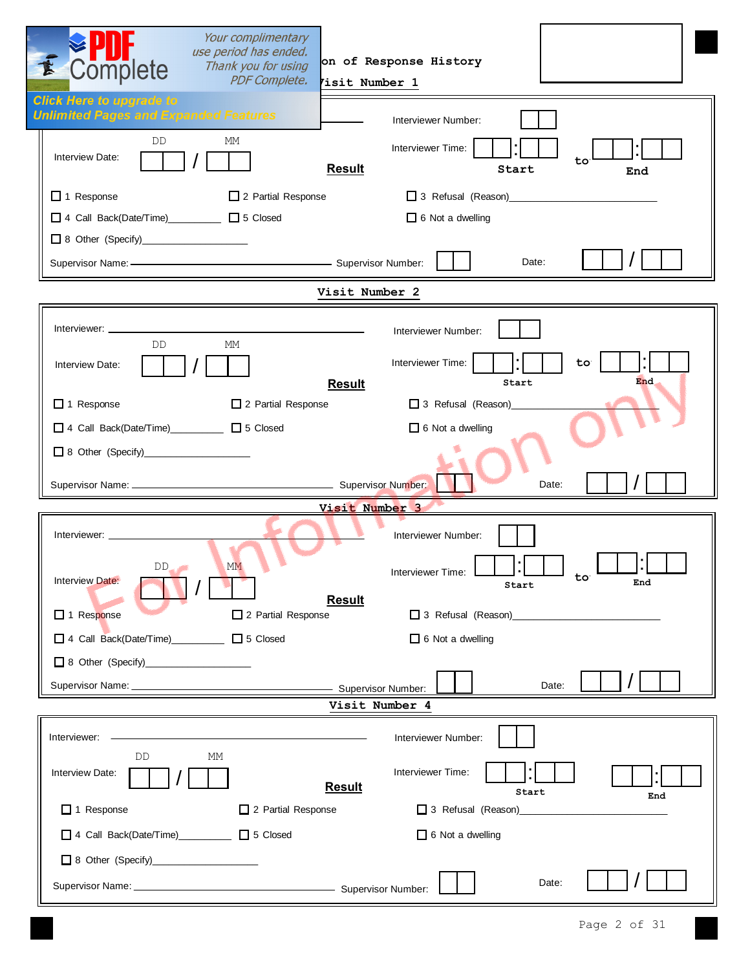| Your complimentary<br>use period has ended.<br>Thank you for using<br>Complete             | on of Response History                         |
|--------------------------------------------------------------------------------------------|------------------------------------------------|
| <b>PDF Complete.</b><br><b>Click Here to upgrade to</b>                                    | Visit Number 1                                 |
| <b>Unlimited Pages and Expanded Features</b>                                               | Interviewer Number:                            |
| DD<br>МM<br>Interview Date:<br><b>Result</b>                                               | Interviewer Time:<br>to<br>Start<br>End        |
| □ 1 Response<br>2 Partial Response                                                         |                                                |
| □ 4 Call Back(Date/Time)___________ □ 5 Closed                                             | $\Box$ 6 Not a dwelling                        |
|                                                                                            |                                                |
| Supervisor Name: - Supervisor Number:                                                      | Date:                                          |
|                                                                                            | Visit Number 2                                 |
| Interviewer: ____________<br>the control of the control of the control of                  | Interviewer Number:                            |
| DD.<br>МM<br>Interview Date:                                                               | Interviewer Time:<br>to <sup>-</sup><br>End    |
| <b>Result</b><br>$\Box$ 1 Response<br>2 Partial Response                                   | Start<br>3 Refusal (Reason)                    |
| □ 4 Call Back(Date/Time)<br>□ 5 Closed                                                     | $\Box$ 6 Not a dwelling                        |
|                                                                                            |                                                |
|                                                                                            | Date:                                          |
|                                                                                            | Visit Number 3                                 |
|                                                                                            | Interviewer Number:                            |
| $DD_{\text{max}}$<br><b>MM</b><br>Interview Date:<br><b>Result</b>                         | Interviewer Time:<br><u>ւս</u><br>End<br>Start |
| □ 1 Response<br>2 Partial Response                                                         |                                                |
| □ 4 Call Back(Date/Time)__________ □ 5 Closed                                              | $\Box$ 6 Not a dwelling                        |
|                                                                                            |                                                |
|                                                                                            | Date:                                          |
|                                                                                            | Visit Number 4                                 |
| the control of the control of the control of the control of<br>Interviewer: ______________ | Interviewer Number:                            |
| МM<br>DD.<br>Interview Date:<br><b>Result</b>                                              | Interviewer Time:<br>Start<br>End              |
| $\Box$ 1 Response<br>2 Partial Response                                                    | 3 Refusal (Reason)_______________              |
| □ 4 Call Back(Date/Time)___________ □ 5 Closed                                             | $\Box$ 6 Not a dwelling                        |
| 8 Other (Specify)______________________                                                    |                                                |
|                                                                                            | Date:                                          |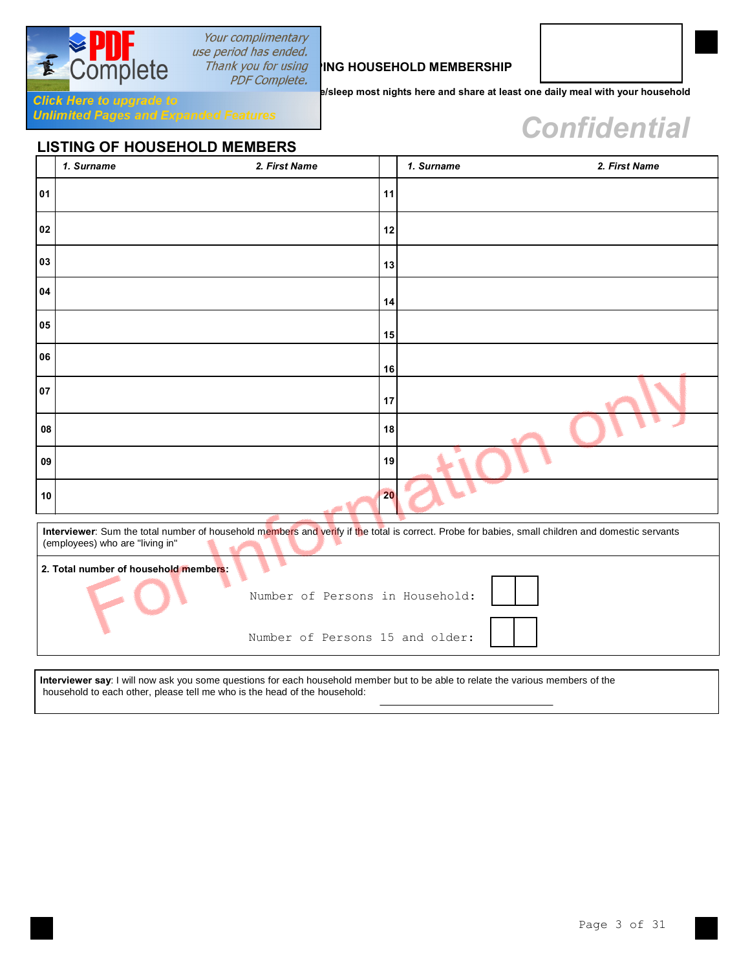

## Your complimentary use period has ended.

## **Thank you for using NING HOUSEHOLD MEMBERSHIP**<br>*PDF Complete.*

**e/sleep most nights here and share at least one daily meal with your household** 

# $$

**Click Here to upgrade to Senanded Features**<br>**Unlimited Pages and Expanded Features** 

## **LISTING OF HOUSEHOLD MEMBERS**

|    | 1. Surname                                                                                                                                                                           | 2. First Name                   |    | 1. Surname | 2. First Name |  |  |  |  |  |  |
|----|--------------------------------------------------------------------------------------------------------------------------------------------------------------------------------------|---------------------------------|----|------------|---------------|--|--|--|--|--|--|
| 01 |                                                                                                                                                                                      |                                 | 11 |            |               |  |  |  |  |  |  |
| 02 |                                                                                                                                                                                      |                                 | 12 |            |               |  |  |  |  |  |  |
| 03 |                                                                                                                                                                                      |                                 | 13 |            |               |  |  |  |  |  |  |
| 04 |                                                                                                                                                                                      |                                 | 14 |            |               |  |  |  |  |  |  |
| 05 |                                                                                                                                                                                      |                                 | 15 |            |               |  |  |  |  |  |  |
| 06 |                                                                                                                                                                                      |                                 | 16 |            |               |  |  |  |  |  |  |
| 07 |                                                                                                                                                                                      |                                 | 17 |            |               |  |  |  |  |  |  |
| 08 |                                                                                                                                                                                      |                                 | 18 |            |               |  |  |  |  |  |  |
| 09 |                                                                                                                                                                                      |                                 | 19 |            |               |  |  |  |  |  |  |
| 10 |                                                                                                                                                                                      |                                 | 20 |            |               |  |  |  |  |  |  |
|    | Interviewer: Sum the total number of household members and verify if the total is correct. Probe for babies, small children and domestic servants<br>(employees) who are "living in" |                                 |    |            |               |  |  |  |  |  |  |
|    | 2. Total number of household members:                                                                                                                                                |                                 |    |            |               |  |  |  |  |  |  |
|    |                                                                                                                                                                                      | Number of Persons in Household: |    |            |               |  |  |  |  |  |  |

Number of Persons 15 and older:

**Interviewer say**: I will now ask you some questions for each household member but to be able to relate the various members of the household to each other, please tell me who is the head of the household: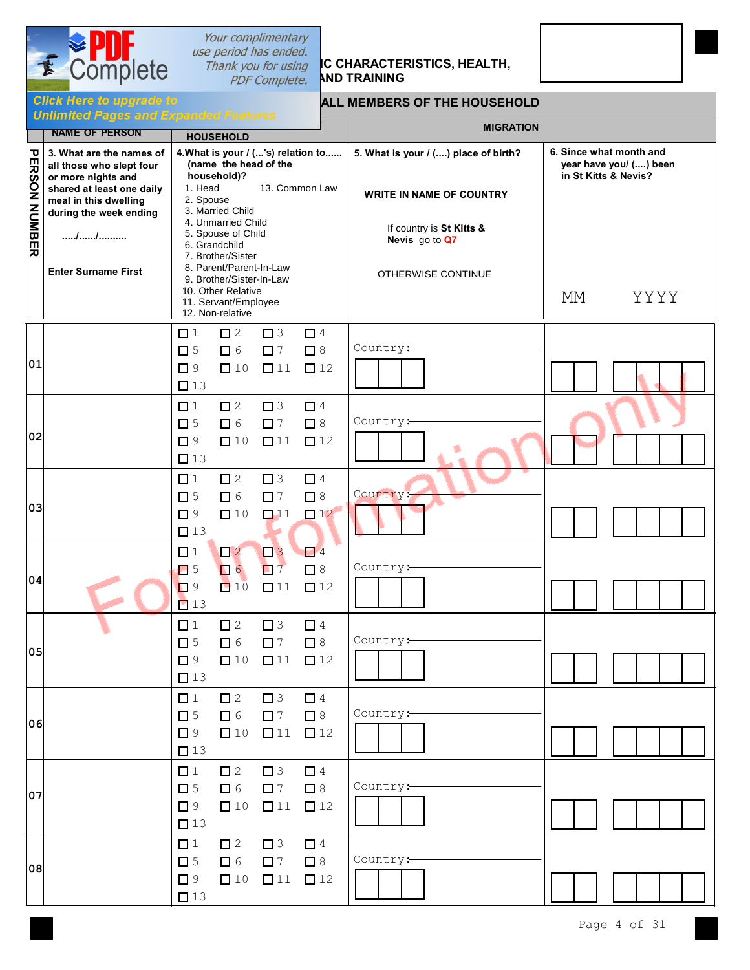

## *Sour complimentary<br>
Section has ended.***<br>
Thank you for using <b>IC CHARACTERISTICS, HEALTH, Thank you for using IC CHARACTER**<br>*PDF Complete.* AND TRAINING



### **Click Here to upgrade to ALL MEMBERS OF THE HOUSEHOLD**

|               | опшинст газса ини барин<br><b>NAME OF PERSON</b>                                                                                                           | <b>HOUSEHOLD</b>                                                                                                                             |                                      |                                      |                                      | <b>MIGRATION</b>                                                        |    |                                                                           |
|---------------|------------------------------------------------------------------------------------------------------------------------------------------------------------|----------------------------------------------------------------------------------------------------------------------------------------------|--------------------------------------|--------------------------------------|--------------------------------------|-------------------------------------------------------------------------|----|---------------------------------------------------------------------------|
| PERSON NUMBER | 3. What are the names of<br>all those who slept four<br>or more nights and<br>shared at least one daily<br>meal in this dwelling<br>during the week ending | 4. What is your / ('s) relation to<br>(name the head of the<br>household)?<br>1. Head<br>2. Spouse<br>3. Married Child<br>4. Unmarried Child |                                      |                                      | 13. Common Law                       | 5. What is your / () place of birth?<br><b>WRITE IN NAME OF COUNTRY</b> |    | 6. Since what month and<br>year have you/ () been<br>in St Kitts & Nevis? |
|               | 111                                                                                                                                                        | 5. Spouse of Child<br>6. Grandchild                                                                                                          |                                      |                                      |                                      | If country is St Kitts &<br>Nevis go to Q7                              |    |                                                                           |
|               | <b>Enter Surname First</b>                                                                                                                                 | 7. Brother/Sister<br>8. Parent/Parent-In-Law<br>9. Brother/Sister-In-Law<br>10. Other Relative<br>11. Servant/Employee<br>12. Non-relative   |                                      |                                      |                                      | OTHERWISE CONTINUE                                                      | МM | YYYY                                                                      |
| 01            |                                                                                                                                                            | $\Box$ 1<br>$\Box$ 5<br>$\Box$ 9<br>$\square$ 13                                                                                             | $\square$ 2<br>$\Box$ 6<br>$\Box$ 10 | $\Box$ 3<br>$\Box$ 7<br>$\square$ 11 | $\Box$ 4<br>$\Box$ 8<br>$\square$ 12 | Country:                                                                |    |                                                                           |
| 02            |                                                                                                                                                            | $\Box$ 1<br>$\square$ 5<br>$\Box$ 9<br>$\square$ 13                                                                                          | $\square$ 2<br>$\Box$ 6<br>$\Box$ 10 | $\Box$ 3<br>$\Box$ 7<br>$\Box$ 11    | $\Box$ 4<br>$\Box$ 8<br>$\square$ 12 | Country:                                                                |    |                                                                           |
| 03            |                                                                                                                                                            | $\Box$ 1<br>$\square$ 5<br>$\Box$ 9<br>$\square$ 13                                                                                          | $\square$ 2<br>$\Box$ 6<br>$\Box$ 10 | $\Box$ 3<br>$\Box$ 7<br>$\square$ 11 | $\Box$ 4<br>$\Box$ 8<br>$\Box$ 12    | Country:                                                                |    |                                                                           |
| 04            |                                                                                                                                                            | $\Box$ 1<br>$\Box$ 5<br>$\Box$ 9<br>$\Box$ 13                                                                                                | $\Box$ 2<br>$\Box$ 6<br>10           | $\Box$ 3<br>$\Box$ 7<br>$\Box$ 11    | $\Box$ 4<br>$\Box$ 8<br>$\square$ 12 | Country:                                                                |    |                                                                           |
| 05            |                                                                                                                                                            | $\Box$ 1<br>$\square$ 5<br>$\Box$ 9<br>$\Box$ 13                                                                                             | $\square$ 2<br>$\Box$ 6<br>$\Box$ 10 | $\Box$ 3<br>$\Box$ 7<br>$\square$ 11 | $\Box$ 4<br>$\Box$ 8<br>$\square$ 12 | Country:                                                                |    |                                                                           |
| 06            |                                                                                                                                                            | $\Box$ 1<br>$\square$ 5<br>$\Box$ 9<br>$\square$ 13                                                                                          | $\square$ 2<br>$\Box$ 6<br>$\Box$ 10 | $\Box$ 3<br>$\Box$ 7<br>$\Box$ 11    | $\Box$ 4<br>$\Box$ 8<br>$\square$ 12 | Country:                                                                |    |                                                                           |
| 07            |                                                                                                                                                            | $\Box$ 1<br>$\square$ 5<br>$\Box$ 9<br>$\square$ 13                                                                                          | $\square$ 2<br>$\Box$ 6<br>$\Box$ 10 | $\Box$ 3<br>$\Box$ 7<br>$\Box$ 11    | $\Box$ 4<br>$\Box$ 8<br>$\square$ 12 | Country:                                                                |    |                                                                           |
| 08            |                                                                                                                                                            | $\Box$ 1<br>$\square$ 5<br>$\Box$ 9<br>$\square$ 13                                                                                          | $\square$ 2<br>$\Box$ 6<br>$\Box$ 10 | $\Box$ 3<br>$\Box$ 7<br>$\Box$ 11    | $\Box$ 4<br>$\Box$ 8<br>$\square$ 12 | Country:                                                                |    |                                                                           |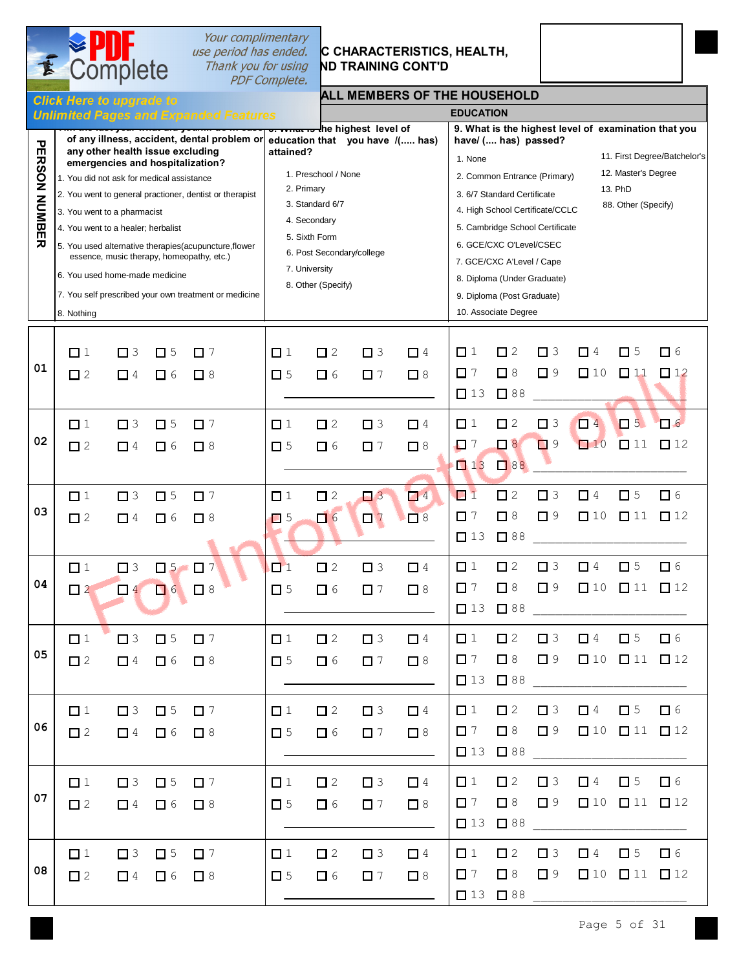# Complete

# *Your complimentary***<br>** *use period has ended.* **<b>C CHARACTERISTICS,**<br>
Thank you for using **ND TRAINING CONT'D**<br> *PDF Complete.*

# **C CHARACTERISTICS, HEALTH,**

### **ALL MEMBERS OF THE HOUSEHOLD**

|                          |                                                                                                                                                                                                    |                      |                                  | <b>Unlimited Pages and Expanded Features</b>                                                                                                                                                                                                               |                                                                                                                                                                                                                                                                                                      |                         |                         |                      | <b>EDUCATION</b>                                                                                                                                                                                                                                                                                                                                                                                                                                                   |                                             |                         |                                                                |                                                                                        |                       |
|--------------------------|----------------------------------------------------------------------------------------------------------------------------------------------------------------------------------------------------|----------------------|----------------------------------|------------------------------------------------------------------------------------------------------------------------------------------------------------------------------------------------------------------------------------------------------------|------------------------------------------------------------------------------------------------------------------------------------------------------------------------------------------------------------------------------------------------------------------------------------------------------|-------------------------|-------------------------|----------------------|--------------------------------------------------------------------------------------------------------------------------------------------------------------------------------------------------------------------------------------------------------------------------------------------------------------------------------------------------------------------------------------------------------------------------------------------------------------------|---------------------------------------------|-------------------------|----------------------------------------------------------------|----------------------------------------------------------------------------------------|-----------------------|
| <b>PERSON NUMBE</b><br>刀 | any other health issue excluding<br>1. You did not ask for medical assistance<br>3. You went to a pharmacist<br>4. You went to a healer; herbalist<br>6. You used home-made medicine<br>8. Nothing |                      |                                  | emergencies and hospitalization?<br>2. You went to general practioner, dentist or therapist<br>5. You used alternative therapies(acupuncture, flower<br>essence, music therapy, homeopathy, etc.)<br>7. You self prescribed your own treatment or medicine | <del>o. what is t</del> he highest level of<br>of any illness, accident, dental problem or education that you have /( has)<br>attained?<br>1. Preschool / None<br>2. Primary<br>3. Standard 6/7<br>4. Secondary<br>5. Sixth Form<br>6. Post Secondary/college<br>7. University<br>8. Other (Specify) |                         |                         |                      | 9. What is the highest level of examination that you<br>have/ ( has) passed?<br>11. First Degree/Batchelor's<br>1. None<br>12. Master's Degree<br>2. Common Entrance (Primary)<br>13. PhD<br>3. 6/7 Standard Certificate<br>88. Other (Specify)<br>4. High School Certificate/CCLC<br>5. Cambridge School Certificate<br>6. GCE/CXC O'Level/CSEC<br>7. GCE/CXC A'Level / Cape<br>8. Diploma (Under Graduate)<br>9. Diploma (Post Graduate)<br>10. Associate Degree |                                             |                         |                                                                |                                                                                        |                       |
| 01                       | $\Box$ 1<br>$\Box$ 2                                                                                                                                                                               | $\Box$ 3<br>$\Box$ 4 | $\square$ 5<br>$\Box$ 6          | $\Box$ 7<br>$\Box$ 8                                                                                                                                                                                                                                       | $\Box$ 1<br>$\square$ 5                                                                                                                                                                                                                                                                              | $\Box$ 2<br>$\Box$ 6    | $\Box$ 3<br>$\square$ 7 | $\Box$ 4<br>$\Box$ 8 | $\Box$ 1<br>$\Box$ 7<br>$\Box$ 13                                                                                                                                                                                                                                                                                                                                                                                                                                  | $\square$ 2<br>$\square$ 8<br>$\square$ 88  | $\Box$ 3<br>$\Box$ 9    | $\Box$ 4<br>$\Box$ 10                                          | $\square$ 5<br>$\Box$ 11                                                               | $\Box$ 6<br>$\Box$ 12 |
| 02                       | $\Box$ 1<br>$\Box$ 2                                                                                                                                                                               | $\Box$ 3<br>$\Box$ 4 | $\square$ 5<br>$\Box$ 6          | $\square$ 7<br>$\square$ 8                                                                                                                                                                                                                                 | $\Box$ 1<br>$\square$ 5                                                                                                                                                                                                                                                                              | $\square$ 2<br>$\Box$ 6 | $\Box$ 3<br>$\square$ 7 | $\Box$ 4<br>$\Box$ 8 | $\Box$ 1<br>$\Box$ 7<br>$\Box$ 13                                                                                                                                                                                                                                                                                                                                                                                                                                  | $\square$ 2<br>$\Box$<br>38                 | $\square$ 3<br>$\Box$ 9 | $\Box$ 4<br>$\Box$ 10                                          | $\Box$ 5<br>$\Box$ 11                                                                  | $\Box$ 6<br>$\Box$ 12 |
| 03                       | $\Box$ 1<br>$\square$ 2                                                                                                                                                                            | $\Box$ 3<br>$\Box$ 4 | $\square$ 5<br>$\Box$ 6          | $\Box$ 7<br>$\square$ 8                                                                                                                                                                                                                                    | $\Box$ 1<br>$\Box$ 5                                                                                                                                                                                                                                                                                 | $\square$ 2<br>口6       | $\Box$ 3<br>$\Box$ 7    | $\Box$ 4<br>$\Box$ 8 | $\Box$ 1<br>$\Box$ 7<br>$\Box$ 13                                                                                                                                                                                                                                                                                                                                                                                                                                  | $\square$ 2<br>$\Box$ 8<br>$\Box$ 88        | $\Box$ 3<br>$\square$ 9 | $\Box$ 4<br>$\Box$ 10                                          | $\square$ 5<br>$\Box$ 11                                                               | $\Box$ 6<br>$\Box$ 12 |
| 04                       | $\Box$ 1<br>$\Box$ 2                                                                                                                                                                               | $\Box$ 3<br>$\Box$ 4 | $\Box$ 5<br>$\Box$ 6             | $\Box$ 7<br>$\Box$ 8                                                                                                                                                                                                                                       | $\Box$ 1<br>$\square$ 5                                                                                                                                                                                                                                                                              | $\square$ 2<br>$\Box$ 6 | $\Box$ 3<br>$\Box$ 7    | $\Box$ 4<br>$\Box$ 8 | $\Box$ 1<br>$\Box$ 7<br>$\Box$ 13                                                                                                                                                                                                                                                                                                                                                                                                                                  | $\square$ 2<br>$\Box$ 8<br>$\Box$ 88        | $\square$ 3<br>$\Box$ 9 | $\Box$ 4<br>$\Box$ 10                                          | $\square$ 5<br>$\square$ 11                                                            | $\Box$ 6<br>$\Box$ 12 |
| 05                       | $\Box$ 1<br>$\Box$ 2                                                                                                                                                                               | $\Box$ 3             | $\square$ 5<br>$\Box$ 4 $\Box$ 6 | $\Box$ 7<br>$\Box$ 8                                                                                                                                                                                                                                       | $\Box$ 1<br>$\Box$ 5                                                                                                                                                                                                                                                                                 | $\square$ 2<br>$\Box$ 6 | $\Box$ 3<br>$\Box$ 7    | $\Box$ 4<br>$\Box$ 8 | $\Box$ 1<br>$\Box$ 7                                                                                                                                                                                                                                                                                                                                                                                                                                               | $\Box$ 2<br>$\Box$ 8<br>$\Box$ 13 $\Box$ 88 | $\Box$ 3                | $\Box$ 4<br>$\square$ 9 $\square$ 10 $\square$ 11 $\square$ 12 | $\square$ 5                                                                            | $\Box$ 6              |
| 06                       | $\Box$ 1<br>$\square$ 2                                                                                                                                                                            | $\Box$ 3<br>$\Box$ 4 | $\Box$ 5<br>$\Box$ 6             | $\Box$ 7<br>$\Box$ 8                                                                                                                                                                                                                                       | $\Box$ 1<br>$\Box$ 5                                                                                                                                                                                                                                                                                 | $\Box$ 2<br>$\Box$ 6    | $\Box$ 3<br>$\Box$ 7    | $\Box$ 4<br>$\Box$ 8 | $\Box$ 1<br>$\Box$ 7<br>$\Box$ 13                                                                                                                                                                                                                                                                                                                                                                                                                                  | $\Box$ 2<br>$\Box$ 8<br>$\Box$ 88           | $\Box$ 3<br>$\Box$ 9    | $\Box$ 4                                                       | $\square$ 5<br>$\begin{array}{ccc}\n\boxed{10} & \boxed{11} & \boxed{12}\n\end{array}$ | $\Box$ 6              |
| 07                       | $\Box$ 1<br>$\Box$ 2                                                                                                                                                                               | $\Box$ 3<br>$\Box$ 4 | $\Box$ 5<br>$\Box$ 6             | $\Box$ 7<br>$\Box$ 8                                                                                                                                                                                                                                       | $\Box$ 1<br>$\Box$ 5                                                                                                                                                                                                                                                                                 | $\Box$ 2<br>$\Box$ 6    | $\Box$ 3<br>$\Box$ 7    | $\Box$ 4<br>$\Box$ 8 | $\Box$ 1<br>$\Box$ 7<br>$\Box$ 13                                                                                                                                                                                                                                                                                                                                                                                                                                  | $\square$ 2<br>$\Box$ 8<br>$\Box$ 88        | $\Box$ 3<br>$\Box$ 9    | $\Box$ 4                                                       | $\Box$ 5<br>$\begin{array}{ccc}\n\boxed{10} & \boxed{11} & \boxed{12}\n\end{array}$    | $\Box$ 6              |
| 08                       | $\Box$ 1<br>$\square$ 2                                                                                                                                                                            | $\Box$ 3<br>$\Box$ 4 | $\square$ 5<br>$\Box$ 6          | $\Box$ 7<br>$\Box$ 8                                                                                                                                                                                                                                       | $\Box$ 1<br>$\square$ 5                                                                                                                                                                                                                                                                              | $\square$ 2<br>$\Box$ 6 | $\Box$ 3<br>$\Box$ 7    | $\Box$ 4<br>$\Box$ 8 | $\Box$ 1<br>$\Box$ 7<br>$\begin{array}{ccc}\n\boxed{13} & \boxed{188}\n\end{array}$                                                                                                                                                                                                                                                                                                                                                                                | $\Box$ 2<br>$\Box$ 8                        | $\Box$ 3<br>$\Box$ 9    | $\Box$ 4                                                       | $\Box$ 5<br>$\begin{array}{ccc}\n\boxed{10} & \boxed{11} & \boxed{12}\n\end{array}$    | 口 6                   |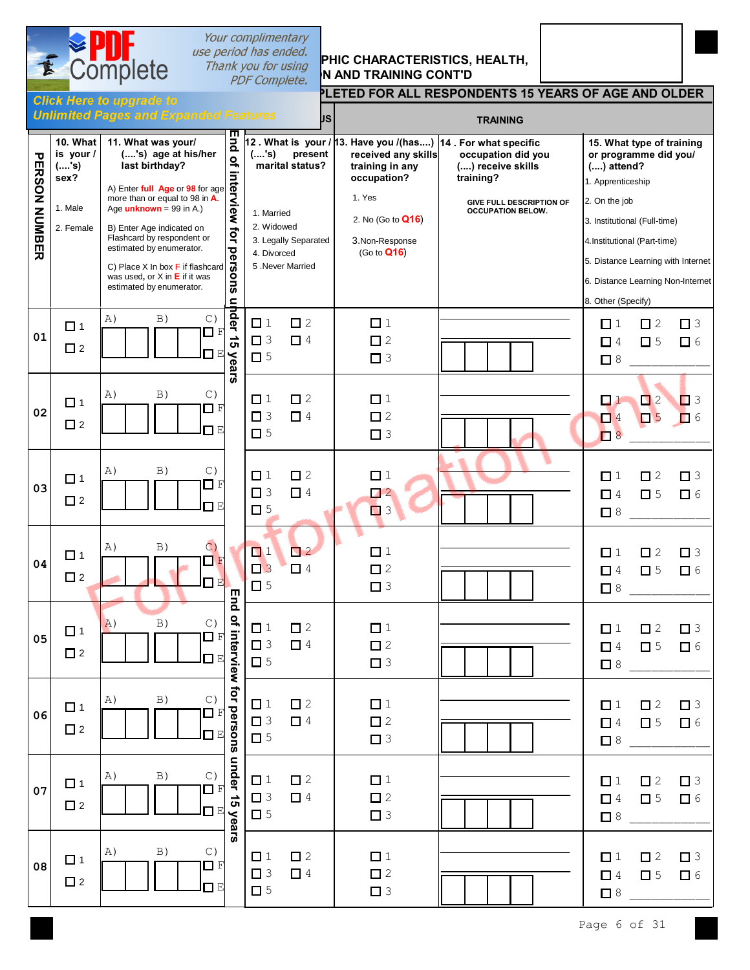

**Click Here to upgrade to** 

# Your complimentary

## *use period has ended.*<br>Thank you for using **PHIC CHARACTERISTICS, HEALTH, PDF Complete. N AND TRAINING CONT'D**

### **PLETED FOR ALL RESPONDENTS 15 YEARS OF AGE AND OLDER**

|                      |                                          | <b>Unlimited Pages and Expanded Features</b>                                                   |                                                                                                                                                                                                                                                                       |                                        | <b>JS</b>               | <b>TRAINING</b>                        |                                                      |                                                                                         |                            |                      |  |
|----------------------|------------------------------------------|------------------------------------------------------------------------------------------------|-----------------------------------------------------------------------------------------------------------------------------------------------------------------------------------------------------------------------------------------------------------------------|----------------------------------------|-------------------------|----------------------------------------|------------------------------------------------------|-----------------------------------------------------------------------------------------|----------------------------|----------------------|--|
| <b>PERSON NUMBER</b> | 10. What<br>is your /<br>$($ 's)<br>sex? | 11. What was your/<br>('s) age at his/her<br>last birthday?<br>A) Enter full Age or 98 for age | ш<br>12 . What is your / 13. Have you /(has) 14 . For what specific<br>ä<br>present<br>(,'s)<br>received any skills<br>occupation did you<br>$\tilde{\sigma}$<br>marital status?<br>() receive skills<br>training in any<br>interview for<br>occupation?<br>training? |                                        |                         |                                        |                                                      | 15. What type of training<br>or programme did you/<br>$()$ attend?<br>1. Apprenticeship |                            |                      |  |
|                      | 1. Male                                  | more than or equal to 98 in A.<br>Age $unknown = 99$ in A.)                                    |                                                                                                                                                                                                                                                                       | 1. Married                             |                         | 1. Yes                                 | GIVE FULL DESCRIPTION OF<br><b>OCCUPATION BELOW.</b> | 2. On the job                                                                           |                            |                      |  |
|                      | 2. Female                                | B) Enter Age indicated on                                                                      |                                                                                                                                                                                                                                                                       | 2. Widowed                             |                         | 2. No (Go to <b>Q16)</b>               |                                                      | 3. Institutional (Full-time)                                                            |                            |                      |  |
|                      |                                          | Flashcard by respondent or<br>estimated by enumerator.                                         |                                                                                                                                                                                                                                                                       | 3. Legally Separated<br>4. Divorced    |                         | 3.Non-Response<br>(Go to <b>Q16</b> )  |                                                      | 4. Institutional (Part-time)                                                            |                            |                      |  |
|                      |                                          | C) Place X In box F if flashcard<br>was used, or $X$ in $E$ if it was                          | persons                                                                                                                                                                                                                                                               | 5 .Never Married                       |                         |                                        |                                                      | 5. Distance Learning with Internet                                                      |                            |                      |  |
|                      |                                          | estimated by enumerator.                                                                       |                                                                                                                                                                                                                                                                       |                                        |                         |                                        |                                                      | 6. Distance Learning Non-Internet<br>8. Other (Specify)                                 |                            |                      |  |
| 01                   | $\Box$ 1<br>$\Box$ 2                     | A)<br>B)<br>$\mathbb{C}$ )<br>F<br>E                                                           | uhder 15<br><b>Vears</b>                                                                                                                                                                                                                                              | $\Box$ 1<br>$\square$ 3<br>$\square$ 5 | $\square$ 2<br>$\Box$ 4 | $\Box$ 1<br>$\square$ 2<br>$\square$ 3 |                                                      | $\Box$ 1<br>$\Box$ 4<br>$\Box$ 8                                                        | $\Box$ 2<br>$\square$ 5    | $\Box$ 3<br>$\Box$ 6 |  |
| 02                   | $\Box$ 1<br>$\Box$ 2                     | B)<br>$\mathbb{C}$ )<br>A)<br>□ F<br>⊓Е                                                        |                                                                                                                                                                                                                                                                       | $\Box$ 1<br>$\Box$ 3<br>$\square$ 5    | $\square$ 2<br>$\Box$ 4 | $\Box$ 1<br>$\square$ 2<br>$\square$ 3 |                                                      | $\Box$ $1$<br>$\Box$ 4<br>$\Box$ 8                                                      | $\Box$ 2<br>$\Box$ 5       | $\Box$ 3<br>口 6      |  |
| 03                   | $\Box$ 1<br>$\Box$ 2                     | B)<br>C)<br>A)<br>◨₽<br>ПЕ                                                                     |                                                                                                                                                                                                                                                                       | $\Box$ 1<br>$\Box$ 3<br>$\square$ 5    | $\Box$ 2<br>$\Box$ 4    | $\Box$ 1<br>$\Box$ 2<br>$\Box$ 3       |                                                      | $\Box$ 1<br>$\Box$ 4<br>$\Box$ 8                                                        | $\square$ 2<br>$\square$ 5 | $\Box$ 3<br>$\Box$ 6 |  |
| 04                   | $\Box$ 1<br>$\Box$ 2                     | C)<br>B)<br>A)<br>$\Box$<br>F<br>п<br>$_{\rm E}$                                               | <b>End</b>                                                                                                                                                                                                                                                            | $\Box$ 1<br>$\Box$ 3<br>$\Box$ 5       | $\Box$ 2<br>$\Box$ 4    | $\Box$ 1<br>$\square$ 2<br>$\Box$ 3    |                                                      | $\Box$ 1<br>$\Box$ 4<br>$\Box$ 8                                                        | $\square$ 2<br>$\square$ 5 | $\Box$ 3<br>$\Box$ 6 |  |
| 05                   | $\Box$ 1<br>$\Box$ 2                     | B)<br>$\circ$ )<br>A)<br>$\Box$<br>F<br>口回                                                     |                                                                                                                                                                                                                                                                       | $\Box$ 1<br>$\square$ 3<br>$\square$ 5 | $\square$ 2<br>$\Box$ 4 | $\Box$ 1<br>$\square$ 2<br>$\Box$ 3    |                                                      | $\Box$ 1<br>$\Box$ 4<br>$\Box$ 8                                                        | $\square$ 2<br>$\square$ 5 | $\Box$ 3<br>$\Box$ 6 |  |
| 06                   | $\Box$ 1<br>$\Box$ 2                     | B)<br>$\mathbb{C}$ )<br>A)<br>□<br>E                                                           |                                                                                                                                                                                                                                                                       | $\Box$ 1<br>$\square$ 3<br>$\square$ 5 | $\square$ 2<br>$\Box$ 4 | $\Box$ 1<br>$\square$ 2<br>$\Box$ 3    |                                                      | $\Box$ 1<br>$\Box$ 4<br>$\Box$ 8                                                        | $\square$ 2<br>$\square$ 5 | $\Box$ 3<br>$\Box$ 6 |  |
| 07                   | $\Box$ 1<br>$\Box$ 2                     | $\, {\bf B} \,)$<br>A)<br>$\circ$<br>$\Box$<br>$\mathbf F$<br>ПЕ                               | of interview for persons under 15 years                                                                                                                                                                                                                               | $\Box$ 1<br>$\Box$ 3<br>$\square$ 5    | $\square$ 2<br>$\Box$ 4 | $\Box$ 1<br>$\square$ 2<br>$\Box$ 3    |                                                      | $\Box$ 1<br>$\Box$ 4<br>$\Box$ 8                                                        | $\square$ 2<br>$\square$ 5 | $\Box$ 3<br>$\Box$ 6 |  |
| 08                   | $\Box$ 1<br>$\square$ 2                  | $\, {\bf B} \,)$<br>$\mathbb{C}$ )<br>A)<br>$\Box$ F<br>$\Box$ E                               |                                                                                                                                                                                                                                                                       | $\Box$ 1<br>$\Box$ 3<br>$\square$ 5    | $\square$ 2<br>$\Box$ 4 | $\Box$ 1<br>$\square$ 2<br>$\Box$ 3    |                                                      | $\Box$ 1<br>$\Box$ 4<br>$\Box$ 8                                                        | $\square$ 2<br>$\Box$ 5    | $\Box$ 3<br>$\Box$ 6 |  |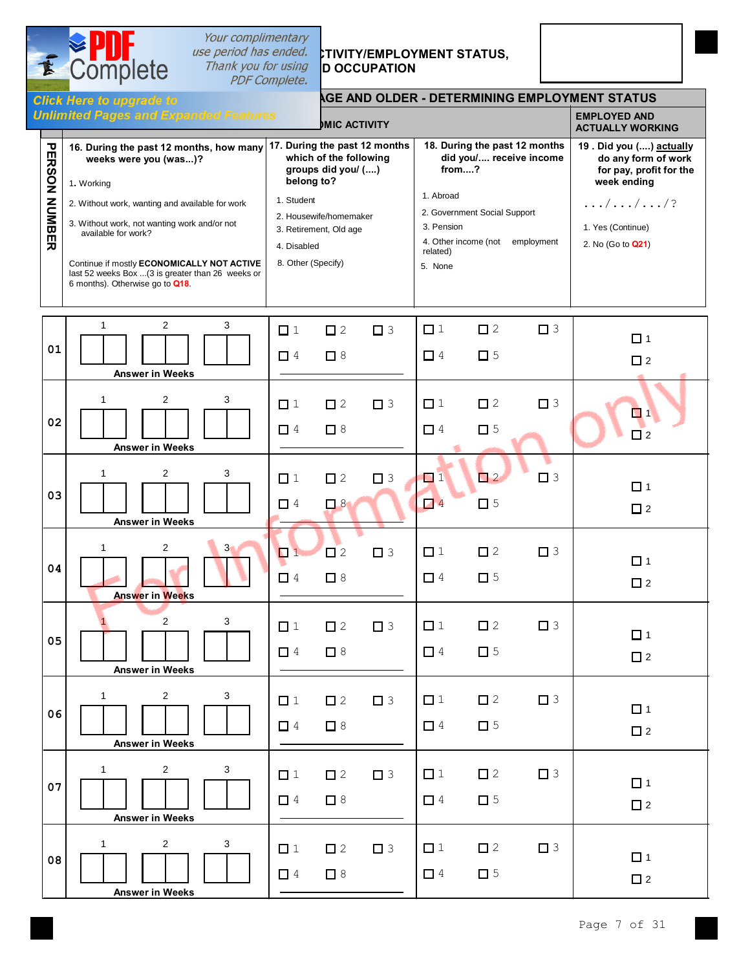# *I Inank you for using* **D OCCUPATION**

 $\overline{\bullet}$  Complete

# use period has ended. STIVITY/**EMPLOYMENT STATUS,**

|                      | <b>AGE AND OLDER - DETERMINING EMPLOYMENT STATUS</b><br><b>Click Here to upgrade to</b>                                                                                                                                                                                                                                                        |                                                                                                                                                                                                    |                                                                                                                                                                                        |                                                                                                                                                                        |  |  |  |  |  |  |  |  |  |  |
|----------------------|------------------------------------------------------------------------------------------------------------------------------------------------------------------------------------------------------------------------------------------------------------------------------------------------------------------------------------------------|----------------------------------------------------------------------------------------------------------------------------------------------------------------------------------------------------|----------------------------------------------------------------------------------------------------------------------------------------------------------------------------------------|------------------------------------------------------------------------------------------------------------------------------------------------------------------------|--|--|--|--|--|--|--|--|--|--|
|                      | <b>Unlimited Pages and Expanded Features</b>                                                                                                                                                                                                                                                                                                   | <b>MIC ACTIVITY</b>                                                                                                                                                                                |                                                                                                                                                                                        | <b>EMPLOYED AND</b><br><b>ACTUALLY WORKING</b>                                                                                                                         |  |  |  |  |  |  |  |  |  |  |
| <b>PERSON NUMBER</b> | 16. During the past 12 months, how many<br>weeks were you (was)?<br>1. Working<br>2. Without work, wanting and available for work<br>3. Without work, not wanting work and/or not<br>available for work?<br>Continue if mostly ECONOMICALLY NOT ACTIVE<br>last 52 weeks Box  (3 is greater than 26 weeks or<br>6 months). Otherwise go to Q18. | 17. During the past 12 months<br>which of the following<br>groups did you/ ()<br>belong to?<br>1. Student<br>2. Housewife/homemaker<br>3. Retirement, Old age<br>4. Disabled<br>8. Other (Specify) | 18. During the past 12 months<br>did you/ receive income<br>from?<br>1. Abroad<br>2. Government Social Support<br>3. Pension<br>4. Other income (not employment<br>related)<br>5. None | 19. Did you () actually<br>do any form of work<br>for pay, profit for the<br>week ending<br>$\ldots/\ldots/\ldots/?$<br>1. Yes (Continue)<br>2. No (Go to <b>Q21</b> ) |  |  |  |  |  |  |  |  |  |  |
| 01                   | $\mathbf{2}$<br>3<br>$\mathbf{1}$<br><b>Answer in Weeks</b>                                                                                                                                                                                                                                                                                    | $\square$ 2<br>$\square$ 3<br>$\Box$ 1<br>$\Box$ 4<br>$\Box$ 8                                                                                                                                     | $\square$ 2<br>$\Box$ 1<br>$\Box$ 3<br>$\Box$ 4<br>$\square$ 5                                                                                                                         | $\Box$ 1<br>$\square$ 2                                                                                                                                                |  |  |  |  |  |  |  |  |  |  |
| 02                   | $\overline{c}$<br>1<br>3<br><b>Answer in Weeks</b>                                                                                                                                                                                                                                                                                             | $\square$ 2<br>$\Box$ 1<br>$\Box$ 3<br>$\Box$ 4<br>$\Box$ 8                                                                                                                                        | $\square$ 2<br>$\Box$ 3<br>$\Box$ 1<br>$\square$ 5<br>$\Box$ 4                                                                                                                         | $\Box$ 1<br>$\Box$ 2                                                                                                                                                   |  |  |  |  |  |  |  |  |  |  |
| 03                   | $\overline{\mathbf{c}}$<br>3<br>1<br><b>Answer in Weeks</b>                                                                                                                                                                                                                                                                                    | $\Box$ 3<br>$\Box$ 1<br>$\square$ 2<br>$\Box$ 8<br>$\Box$ 4                                                                                                                                        | $\Box$ 2<br>$\Box$ 3<br>$\Box$ 1<br>$\square$ 5<br>$\Box$ 4                                                                                                                            | $\Box$ 1<br>$\square$ 2                                                                                                                                                |  |  |  |  |  |  |  |  |  |  |
| 04                   | $\overline{\mathbf{c}}$<br>$\overline{3}$<br>1<br><b>Answer in Weeks</b>                                                                                                                                                                                                                                                                       | $\Box$ 1<br>$\square$ 2<br>$\square$ 3<br>$\Box$ 8<br>$\Box$ 4                                                                                                                                     | $\Box$ 1<br>$\square$ 2<br>$\Box$ 3<br>$\square$ 5<br>$\Box$ 4                                                                                                                         | $\Box$ 1<br>$\square$ 2                                                                                                                                                |  |  |  |  |  |  |  |  |  |  |
| 05                   | $\overline{\mathbf{c}}$<br>3<br><b>Answer in Weeks</b>                                                                                                                                                                                                                                                                                         | $\Box$ 2<br>$\Box$ 1<br>$\Box$ 3<br>$\Box$ 8<br>$\Box$ 4                                                                                                                                           | $\Box$ 1<br>$\square$ 2<br>$\Box$ 3<br>$\Box$ 4<br>$\square$ 5                                                                                                                         | $\Box$ 1<br>$\square$ 2                                                                                                                                                |  |  |  |  |  |  |  |  |  |  |
| 06                   | $\overline{c}$<br>$\mathbf{1}$<br>3<br><b>Answer in Weeks</b>                                                                                                                                                                                                                                                                                  | $\square$ 2<br>$\Box$ 3<br>$\Box$ 1<br>$\Box$ 8<br>$\Box$ 4                                                                                                                                        | $\square$ 2<br>$\Box$ 1<br>$\Box$ 3<br>$\square$ 5<br>$\Box$ 4                                                                                                                         | $\Box$ 1<br>$\square$ 2                                                                                                                                                |  |  |  |  |  |  |  |  |  |  |
| 07                   | $\overline{\mathbf{c}}$<br>1<br>3<br><b>Answer in Weeks</b>                                                                                                                                                                                                                                                                                    | $\square$ 2<br>$\Box$ 3<br>$\Box$ 1<br>$\Box$ 8<br>$\Box$ 4                                                                                                                                        | $\Box$ 1<br>$\square$ 2<br>$\Box$ 3<br>$\square$ 5<br>$\Box$ 4                                                                                                                         | $\Box$ 1<br>$\square$ 2                                                                                                                                                |  |  |  |  |  |  |  |  |  |  |
| 08                   | 2<br>3<br>1<br><b>Answer in Weeks</b>                                                                                                                                                                                                                                                                                                          | $\Box$ 1<br>$\square$ 2<br>$\Box$ 3<br>$\Box$ 8<br>$\Box$ 4                                                                                                                                        | $\Box$ 1<br>$\square$ 2<br>$\Box$ 3<br>$\square$ 5<br>$\Box$ 4                                                                                                                         | $\Box$ 1<br>$\square$ 2                                                                                                                                                |  |  |  |  |  |  |  |  |  |  |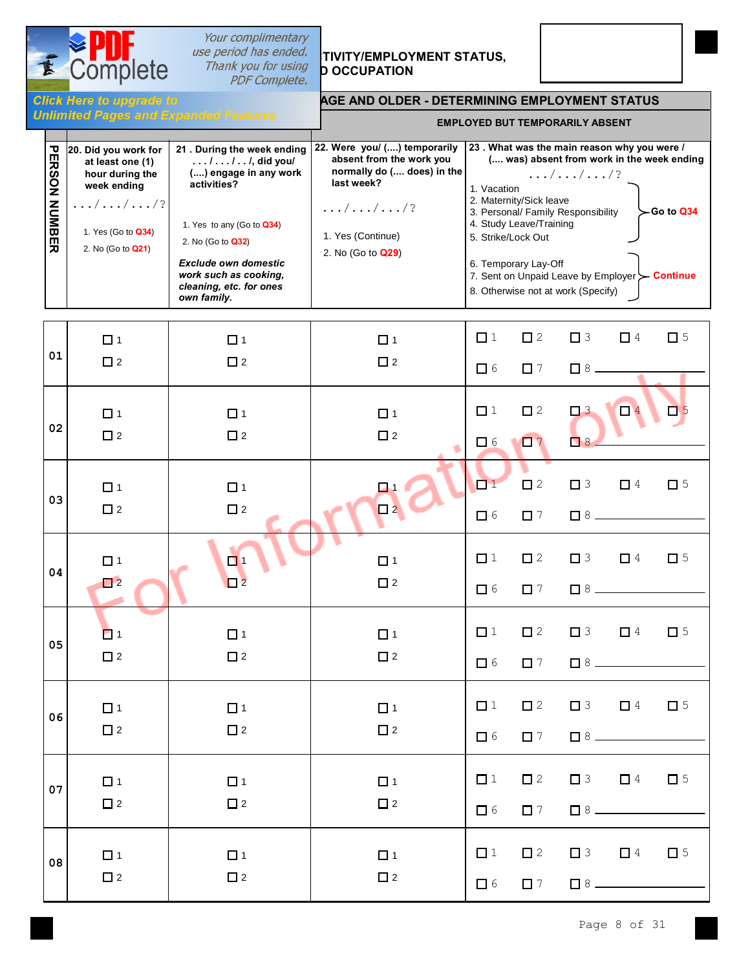

т

## Your complimentary **Thank you for using<br>PDF Complete.**

# **SPIPP** *use period has ended.*<br>Complete *Thank you for using* **p** occupation **b COMPLOYMENT**



**Example 15 Employee Conduct Line Set also Employee Burnovers**<br>Figure **Burnok** Conductor But Temple and Temple as a USD Figures

#### **AGE AND OLDER - DETERMINING EMPLOYMENT STATUS**

| <b>EMPLOYED BUT TEMPORARILY ABSENT</b> |  |
|----------------------------------------|--|
|----------------------------------------|--|

| ERS<br>g          | 20. Did you work for<br>at least one (1)<br>hour during the<br>week ending |                          | 21. During the week ending<br>$\ldots$ / $\ldots$ / $\ldots$ /, did you/<br>() engage in any work<br>activities? | 22. Were you/ () temporarily<br>absent from the work you<br>normally do ( does) in the<br>last week? | 23. What was the main reason why you were /<br>( was) absent from work in the week ending<br>$\dots/$ //?<br>1. Vacation           |  |  |
|-------------------|----------------------------------------------------------------------------|--------------------------|------------------------------------------------------------------------------------------------------------------|------------------------------------------------------------------------------------------------------|------------------------------------------------------------------------------------------------------------------------------------|--|--|
| z<br><b>UMBER</b> | $\ldots/ \ldots/ \ldots/ ?$<br>1. Yes (Go to <b>Q34)</b>                   |                          | 1. Yes to any (Go to Q34)<br>2. No (Go to <b>Q32)</b>                                                            | $\ldots/ \ldots/ \ldots/ ?$<br>1. Yes (Continue)                                                     | 2. Maternity/Sick leave<br>$\sim$ Go to Q34<br>3. Personal/ Family Responsibility<br>4. Study Leave/Training<br>5. Strike/Lock Out |  |  |
|                   |                                                                            | 2. No (Go to <b>Q21)</b> | <b>Exclude own domestic</b><br>work such as cooking,<br>cleaning, etc. for ones<br>own family.                   | 2. No (Go to <b>Q29</b> )                                                                            | 6. Temporary Lay-Off<br>7. Sent on Unpaid Leave by Employer > Continue<br>8. Otherwise not at work (Specify)                       |  |  |

|    | $\Box$ 1              | $\Box$ 1    | $\Box$ 1    | $\Box$ 1                          | $\square$ 2                 | $\Box$ 3          | $\Box$ 4 $\Box$ 5                                                                          |             |
|----|-----------------------|-------------|-------------|-----------------------------------|-----------------------------|-------------------|--------------------------------------------------------------------------------------------|-------------|
| 01 | $\square$ 2           | $\Box$ 2    | $\square$ 2 | $\Box$ 6                          | $\Box$ 7                    |                   |                                                                                            |             |
|    | $\Box$ 1              | $\Box$ 1    | $\Box$ 1    | $\Box$ 1                          | $\square$ 2                 | $\Box$ 3          | $\Box$ <sup>4</sup>                                                                        | $\Box$ 5    |
| 02 | $\square$ 2           | $\Box$ 2    | $\square$ 2 | $\Box$ 6                          | $\Box$ 7                    | $\Box$ 8          |                                                                                            |             |
|    | $\Box$ 1              | $\Box$ 1    | $\Box$ 1    | $\overline{\square}$ <sup>1</sup> | $\mathbf{r}$<br>$\square$ 2 | $\square$ 3       | $\Box$ 4                                                                                   | $\square$ 5 |
| 03 | $\square$ 2           | $\Box$ 2    | $\Box$ 2    | $\Box$ 6                          | $\Box$ 7                    |                   |                                                                                            |             |
|    | $\Box$ 1              | $\Box$ 1    | $\Box$ 1    | $\Box$ 1                          | $\Box$ 2                    |                   | $\Box$ 3 $\Box$ 4                                                                          | $\Box$ 5    |
| 04 | $\Box$ 2<br>۰         | $\square$   | $\Box$ 2    | $\Box$ 6                          | $\Box$ 7                    |                   |                                                                                            |             |
|    | <b>D</b> <sub>1</sub> | $\Box$ 1    | $\Box$ 1    | $\Box$ 1                          | $\square$ 2                 |                   | $\Box$ 3 $\Box$ 4                                                                          | $\square$ 5 |
| 05 | $\square$ 2           | $\square$ 2 | $\square$ 2 | $\Box$ 6                          | $\Box$ 7                    |                   |                                                                                            |             |
|    | $\Box$ 1              | $\Box$ 1    | $\Box$ 1    | $\Box$ 1                          | $\Box$ 2                    |                   | $\begin{array}{ccccccccc}\n\boxed{1} & 3 & & \boxed{1} & 4 & & \boxed{1} & 5\n\end{array}$ |             |
| 06 | $\Box$ 2              | $\Box$ 2    | $\Box$ 2    | $\Box$ 6                          | $\Box$ 7                    |                   |                                                                                            |             |
| 07 | $\Box$ 1              | $\Box$ 1    | $\Box$ 1    | $\Box$ 1                          | $\square$ 2                 |                   | $\begin{array}{ccccccccc}\n\boxed{1} & 3 & & \boxed{1} & 4 & & \boxed{1} & 5\n\end{array}$ |             |
|    | $\Box$ 2              | $\square$ 2 | $\square$ 2 | $\Box$ 6                          | $\Box$ 7                    | $\Box$ 8 $\Box$   |                                                                                            |             |
| 08 | $\Box$ 1              | $\Box$ 1    | $\Box$ 1    | $\Box$ 1                          | $\square$ 2                 | $\Box$ 3 $\Box$ 4 |                                                                                            | $\Box$ 5    |
|    | $\square$ 2           | $\Box$ 2    | $\Box$ 2    | $\Box$ 6                          | $\Box$ 7                    |                   | $\Box$ 8                                                                                   |             |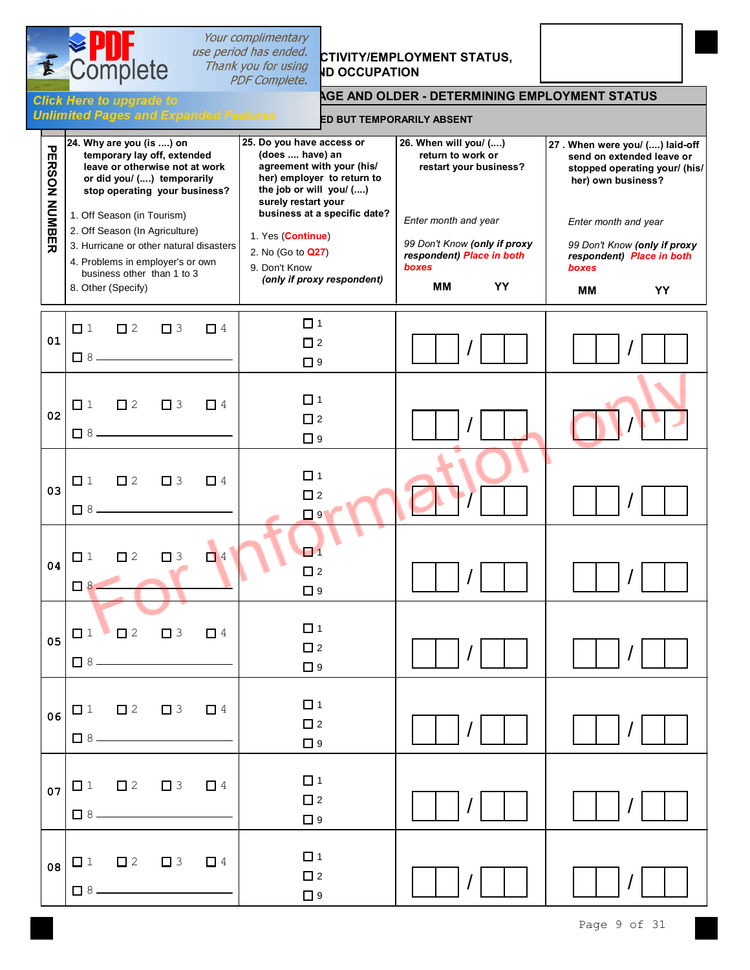#### Your complimentary *use period has ended.*<br>Thank you for using **JD OCCUBATION IK you for using ID OCCUPATION AGE AND OLDER - DETERMINING EMPLOYMENT STATUS Unlimited Pages and Expanded Features ED BUT TEMPORARILY ABSENT 24. Why are you (is ....) on 25. Do you have access or 26. When will you/ (....) 27 . When were you/ (....) laid-off**  $\overline{\mathbf{U}}$ PERSON NUMBER  **temporary lay off, extended (does .... have) an return to work or send on extended leave or ERSON agreement with your (his/ leave or otherwise not at work restart your business? stopped operating your/ (his/ or did you/ (....) temporarily her) employer to return to her) own business? the job or will you/ (....) stop operating your business? surely restart your** NUMBER 1. Off Season (in Tourism)  **business at a specific date?** *Enter month and year Enter month and year* 2. Off Season (In Agriculture) 1. Yes (**Continue**) *99 Don't Know (only if proxy 99 Don't Know (only if proxy* 3. Hurricane or other natural disasters | 2. No (Go to **Q27**) *respondent) Place in both respondent) Place in both* 4. Problems in employer's or own *boxes* 9. Don't Know *boxes* business other than 1 to 3 *(only if proxy respondent)* 8. Other (Specify) **MM YY MM YY**  $\Box$  1 1 2 3 4 **01**  $\Box$  2 / /  $\Box$  8  $-$ □ 9  $\Box$  1  $\begin{array}{ccccccccccccccccc}\n\square & 1 & \square & 2 & \square & 3 & \square & 4\n\end{array}$ **02**  $\square$  2 / /  $\Box$  8 -**D** 9  $\Box$  1  $\Box$  1  $\Box$  2  $\Box$  3  $\Box$  4 **03**  $\Box$  2 / /  $\Box$  8 □ 9  $\Box$ <sup>1</sup>  $\Box$  1  $\Box$  2  $\Box$  3  $\Box$  4 **04**  $\Box$  2 / / 8  $\Box$  9  $\Box$  1  $\begin{array}{ccccccccc}\n\boxed{1} & \boxed{1} & \boxed{2} & \boxed{3} & \boxed{4}\n\end{array}$ **05**  $\Box$  2 / / ■8. 口9  $\Box$  1  $\Box$  1  $\Box$  2  $\Box$  3  $\Box$  4 **06**  $\Box$  2 / /  $\Box$  8 -口9  $\Box$  1  $\Box$  1  $\Box$  2  $\Box$  3  $\Box$  4 **07**  $\Box$  2 / /  $\Box$  8. □ 9  $\Box$  1  $\Box$  1  $\Box$  2  $\Box$  3  $\Box$  4 **08**  $\Box$  2 / /  $\Box$  8  $-$

口9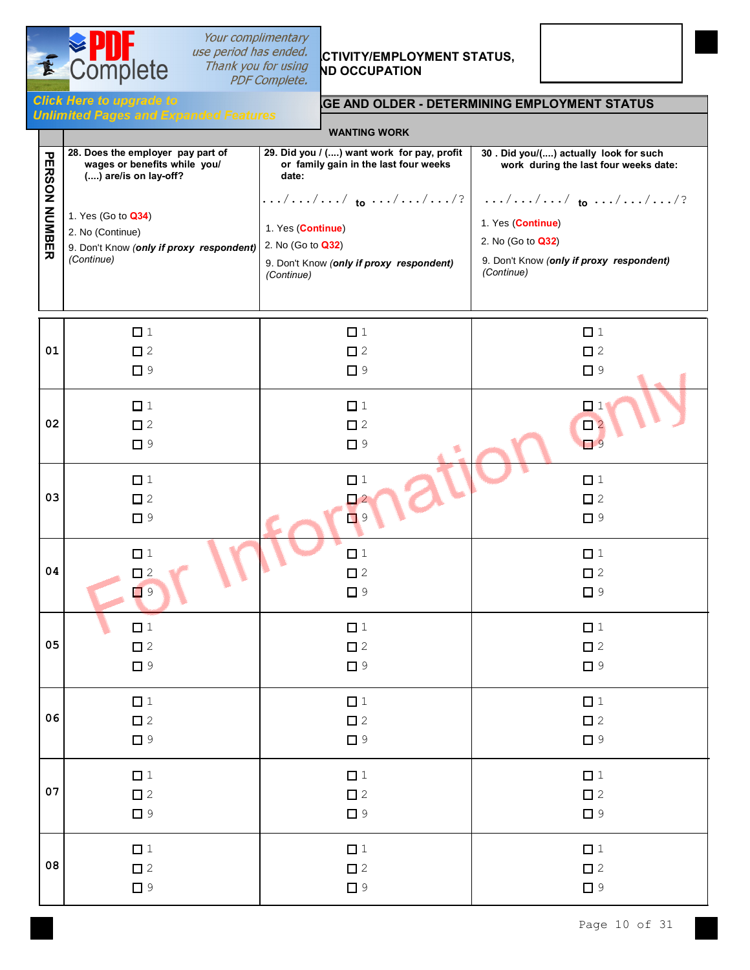

## Your complimentary **Thank you for using<br>PDF Complete.**

# **SPUT** *use period has ended.* CTIVITY/EMPLOYMENT STATUS,<br>Complete *Thank you for using* ND occupation



**Click Here to upgrade to**<br> **ALL PERSONS 15 YEARS Unimited Pages and Expanded Features** 

|                      | <b>WANTING WORK</b>                      |                                            |                                          |  |  |  |  |  |  |  |  |  |
|----------------------|------------------------------------------|--------------------------------------------|------------------------------------------|--|--|--|--|--|--|--|--|--|
| <b>PERSON NUMBER</b> | 28. Does the employer pay part of        | 29. Did you / () want work for pay, profit | 30 . Did you/() actually look for such   |  |  |  |  |  |  |  |  |  |
|                      | wages or benefits while you/             | or family gain in the last four weeks      | work during the last four weeks date:    |  |  |  |  |  |  |  |  |  |
|                      | () are/is on lay-off?                    | date:                                      | /// to ///?   /// to ///?                |  |  |  |  |  |  |  |  |  |
|                      | 1. Yes (Go to Q34)                       | 1. Yes (Continue)                          | 1. Yes (Continue)                        |  |  |  |  |  |  |  |  |  |
|                      | 2. No (Continue)                         | 2. No (Go to Q32)                          | 2. No (Go to Q32)                        |  |  |  |  |  |  |  |  |  |
|                      | 9. Don't Know (only if proxy respondent) | 9. Don't Know (only if proxy respondent)   | 9. Don't Know (only if proxy respondent) |  |  |  |  |  |  |  |  |  |
|                      | (Continue)                               | (Continue)                                 | (Continue)                               |  |  |  |  |  |  |  |  |  |
| 01                   | $\Box$ 1                                 | $\Box$ 1                                   | $\Box$ 1                                 |  |  |  |  |  |  |  |  |  |
|                      | $\square$ 2                              | $\square$ 2                                | $\square$ 2                              |  |  |  |  |  |  |  |  |  |
|                      | $\Box$ 9                                 | $\square$ 9                                | $\Box$ 9                                 |  |  |  |  |  |  |  |  |  |
| 02                   | $\Box$ 1<br>$\square$ 2<br>$\Box$ 9      | $\Box$ 1<br>$\Box$ 2<br>$\square$ 9<br>٠   | $\Box$ 1<br>$\Box$ 2<br>$\Box$ 9         |  |  |  |  |  |  |  |  |  |
| 03                   | $\Box$ 1                                 | $\Box$ 1                                   | $\Box$ 1                                 |  |  |  |  |  |  |  |  |  |
|                      | $\square$ 2                              | $\Box$ 2                                   | $\square$ 2                              |  |  |  |  |  |  |  |  |  |
|                      | $\Box$ 9                                 | $\Box$ 9                                   | $\Box$ 9                                 |  |  |  |  |  |  |  |  |  |
| 04                   | $\Box$ 1                                 | $\Box$ 1                                   | $\Box$ 1                                 |  |  |  |  |  |  |  |  |  |
|                      | $\square$ 2                              | $\square$ 2                                | $\square$ 2                              |  |  |  |  |  |  |  |  |  |
|                      | $\Box$ 9                                 | $\Box$ 9                                   | $\Box$ 9                                 |  |  |  |  |  |  |  |  |  |
| 05                   | $\Box$ 1                                 | $\Box$ 1                                   | $\Box$ 1                                 |  |  |  |  |  |  |  |  |  |
|                      | $\square$ 2                              | $\square$ 2                                | $\square$ 2                              |  |  |  |  |  |  |  |  |  |
|                      | $\Box$ 9                                 | $\Box$ 9                                   | $\Box$ 9                                 |  |  |  |  |  |  |  |  |  |
| 06                   | $\Box$ 1                                 | $\Box$ 1                                   | $\Box$ 1                                 |  |  |  |  |  |  |  |  |  |
|                      | $\square$ 2                              | $\square$ 2                                | $\square$ 2                              |  |  |  |  |  |  |  |  |  |
|                      | $\Box$ 9                                 | $\Box$ 9                                   | $\Box$ 9                                 |  |  |  |  |  |  |  |  |  |
| 07                   | $\Box$ 1                                 | $\Box$ 1                                   | $\Box$ 1                                 |  |  |  |  |  |  |  |  |  |
|                      | $\square$ 2                              | $\square$ 2                                | $\square$ 2                              |  |  |  |  |  |  |  |  |  |
|                      | $\Box$ 9                                 | $\Box$ 9                                   | $\Box$ 9                                 |  |  |  |  |  |  |  |  |  |
| 08                   | $\Box$ 1                                 | $\Box$ 1                                   | $\Box$ 1                                 |  |  |  |  |  |  |  |  |  |
|                      | $\square$ 2                              | $\square$ 2                                | $\square$ 2                              |  |  |  |  |  |  |  |  |  |
|                      | $\Box$ 9                                 | $\Box$ 9                                   | $\Box$ 9                                 |  |  |  |  |  |  |  |  |  |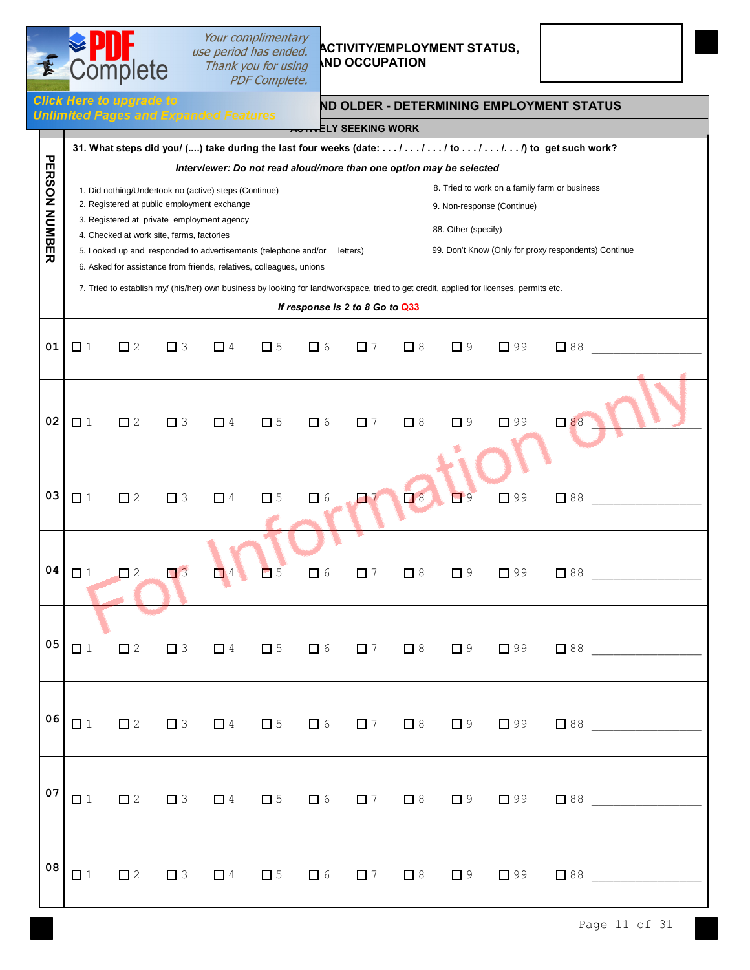# **2015** Thank you for using ND OCCUPATION

## *USE Deriod has ended. ACTIVITY/EMPLOYMENT STATUS,*

|                      |          | Complete                                                                                                                                                                                        |          |          | Your complimentary<br>use period has ended.<br>Thank you for using<br><b>PDF Complete.</b>                                            |          | <b>ACTIVITY/EMPLOYMENT STATUS,</b><br><b>IND OCCUPATION</b>                                                        |          |                     |                                                                                                                                                                       |                                                                                                                                                                                                           |
|----------------------|----------|-------------------------------------------------------------------------------------------------------------------------------------------------------------------------------------------------|----------|----------|---------------------------------------------------------------------------------------------------------------------------------------|----------|--------------------------------------------------------------------------------------------------------------------|----------|---------------------|-----------------------------------------------------------------------------------------------------------------------------------------------------------------------|-----------------------------------------------------------------------------------------------------------------------------------------------------------------------------------------------------------|
|                      |          | <b>Click Here to upgrade to</b><br><b>Unlimited Pages and Expanded Features</b>                                                                                                                 |          |          |                                                                                                                                       |          | ELY SEEKING WORK                                                                                                   |          |                     |                                                                                                                                                                       | ND OLDER - DETERMINING EMPLOYMENT STATUS                                                                                                                                                                  |
| <b>PERSON NUMBER</b> |          | 1. Did nothing/Undertook no (active) steps (Continue)<br>2. Registered at public employment exchange<br>3. Registered at private employment agency<br>4. Checked at work site, farms, factories |          |          | 5. Looked up and responded to advertisements (telephone and/or<br>6. Asked for assistance from friends, relatives, colleagues, unions |          | Interviewer: Do not read aloud/more than one option may be selected<br>letters)<br>If response is 2 to 8 Go to Q33 |          | 88. Other (specify) | 9. Non-response (Continue)<br>7. Tried to establish my/ (his/her) own business by looking for land/workspace, tried to get credit, applied for licenses, permits etc. | 31. What steps did you/ () take during the last four weeks (date: / / / to / / to get such work?<br>8. Tried to work on a family farm or business<br>99. Don't Know (Only for proxy respondents) Continue |
| 01                   | $\Box$ 1 | $\Box$ 2                                                                                                                                                                                        | $\Box$ 3 | $\Box$ 4 | $\square$ 5                                                                                                                           | $\Box$ 6 | $\Box$ 7                                                                                                           | $\Box$ 8 | $\Box$ 9            | $\Box$ 99                                                                                                                                                             | $\Box$ 88                                                                                                                                                                                                 |
| 02                   | $\Box$ 1 | $\Box$ 2                                                                                                                                                                                        | $\Box$ 3 | $\Box$ 4 | $\square$ 5                                                                                                                           | $\Box$ 6 | $\Box$ 7                                                                                                           | $\Box$ 8 | $\Box$ 9            | $\Box$ 99                                                                                                                                                             | $\Box$ 88                                                                                                                                                                                                 |
| 03                   | $\Box$ 1 | $\square$ 2                                                                                                                                                                                     | $\Box$ 3 | $\Box$ 4 | $\square$ 5                                                                                                                           | $\Box$ 6 | e e                                                                                                                | $\Box$ 8 | $\Box$ 9            | $\Box$ 99                                                                                                                                                             | $\square$ 88                                                                                                                                                                                              |
| 04                   | $\Box$ 1 | $\Box$ 2                                                                                                                                                                                        |          |          | $\Box$ 3 $\Box$ 4 $\Box$ 5                                                                                                            |          | $\Box$ 6 $\Box$ 7                                                                                                  | $\Box$ 8 | $\Box$ 9            | $\Box$ 99                                                                                                                                                             | $\Box$ 88                                                                                                                                                                                                 |
| 05                   | $\Box$ 1 |                                                                                                                                                                                                 |          |          |                                                                                                                                       |          |                                                                                                                    |          |                     |                                                                                                                                                                       | $\Box 2 \quad \Box 3 \quad \Box 4 \quad \Box 5 \quad \Box 6 \quad \Box 7 \quad \Box 8 \quad \Box 9 \quad \Box 99 \quad \Box 88$                                                                           |
| 06                   |          |                                                                                                                                                                                                 |          |          |                                                                                                                                       |          |                                                                                                                    |          |                     |                                                                                                                                                                       |                                                                                                                                                                                                           |
| 07                   |          |                                                                                                                                                                                                 |          |          |                                                                                                                                       |          |                                                                                                                    |          |                     |                                                                                                                                                                       |                                                                                                                                                                                                           |
| 08                   |          |                                                                                                                                                                                                 |          |          |                                                                                                                                       |          |                                                                                                                    |          |                     |                                                                                                                                                                       |                                                                                                                                                                                                           |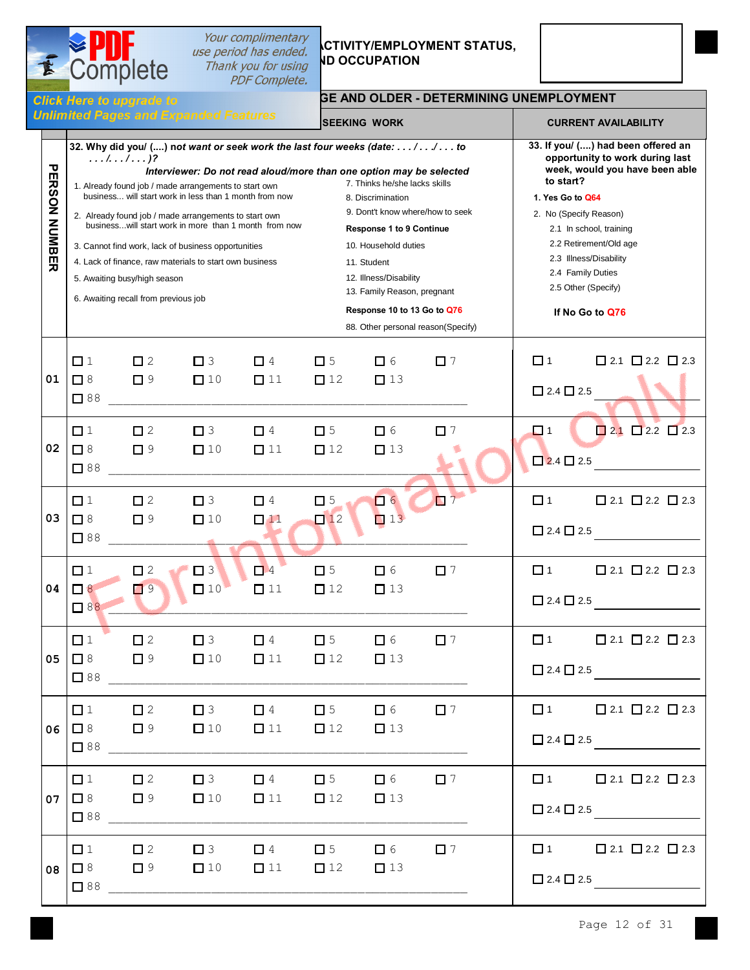## **Complete** Thank you for using E

# **Your complimentary<br>use period has ended. CTIVITY/EMPLOYMENT STATUS,**<br>Thank you for using **ND OCCUPATION**



### **ALL NOTES IS A LOCAL TO A LOCAL TO A LOCAL TERMINING UNEMPLOYMENT** GE AND OLDER - DETERMINING UNEMPLOYMENT

|                      |                                   |                                                                      | <b>Unlimited Pages and Expanded Features</b>                                                                                                                                                                                                                                                                                                        |                                                                                                                     |                          | <b>SEEKING WORK</b>                                                                                                                                                                                                                                                                                                                                                                                                                                                                                                                              |          |  |                                                                                                                                                                                                                                                                                                                  | <b>CURRENT AVAILABILITY</b>                                                                                                                                                                                                                                                                                                                                                                                                                                                                                                                                                                            |  |
|----------------------|-----------------------------------|----------------------------------------------------------------------|-----------------------------------------------------------------------------------------------------------------------------------------------------------------------------------------------------------------------------------------------------------------------------------------------------------------------------------------------------|---------------------------------------------------------------------------------------------------------------------|--------------------------|--------------------------------------------------------------------------------------------------------------------------------------------------------------------------------------------------------------------------------------------------------------------------------------------------------------------------------------------------------------------------------------------------------------------------------------------------------------------------------------------------------------------------------------------------|----------|--|------------------------------------------------------------------------------------------------------------------------------------------------------------------------------------------------------------------------------------------------------------------------------------------------------------------|--------------------------------------------------------------------------------------------------------------------------------------------------------------------------------------------------------------------------------------------------------------------------------------------------------------------------------------------------------------------------------------------------------------------------------------------------------------------------------------------------------------------------------------------------------------------------------------------------------|--|
| <b>PERSON NUMBER</b> | . <i>l. l</i> )?                  | 5. Awaiting busy/high season<br>6. Awaiting recall from previous job | 1. Already found job / made arrangements to start own<br>business will start work in less than 1 month from now<br>2. Already found job / made arrangements to start own<br>businesswill start work in more than 1 month from now<br>3. Cannot find work, lack of business opportunities<br>4. Lack of finance, raw materials to start own business |                                                                                                                     |                          | 32. Why did you/ () not want or seek work the last four weeks (date: // to<br>Interviewer: Do not read aloud/more than one option may be selected<br>7. Thinks he/she lacks skills<br>8. Discrimination<br>9. Dont't know where/how to seek<br><b>Response 1 to 9 Continue</b><br>10. Household duties<br>11. Student<br>12. Illness/Disability<br>13. Family Reason, pregnant<br>Response 10 to 13 Go to Q76<br>88. Other personal reason(Specify)                                                                                              |          |  | 33. If you/ () had been offered an<br>opportunity to work during last<br>week, would you have been able<br>to start?<br>1. Yes Go to Q64<br>2. No (Specify Reason)<br>2.1 In school, training<br>2.2 Retirement/Old age<br>2.3 Illness/Disability<br>2.4 Family Duties<br>2.5 Other (Specify)<br>If No Go to Q76 |                                                                                                                                                                                                                                                                                                                                                                                                                                                                                                                                                                                                        |  |
| 01                   | $\Box$ 1<br>$\Box$ 8<br>$\Box$ 88 | $\Box$ 2<br>$\square$ 9                                              | $\Box$ 3<br>$\Box$ 10                                                                                                                                                                                                                                                                                                                               | $\Box$ 4<br>$\Box$ 11                                                                                               | $\Box$ 5<br>$\Box$ 12    | 口 6<br>$\Box$ 13                                                                                                                                                                                                                                                                                                                                                                                                                                                                                                                                 | $\Box$ 7 |  | $\Box$ 1<br>$\Box$ 2.4 $\Box$ 2.5                                                                                                                                                                                                                                                                                | $\Box$ 2.1 $\Box$ 2.2 $\Box$ 2.3                                                                                                                                                                                                                                                                                                                                                                                                                                                                                                                                                                       |  |
| 02                   | $\Box$ 1<br>$\Box$ 8<br>$\Box$ 88 | $\square$ 2<br>$\square$ 9                                           | $\Box$ 3<br>$\Box$ 10                                                                                                                                                                                                                                                                                                                               | $\Box$ 4<br>$\square$ 11                                                                                            | $\square$ 5<br>$\Box$ 12 | $\Box$ 6<br>$\Box$ 13                                                                                                                                                                                                                                                                                                                                                                                                                                                                                                                            | $\Box$ 7 |  | $\Box$ 1<br>$\Box$ 2.4 $\Box$ 2.5                                                                                                                                                                                                                                                                                | $\Box$ 2.1 $\Box$ 2.2 $\Box$ 2.3                                                                                                                                                                                                                                                                                                                                                                                                                                                                                                                                                                       |  |
| 03                   | $\Box$ 1<br>$\Box$ 8<br>$\Box$ 88 | $\square$ 2<br>$\Box$ 9                                              | $\Box$ 3<br>$\Box$ 10                                                                                                                                                                                                                                                                                                                               | $\Box$ 4<br>$\Box$ 11                                                                                               | $\Box$ 5<br>$\Box$ 12    | $\Box$ 6<br>$\Box$ 13                                                                                                                                                                                                                                                                                                                                                                                                                                                                                                                            | $\Box$ 7 |  | $\Box$ 1<br>$\Box$ 2.4 $\Box$ 2.5                                                                                                                                                                                                                                                                                | $\square$ 2.1 $\square$ 2.2 $\square$ 2.3                                                                                                                                                                                                                                                                                                                                                                                                                                                                                                                                                              |  |
| 04                   | $\Box$ 1<br>$\Box$ 8<br>$\Box$ 88 | $\square$ 2<br>$\Box$ 9                                              | $\square$ 3<br>$\Box$ 10                                                                                                                                                                                                                                                                                                                            | $\Box$ 4<br>$\Box$ 11                                                                                               | $\Box$ 5<br>$\Box$ 12    | 口 6<br>$\Box$ 13                                                                                                                                                                                                                                                                                                                                                                                                                                                                                                                                 | $\Box$ 7 |  | $\Box$ 1<br>$\Box$ 2.4 $\Box$ 2.5                                                                                                                                                                                                                                                                                | $\Box$ 2.1 $\Box$ 2.2 $\Box$ 2.3                                                                                                                                                                                                                                                                                                                                                                                                                                                                                                                                                                       |  |
| 05 <sub>1</sub>      | $\Box$ 1<br>$\Box$ 8              | $\square$ 2<br>$\Box$ 9                                              | $\square$ 3<br>$\Box$ 10                                                                                                                                                                                                                                                                                                                            | $\Box$ 4<br>$\Box$ 11                                                                                               | $\square$ 5<br>$\Box$ 12 | $\Box$ 6<br>$\Box$ 13                                                                                                                                                                                                                                                                                                                                                                                                                                                                                                                            | $\Box$ 7 |  | $\Box$ 1                                                                                                                                                                                                                                                                                                         | $\square$ 2.1 $\square$ 2.2 $\square$ 2.3<br>$\begin{array}{ c c c c c }\n\hline\n\textbf{2.4} & \textbf{2.5} & \textcolor{red}{\textbf{2.6} & \textcolor{red}{\textbf{2.6} & \textcolor{red}{\textbf{2.6} & \textcolor{red}{\textbf{2.6} & \textcolor{red}{\textbf{2.6} & \textcolor{red}{\textbf{2.6} & \textcolor{red}{\textbf{2.6} & \textcolor{red}{\textbf{2.6} & \textcolor{red}{\textbf{2.6} & \textcolor{red}{\textbf{2.6} & \textcolor{red}{\textbf{2.6} & \textcolor{red}{\textbf{2.6} &$                                                                                                   |  |
|                      | $\Box$ 1                          |                                                                      |                                                                                                                                                                                                                                                                                                                                                     |                                                                                                                     |                          | $\square$ 2 $\square$ 3 $\square$ 4 $\square$ 5 $\square$ 6 $\square$ 7<br>06 $\Box$ 8 $\Box$ 9 $\Box$ 10 $\Box$ 11 $\Box$ 12 $\Box$ 13                                                                                                                                                                                                                                                                                                                                                                                                          |          |  |                                                                                                                                                                                                                                                                                                                  | $\square$ 1 $\square$ 2.1 $\square$ 2.2 $\square$ 2.3<br>$\Box$ 2.4 $\Box$ 2.5                                                                                                                                                                                                                                                                                                                                                                                                                                                                                                                         |  |
|                      |                                   |                                                                      |                                                                                                                                                                                                                                                                                                                                                     | 07 $\boxed{ \square 8 }$ $\boxed{ \square 9 }$ $\boxed{ \square 10 }$ $\boxed{ \square 11 }$ $\boxed{ \square 12 }$ |                          | $\Box$ 13                                                                                                                                                                                                                                                                                                                                                                                                                                                                                                                                        |          |  |                                                                                                                                                                                                                                                                                                                  | $\square$ 1 $\square$ 2.1 $\square$ 2.2 $\square$ 2.3<br>$\begin{array}{c c} \square 2.4 \square 2.5 \end{array}$                                                                                                                                                                                                                                                                                                                                                                                                                                                                                      |  |
|                      |                                   |                                                                      |                                                                                                                                                                                                                                                                                                                                                     |                                                                                                                     |                          | $\begin{array}{ccccccccccccccccc}\n\square\ 1 & \square\ 2 & \square\ 3 & \square\ 4 & \square\ 5 & \square\ 6 & \square\ 7 & \square\ 7 & \square\ 8 & \square\ 9 & \square\ 1 & \square\ 1 & \square\ 1 & \square\ 1 & \square\ 1 & \square\ 1 & \square\ 1 & \square\ 1 & \square\ 1 & \square\ 1 & \square\ 1 & \square\ 1 & \square\ 1 & \square\ 1 & \square\ 1 & \square\ 1 & \square\ 1 & \square\ 1 & \square\ 1 & \square\ 1 & \square\ 1 & \square\ 1 & \square\ 1 & \square\ 1 & \square\ $<br>08 08 09 010 011 012 013<br>$\Box$ 88 |          |  |                                                                                                                                                                                                                                                                                                                  | $\square$ 1 $\square$ 2.1 $\square$ 2.2 $\square$ 2.3<br>$\begin{array}{c}\n\Box 2.4 \quad \Box 2.5 \quad \text{---} \quad \text{---} \quad \text{---} \quad \text{---} \quad \text{---} \quad \text{---} \quad \text{---} \quad \text{---} \quad \text{---} \quad \text{---} \quad \text{---} \quad \text{---} \quad \text{---} \quad \text{---} \quad \text{---} \quad \text{---} \quad \text{---} \quad \text{---} \quad \text{---} \quad \text{---} \quad \text{---} \quad \text{---} \quad \text{---} \quad \text{---} \quad \text{---} \quad \text{---} \quad \text{---} \quad \text{---} \quad$ |  |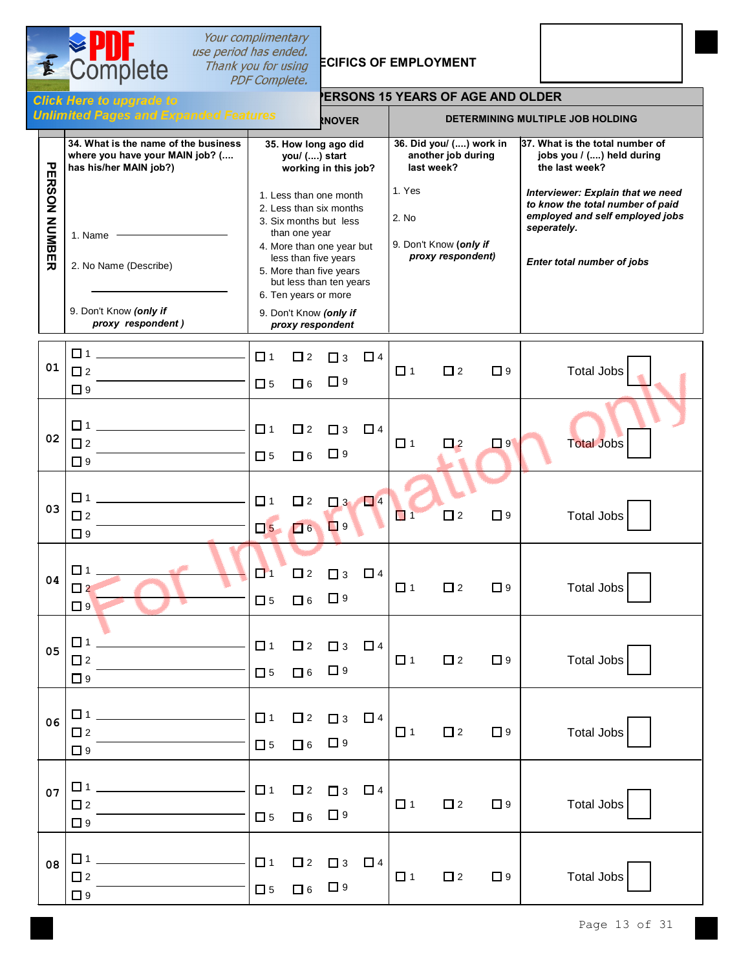

 $\overline{\mathcal{C}}$ 

# **Sour complimentary<br>
Section has ended.**<br>
Thank you for using **ECIFICS OF EMPLOYMENT**



|                     | - - - - - <sub>1</sub> - - -                                                                      | PDF Complete.                                                 |                         |                                                                                                                                                                                                                                                              |                                       |                                           |                   |                                                                                |                                                                                                                                                       |
|---------------------|---------------------------------------------------------------------------------------------------|---------------------------------------------------------------|-------------------------|--------------------------------------------------------------------------------------------------------------------------------------------------------------------------------------------------------------------------------------------------------------|---------------------------------------|-------------------------------------------|-------------------|--------------------------------------------------------------------------------|-------------------------------------------------------------------------------------------------------------------------------------------------------|
|                     | <b>Hick Here to upgrade to</b>                                                                    | <b>PERSONS 15 YEARS OF AGE AND OLDER</b>                      |                         |                                                                                                                                                                                                                                                              |                                       |                                           |                   |                                                                                |                                                                                                                                                       |
|                     | <b>Inlimited Pages and Expanded Features</b>                                                      |                                                               |                         | <b>INOVER</b>                                                                                                                                                                                                                                                |                                       |                                           |                   |                                                                                | DETERMINING MULTIPLE JOB HOLDING                                                                                                                      |
| τ                   | 34. What is the name of the business<br>where you have your MAIN job? (<br>has his/her MAIN job?) | 35. How long ago did<br>you/ () start<br>working in this job? |                         |                                                                                                                                                                                                                                                              | 36. Did you/ () work in<br>last week? | another job during                        |                   | 37. What is the total number of<br>jobs you / () held during<br>the last week? |                                                                                                                                                       |
| <b>ERSON NUMBER</b> | 1. Name<br>2. No Name (Describe)<br>9. Don't Know (only if<br>proxy respondent)                   |                                                               | than one year           | 1. Less than one month<br>2. Less than six months<br>3. Six months but less<br>4. More than one year but<br>less than five years<br>5. More than five years<br>but less than ten years<br>6. Ten years or more<br>9. Don't Know (only if<br>proxy respondent |                                       | 1. Yes<br>2. No<br>9. Don't Know (only if | proxy respondent) |                                                                                | Interviewer: Explain that we need<br>to know the total number of paid<br>employed and self employed jobs<br>seperately.<br>Enter total number of jobs |
| 01                  | $\Box$ 1 $\Box$<br><u> 1980 - Johann Barbara, martxa al</u><br>$\square$ 2<br>$\Box$ 9            | $\Box$ 1<br>$\square$ 5                                       | $\Box$ 2<br>$\Box$ 6    | $\Box$ 3<br>$\Box$ 9                                                                                                                                                                                                                                         | $\Box$ 4                              | $\Box$ 1                                  | $\square$ 2       | $\Box$ 9                                                                       | <b>Total Jobs</b>                                                                                                                                     |
| 02                  | □ 1<br>$\square$ 2<br>$\Box$ 9                                                                    | $\Box$ 1<br>$\square$ 5                                       | $\square$ 2<br>$\Box$ 6 | $\Box$ 3<br>$\Box$ 9                                                                                                                                                                                                                                         | $\Box$ 4                              | $\Box$ 1                                  | $\Box$ 2          | $\Box$ 9                                                                       | <b>Total Jobs</b>                                                                                                                                     |
| 03                  | $\Box$ 1<br>$\square$ 2<br>$\square$ 9                                                            | $\Box$ 1<br>$\Box$ 5                                          | $\Box$ 2<br>$\Box$ 6    | $\Box$ 3<br>$\Box$ 9                                                                                                                                                                                                                                         | $\Box$                                | $\Box$ 1                                  | $\Box$ 2          | $\Box$ 9                                                                       | <b>Total Jobs</b>                                                                                                                                     |
| 04                  | $\Box$ 1<br>$\Box$ 2<br>$\Box$ 9                                                                  | $\Box$ 1<br>$\square$ 5                                       | $\Box$ 2<br>$\Box$ 6    | $\Box$ 3<br>$\Box$ 9                                                                                                                                                                                                                                         | $\Box$ 4                              | $\Box$ 1                                  | $\square$ 2       | $\Box$ 9                                                                       | <b>Total Jobs</b>                                                                                                                                     |
| 05                  | $\square$ 2<br>$\Box$ 9                                                                           | $\Box$ 1<br>$\Box$ 5                                          | $\square$ 2<br>$\Box$ 6 | $\Box$ 3<br>$\Box$ 9                                                                                                                                                                                                                                         | $\Box$ 4                              | $\Box$ 1                                  | $\square$ 2       | $\Box$ 9                                                                       | <b>Total Jobs</b>                                                                                                                                     |
| 06                  | $\Box$ 1<br>$\square$ 2<br>$\Box$ 9                                                               | $\Box$ 1<br>$\square$ 5                                       | $\square$ 2<br>$\Box$ 6 | $\Box$ 3<br>$\Box$ 9                                                                                                                                                                                                                                         | $\Box$ 4                              | $\Box$ 1                                  | $\square$ 2       | $\Box$ 9                                                                       | <b>Total Jobs</b>                                                                                                                                     |
| 07                  | $\square$ 1 $\square$<br>$\Box$ 2<br>$\Box$ 9                                                     | $\Box$ 1<br>$\square$ 5                                       | $\Box$ 2<br>$\Box$ 6    | $\Box$ 3<br>$\Box$ 9                                                                                                                                                                                                                                         | $\Box$ 4                              | $\Box$ 1                                  | $\square$ 2       | $\Box$ 9                                                                       | Total Jobs                                                                                                                                            |
| 08                  | $\Box$ 1<br>$\Box$ 2<br>$\Box$                                                                    | $\Box$ 1<br>$\Box$ 5                                          | $\Box$ 2<br>$\Box$ 6    | $\Box$ 3<br>$\Box$ 9                                                                                                                                                                                                                                         | $\Box$ 4                              | $\Box$ 1                                  | $\square$ 2       | $\Box$ 9                                                                       | <b>Total Jobs</b>                                                                                                                                     |

 $\Box$  9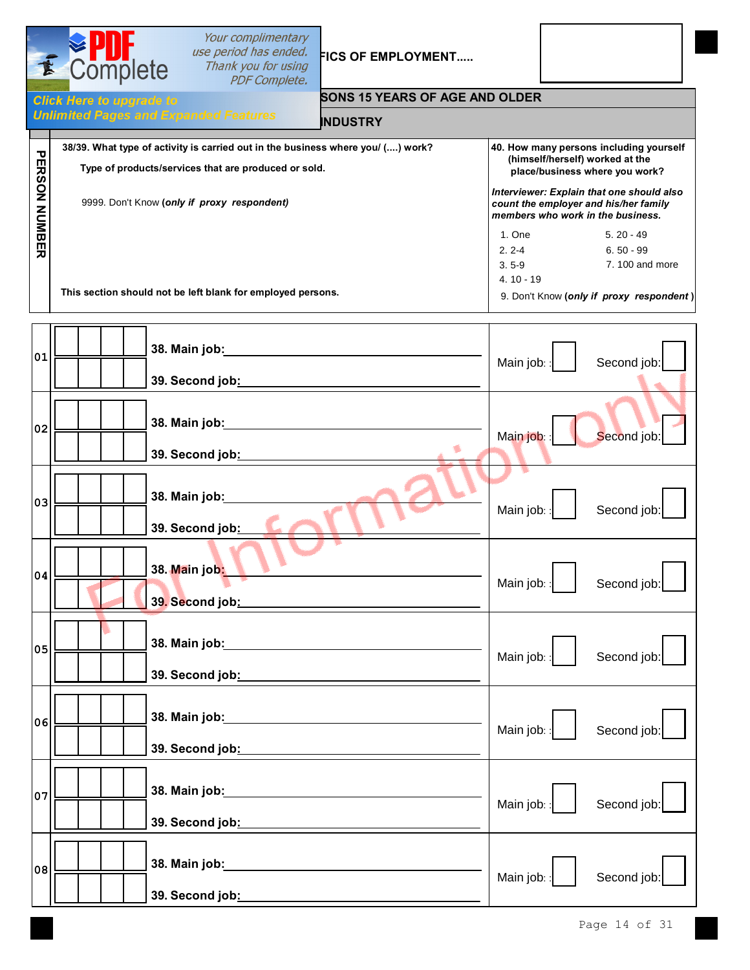|                      | Your complimentary<br>use period has ended.<br>E Complete<br><b>FICS OF EMPLOYMENT</b><br>Thank you for using<br><b>PDF Complete.</b>                                                  |                                                 |                                                                                                                                                                                                                                         |
|----------------------|----------------------------------------------------------------------------------------------------------------------------------------------------------------------------------------|-------------------------------------------------|-----------------------------------------------------------------------------------------------------------------------------------------------------------------------------------------------------------------------------------------|
|                      | <b>SONS 15 YEARS OF AGE AND OLDER</b><br><b>Click Here to upgrade to</b><br><b>Unlimited Pages and Expanded Features</b><br><b>INDUSTRY</b>                                            |                                                 |                                                                                                                                                                                                                                         |
| <b>PERSON NUMBER</b> | 38/39. What type of activity is carried out in the business where you/ () work?<br>Type of products/services that are produced or sold.<br>9999. Don't Know (only if proxy respondent) |                                                 | 40. How many persons including yourself<br>(himself/herself) worked at the<br>place/business where you work?<br>Interviewer: Explain that one should also<br>count the employer and his/her family<br>members who work in the business. |
|                      | This section should not be left blank for employed persons.                                                                                                                            | 1. One<br>$2.2 - 4$<br>$3.5 - 9$<br>$4.10 - 19$ | $5.20 - 49$<br>$6.50 - 99$<br>7.100 and more<br>9. Don't Know (only if proxy respondent)                                                                                                                                                |
| 01                   | 38. Main job:<br>39. Second job:                                                                                                                                                       | Main job:                                       | Second job:                                                                                                                                                                                                                             |
| 02                   | 38. Main job:<br>39. Second job:                                                                                                                                                       | Main job:                                       | Second job:                                                                                                                                                                                                                             |
| 03                   | 38. Main job:<br>39. Second job:                                                                                                                                                       | Main job:                                       | Second job:                                                                                                                                                                                                                             |
| 04                   | 38. <mark>Ma</mark> in job <mark>:_</mark><br>3 <mark>9.</mark> Second job <u>: __________________________________</u>                                                                 | Main job::                                      | Second job:                                                                                                                                                                                                                             |
| 05                   |                                                                                                                                                                                        | Main job::                                      | Second job:                                                                                                                                                                                                                             |
| 06                   |                                                                                                                                                                                        | Main job::                                      | Second job:                                                                                                                                                                                                                             |
| 07                   |                                                                                                                                                                                        | Main job: :                                     | Second job:                                                                                                                                                                                                                             |
| 08                   |                                                                                                                                                                                        | Main job:                                       | Second job:                                                                                                                                                                                                                             |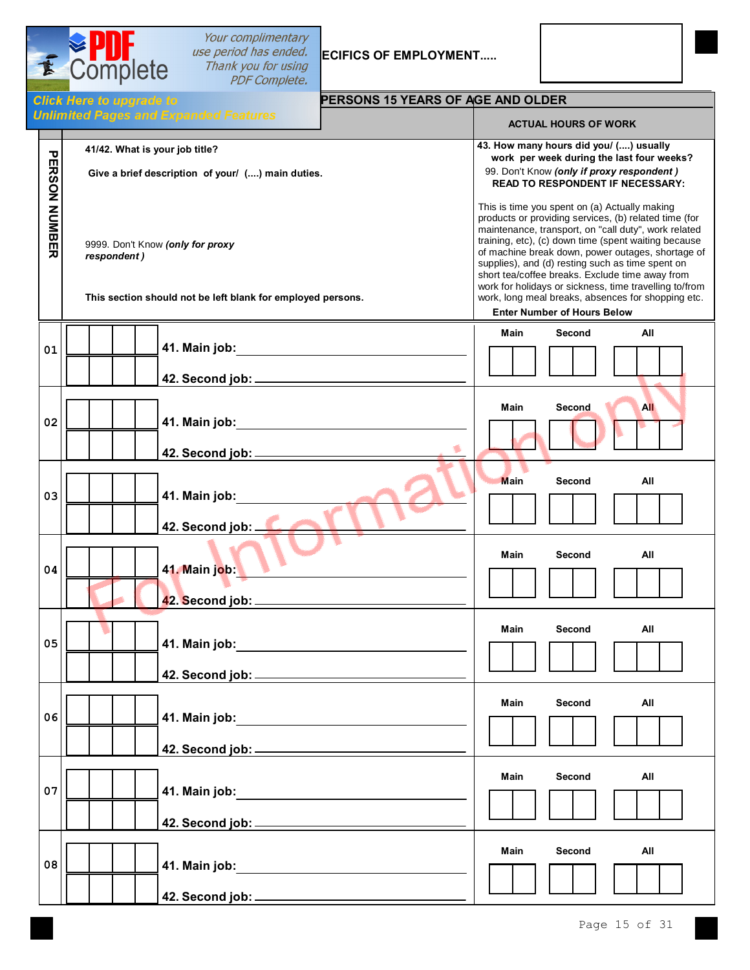

**PERSON NUMBER**

PERSON NUMBER

**01**

**02**

**03**

**04**

**05**

**06**

**07**

**08**

Your complimentary *use period has ended.* **ECIFICS OF EMPLOYMENT.....**<br>Thank you for using **PDF Complete.** 

**42. Second job:**

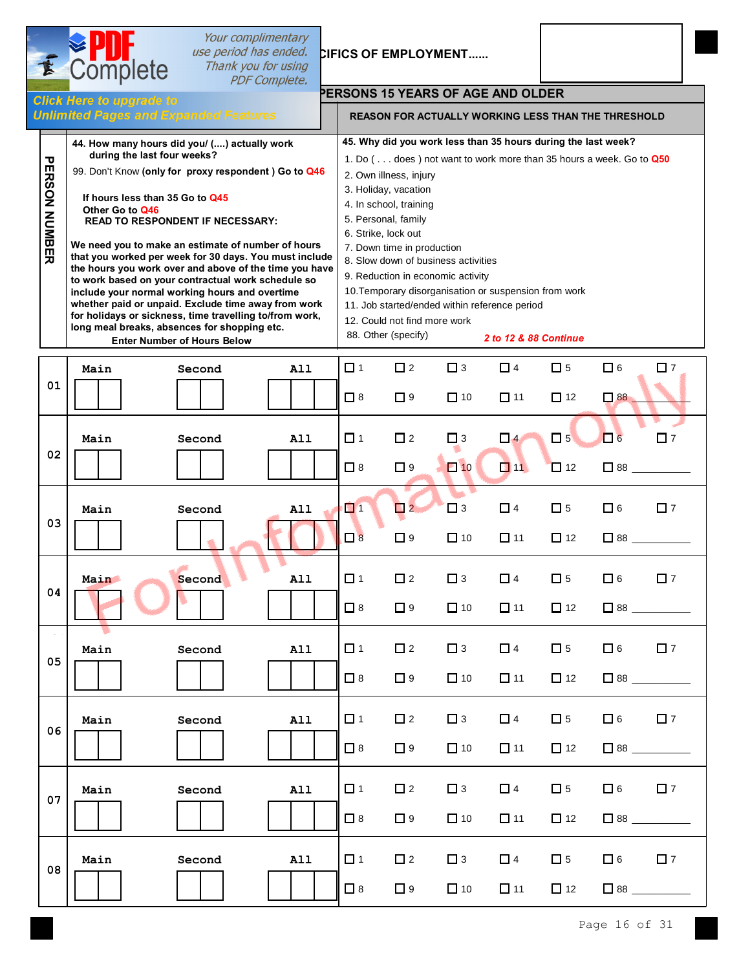| E                                            | Complete                                                                                                                                                                                                                                                                                                                                                                                                                                                                                                                                                                                                                                      | use period has ended.                                                         | Your complimentary<br>Thank you for using<br><b>PDF Complete.</b> |                      |                                                                                                                                                                                      | <b>CIFICS OF EMPLOYMENT</b>                                                                                                                                                                                                                                                                                                |                       |                          |                              |                                                                              |
|----------------------------------------------|-----------------------------------------------------------------------------------------------------------------------------------------------------------------------------------------------------------------------------------------------------------------------------------------------------------------------------------------------------------------------------------------------------------------------------------------------------------------------------------------------------------------------------------------------------------------------------------------------------------------------------------------------|-------------------------------------------------------------------------------|-------------------------------------------------------------------|----------------------|--------------------------------------------------------------------------------------------------------------------------------------------------------------------------------------|----------------------------------------------------------------------------------------------------------------------------------------------------------------------------------------------------------------------------------------------------------------------------------------------------------------------------|-----------------------|--------------------------|------------------------------|------------------------------------------------------------------------------|
|                                              | <b>Click Here to upgrade to</b>                                                                                                                                                                                                                                                                                                                                                                                                                                                                                                                                                                                                               |                                                                               |                                                                   |                      |                                                                                                                                                                                      | <b>PERSONS 15 YEARS OF AGE AND OLDER</b>                                                                                                                                                                                                                                                                                   |                       |                          |                              |                                                                              |
|                                              | <b>Unlimited Pages and Expanded Features</b>                                                                                                                                                                                                                                                                                                                                                                                                                                                                                                                                                                                                  |                                                                               |                                                                   |                      |                                                                                                                                                                                      | <b>REASON FOR ACTUALLY WORKING LESS THAN THE THRESHOLD</b>                                                                                                                                                                                                                                                                 |                       |                          |                              |                                                                              |
| $\boldsymbol{\nabla}$<br><b>ERSON NUMBER</b> | 44. How many hours did you/ () actually work<br>during the last four weeks?<br>99. Don't Know (only for proxy respondent) Go to Q46<br>If hours less than 35 Go to Q45<br>Other Go to Q46<br>We need you to make an estimate of number of hours<br>that you worked per week for 30 days. You must include<br>the hours you work over and above of the time you have<br>to work based on your contractual work schedule so<br>include your normal working hours and overtime<br>whether paid or unpaid. Exclude time away from work<br>for holidays or sickness, time travelling to/from work,<br>long meal breaks, absences for shopping etc. | <b>READ TO RESPONDENT IF NECESSARY:</b><br><b>Enter Number of Hours Below</b> |                                                                   | 6. Strike, lock out  | 2. Own illness, injury<br>3. Holiday, vacation<br>4. In school, training<br>5. Personal, family<br>7. Down time in production<br>12. Could not find more work<br>88. Other (specify) | 45. Why did you work less than 35 hours during the last week?<br>1. Do ( does) not want to work more than 35 hours a week. Go to Q50<br>8. Slow down of business activities<br>9. Reduction in economic activity<br>10. Temporary disorganisation or suspension from work<br>11. Job started/ended within reference period | 2 to 12 & 88 Continue |                          |                              |                                                                              |
| 01                                           | Main                                                                                                                                                                                                                                                                                                                                                                                                                                                                                                                                                                                                                                          | Second                                                                        | A11                                                               | $\Box$ 1<br>$\Box$ 8 | $\square$ 2<br>$\Box$ 9                                                                                                                                                              | $\Box$ 3<br>$\Box$ 10                                                                                                                                                                                                                                                                                                      | $\Box$ 4<br>$\Box$ 11 | $\square$ 5<br>$\Box$ 12 | $\Box$ 6<br>$\Box$ 88        | $\square$ 7                                                                  |
| 02                                           | Main                                                                                                                                                                                                                                                                                                                                                                                                                                                                                                                                                                                                                                          | Second                                                                        | <b>A11</b>                                                        | □ 1<br>$\Box$ 8      | $\square$ 2<br>$\Box$ 9                                                                                                                                                              | $\Box$ 3<br>$\Box$ 10                                                                                                                                                                                                                                                                                                      | $\Box$ 4<br>$\Box$ 11 | $\square$ 5<br>$\Box$ 12 | $\Box$ 6<br>$\Box$ 88 $\Box$ | $\square$ 7                                                                  |
| 03                                           | Main                                                                                                                                                                                                                                                                                                                                                                                                                                                                                                                                                                                                                                          | Second                                                                        | All                                                               | $\Box$ 1<br>$\Box$ 8 | $\Box$ 2<br>$\Box$ 9                                                                                                                                                                 | $\Box$ 3<br>$\Box$ 10                                                                                                                                                                                                                                                                                                      | $\Box$ 4<br>$\Box$ 11 | $\square$ 5<br>$\Box$ 12 | $\Box$ 6                     | $\square$ 7                                                                  |
| 04                                           | <u>Main</u>                                                                                                                                                                                                                                                                                                                                                                                                                                                                                                                                                                                                                                   | Second                                                                        | A11                                                               | $\Box$ 1<br>$\Box$ 8 | $\Box$ 2<br>$\Box$ 9                                                                                                                                                                 | $\Box$ 3<br>$\Box$ 10                                                                                                                                                                                                                                                                                                      | $\Box$ 4<br>$\Box$ 11 | $\Box$ 5<br>$\Box$ 12    | $\Box$ 6                     | $\square$ 7                                                                  |
| 05                                           | Main                                                                                                                                                                                                                                                                                                                                                                                                                                                                                                                                                                                                                                          | Second                                                                        | A11                                                               | $\Box$ 1<br>$\Box$ 8 | $\Box$ 2<br>$\Box$ 9                                                                                                                                                                 | $\Box$ 3<br>$\Box$ 10                                                                                                                                                                                                                                                                                                      | $\Box$ 4<br>$\Box$ 11 | $\Box$ 5<br>$\Box$ 12    | $\Box$ 6                     | $\square$ 7<br>$\begin{array}{ c c c }\n\hline\n & 88 & \hline\n\end{array}$ |
| 06                                           | Main                                                                                                                                                                                                                                                                                                                                                                                                                                                                                                                                                                                                                                          | Second                                                                        | A11                                                               | $\Box$ 1<br>$\Box$ 8 | $\square$ 2<br>$\Box$ 9                                                                                                                                                              | $\Box$ 3<br>$\Box$ 10                                                                                                                                                                                                                                                                                                      | $\Box$ 4<br>$\Box$ 11 | $\Box$ 5<br>$\Box$ 12    | $\Box$ 6                     | $\square$ 7                                                                  |
| 07                                           | Main                                                                                                                                                                                                                                                                                                                                                                                                                                                                                                                                                                                                                                          | Second                                                                        | <b>A11</b>                                                        | □ 1<br>$\Box$ 8      | $\Box$ 2<br>$\Box$ 9                                                                                                                                                                 | $\Box$ 3<br>$\Box$ 10                                                                                                                                                                                                                                                                                                      | $\Box$ 4<br>$\Box$ 11 | $\square$ 5<br>$\Box$ 12 | $\Box$ 6                     | $\square$ 7                                                                  |
| 08                                           | Main                                                                                                                                                                                                                                                                                                                                                                                                                                                                                                                                                                                                                                          | Second                                                                        | A11                                                               | $\Box$ 1<br>$\Box$ 8 | $\Box$ 2<br>$\Box$ 9                                                                                                                                                                 | $\Box$ 3<br>$\Box$ 10                                                                                                                                                                                                                                                                                                      | $\Box$ 4<br>$\Box$ 11 | $\Box$ 5<br>$\Box$ 12    | $\Box$ 6                     | $\Box$ 7                                                                     |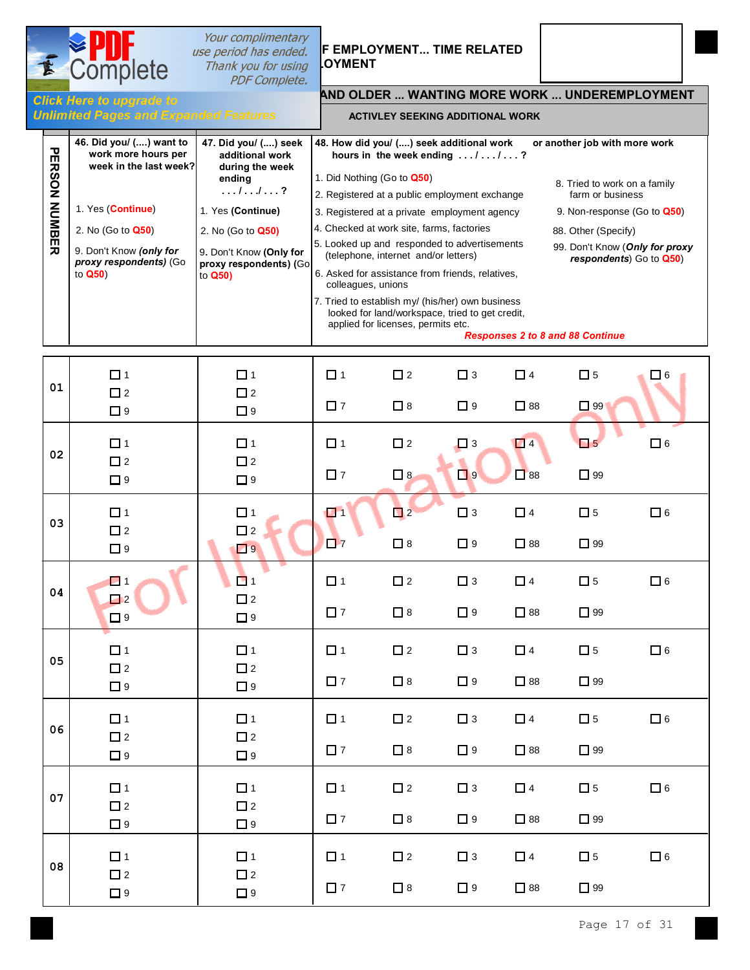# **Thank you for using COYMENT**<br>**PDF Complete.**

# **Your complimentary**<br> **SECTION USE PERPLOYMENT... TIME RELATED**

**Unlimited Pages and Expanding International Expanding Inc.** 

Complete

## **AND OLDER ... WANTING MORE WORK ... UNDEREMPLOYMENT** Click Here to upgrade to

#### **ACTIVLEY SEEKING ADDITIONAL WORK**

| <b>PERSON NUMBER</b> | 46. Did you/ () want to<br>work more hours per<br>week in the last week?<br>1. Yes (Continue)<br>2. No (Go to Q50)<br>9. Don't Know (only for<br>proxy respondents) (Go<br>to Q50) | 47. Did you/ () seek<br>additional work<br>during the week<br>ending<br>$\dots \dots$<br>1. Yes (Continue)<br>2. No (Go to Q50)<br>9. Don't Know (Only for<br>proxy respondents) (Go<br>to Q50) | 48. How did you/ () seek additional work<br>1. Did Nothing (Go to Q50)<br>2. Registered at a public employment exchange<br>3. Registered at a private employment agency<br>4. Checked at work site, farms, factories<br>5. Looked up and responded to advertisements<br>6. Asked for assistance from friends, relatives,<br>colleagues, unions<br>7. Tried to establish my/ (his/her) own business | hours in the week ending //?<br>(telephone, internet and/or letters)<br>looked for land/workspace, tried to get credit,<br>applied for licenses, permits etc. |                         | or another job with more work<br>8. Tried to work on a family<br>farm or business<br>9. Non-response (Go to Q50)<br>88. Other (Specify)<br>99. Don't Know (Only for proxy<br>respondents) Go to Q50)<br><b>Responses 2 to 8 and 88 Continue</b> |                          |            |
|----------------------|------------------------------------------------------------------------------------------------------------------------------------------------------------------------------------|-------------------------------------------------------------------------------------------------------------------------------------------------------------------------------------------------|----------------------------------------------------------------------------------------------------------------------------------------------------------------------------------------------------------------------------------------------------------------------------------------------------------------------------------------------------------------------------------------------------|---------------------------------------------------------------------------------------------------------------------------------------------------------------|-------------------------|-------------------------------------------------------------------------------------------------------------------------------------------------------------------------------------------------------------------------------------------------|--------------------------|------------|
| 01                   | $\Box$ 1<br>$\square$ 2<br>$\Box$ 9                                                                                                                                                | $\Box$ 1<br>$\square$ 2<br>$\Box$ 9                                                                                                                                                             | $\Box$ 1<br>$\square$ 7                                                                                                                                                                                                                                                                                                                                                                            | $\square$ 2<br>$\Box$ 8                                                                                                                                       | $\Box$ 3<br>$\Box$ 9    | $\Box$ 4<br>$\square$ 88                                                                                                                                                                                                                        | $\square$ 5<br>$\Box$ 99 | <b>」</b> 6 |
| 02                   | $\Box$ 1<br>$\square$ 2<br>$\Box$ 9                                                                                                                                                | $\Box$ 1<br>$\square$ 2<br>$\Box$ 9                                                                                                                                                             | $\Box$ 1<br>$\square$ 7                                                                                                                                                                                                                                                                                                                                                                            | $\square$ 2<br>$\Box$ 8                                                                                                                                       | $\Box$ 3<br>$\Box$ 9    | $\Box$ 4<br>$\Box$ 88                                                                                                                                                                                                                           | $\Box$ 5<br>$\Box$ 99    | $\Box$ 6   |
| 03                   | $\Box$ 1<br>$\square$ 2<br>$\Box$ 9                                                                                                                                                | $\Box$ 1<br>$\square$ 2<br>$\Box$ 9                                                                                                                                                             | $\Box$<br>$\square$ 7                                                                                                                                                                                                                                                                                                                                                                              | $\Box$ 2<br>$\Box$ 8                                                                                                                                          | $\Box$ 3<br>$\Box$ 9    | $\Box$ 4<br>$\square$ 88                                                                                                                                                                                                                        | $\square$ 5<br>$\Box$ 99 | $\Box$ 6   |
| 04                   | $\Box$ 1<br>$\Box$ 2<br>$\Box$ 9                                                                                                                                                   | $\blacksquare$ 1<br>$\square$ 2<br>$\Box$ 9                                                                                                                                                     | $\Box$ 1<br>$\Box$ 7                                                                                                                                                                                                                                                                                                                                                                               | $\square$ 2<br>$\Box$ 8                                                                                                                                       | $\square$ 3<br>$\Box$ 9 | $\Box$ 4<br>$\square$ 88                                                                                                                                                                                                                        | $\square$ 5<br>$\Box$ 99 | $\Box$ 6   |
| 05                   | $\Box$ 1<br>$\Box$ 2<br>$\Box$ 9                                                                                                                                                   | $\Box$ 1<br>$\Box$ 2<br>$\Box$ 9                                                                                                                                                                | $\Box$ 1<br>$\square$ 7                                                                                                                                                                                                                                                                                                                                                                            | $\Box$ 2<br>$\square$ 8                                                                                                                                       | $\Box$ 3<br>$\Box$ 9    | $\Box$ 4<br>$\square$ 88                                                                                                                                                                                                                        | $\square$ 5<br>$\Box$ 99 | $\Box$ 6   |
| 06                   | $\Box$ 1<br>$\square$ 2<br>$\Box$ 9                                                                                                                                                | $\Box$ 1<br>$\square$ 2<br>$\Box$ 9                                                                                                                                                             | $\Box$ 1<br>$\square$ 7                                                                                                                                                                                                                                                                                                                                                                            | $\square$ 2<br>$\square$ 8                                                                                                                                    | $\Box$ 3<br>$\Box$ 9    | $\Box$ 4<br>$\Box$ 88                                                                                                                                                                                                                           | $\square$ 5<br>$\Box$ 99 | $\Box$ 6   |
| 07                   | $\Box$ 1<br>$\square$ 2<br>$\Box$ 9                                                                                                                                                | $\Box$ 1<br>$\square$ 2<br>$\Box$ 9                                                                                                                                                             | $\Box$ 1<br>$\square$ 7                                                                                                                                                                                                                                                                                                                                                                            | $\square$ 2<br>$\Box$ 8                                                                                                                                       | $\Box$ 3<br>$\Box$ 9    | $\Box$ 4<br>$\square$ 88                                                                                                                                                                                                                        | $\square$ 5<br>$\Box$ 99 | $\Box$ 6   |
| 08                   | $\Box$ 1<br>$\Box$ 2<br>$\Box$ 9                                                                                                                                                   | $\Box$ 1<br>$\square$ 2<br>$\Box$ 9                                                                                                                                                             | $\Box$ 1<br>$\square$ 7                                                                                                                                                                                                                                                                                                                                                                            | $\square$ 2<br>$\Box$ 8                                                                                                                                       | $\Box$ 3<br>$\Box$ 9    | $\Box$ 4<br>$\square$ 88                                                                                                                                                                                                                        | $\square$ 5<br>$\Box$ 99 | $\Box$ 6   |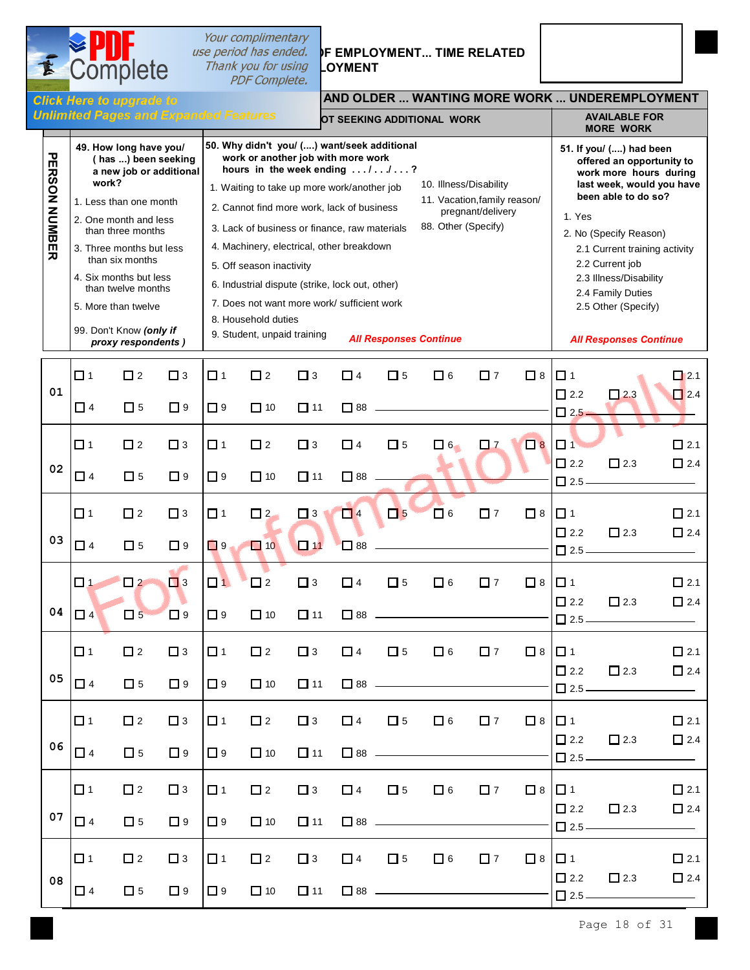

**USE period has ended. IF EMPLOYMENT... TIME RELATED** 

Complete

E

### **AND OLDER ... WANTING MORE WORK ... UNDEREMPLOYMENT**

|                      |                                                                                                                                                                                                                                                                                                                                                                                                                                                                                                                                                                                                                                                                                                                                                                                                                                                                                                                                                                             |                            | <b>Unlimited Pages and Expanded Features</b> |                      |                          |                          |                          |             | OT SEEKING ADDITIONAL WORK |                                                                                                                                                                                                                                                                                                                         |                         |                                          | <b>AVAILABLE FOR</b><br><b>MORE WORK</b> |                          |
|----------------------|-----------------------------------------------------------------------------------------------------------------------------------------------------------------------------------------------------------------------------------------------------------------------------------------------------------------------------------------------------------------------------------------------------------------------------------------------------------------------------------------------------------------------------------------------------------------------------------------------------------------------------------------------------------------------------------------------------------------------------------------------------------------------------------------------------------------------------------------------------------------------------------------------------------------------------------------------------------------------------|----------------------------|----------------------------------------------|----------------------|--------------------------|--------------------------|--------------------------|-------------|----------------------------|-------------------------------------------------------------------------------------------------------------------------------------------------------------------------------------------------------------------------------------------------------------------------------------------------------------------------|-------------------------|------------------------------------------|------------------------------------------|--------------------------|
| <b>PERSON NUMBER</b> | 50. Why didn't you/ () want/seek additional<br>49. How long have you/<br>work or another job with more work<br>(has ) been seeking<br>hours in the week ending //?<br>a new job or additional<br>work?<br>10. Illness/Disability<br>1. Waiting to take up more work/another job<br>11. Vacation, family reason/<br>1. Less than one month<br>2. Cannot find more work, lack of business<br>pregnant/delivery<br>2. One month and less<br>88. Other (Specify)<br>3. Lack of business or finance, raw materials<br>than three months<br>4. Machinery, electrical, other breakdown<br>3. Three months but less<br>than six months<br>5. Off season inactivity<br>4. Six months but less<br>6. Industrial dispute (strike, lock out, other)<br>than twelve months<br>7. Does not want more work/ sufficient work<br>5. More than twelve<br>8. Household duties<br>99. Don't Know (only if<br>9. Student, unpaid training<br><b>All Responses Continue</b><br>proxy respondents) |                            |                                              |                      |                          |                          |                          |             | 1. Yes                     | 51. If you/ () had been<br>offered an opportunity to<br>work more hours during<br>last week, would you have<br>been able to do so?<br>2. No (Specify Reason)<br>2.1 Current training activity<br>2.2 Current job<br>2.3 Illness/Disability<br>2.4 Family Duties<br>2.5 Other (Specify)<br><b>All Responses Continue</b> |                         |                                          |                                          |                          |
| 01                   | $\Box$ 1<br>$\Box$ 4                                                                                                                                                                                                                                                                                                                                                                                                                                                                                                                                                                                                                                                                                                                                                                                                                                                                                                                                                        | $\square$ 2<br>$\Box$ 5    | $\Box$ 3<br>$\Box$ 9                         | $\Box$ 1<br>$\Box$ 9 | $\square$ 2<br>$\Box$ 10 | $\square$ 3<br>$\Box$ 11 | $\Box$ 4<br>$\Box$ 88    | $\square$ 5 | $\Box$ 6                   | $\square$ 7                                                                                                                                                                                                                                                                                                             | $\Box$ 8                | $\Box$ 1<br>$\Box$ 2.2<br>$\Box$ 2.5     | $\Box$ 2.3                               | $\Box$ 2.1<br>$\Box$ 2.4 |
| 02                   | $\Box$ 1<br>$\Box$ 4                                                                                                                                                                                                                                                                                                                                                                                                                                                                                                                                                                                                                                                                                                                                                                                                                                                                                                                                                        | $\square$ 2<br>$\square$ 5 | $\Box$ 3<br>$\Box$ 9                         | $\Box$ 1<br>$\Box$ 9 | $\square$ 2<br>$\Box$ 10 | $\square$ 3<br>$\Box$ 11 | $\Box$ 4<br>$\square$ 88 | $\Box$ 5    | $\Box$ 6                   | $\square$ 7                                                                                                                                                                                                                                                                                                             | $\Box$ 8                | $\Box$ 1<br>$\Box$ 2.2<br>$\Box$ 2.5 $-$ | $\square$ 2.3                            | $\Box$ 2.1<br>$\Box$ 2.4 |
| 03                   | $\Box$ 1<br>$\Box$ 4                                                                                                                                                                                                                                                                                                                                                                                                                                                                                                                                                                                                                                                                                                                                                                                                                                                                                                                                                        | $\square$ 2<br>$\square$ 5 | $\Box$ 3<br>$\Box$ 9                         | $\Box$ 1<br>$\Box$ 9 | $\Box$ 2<br>$\Box$ 10    | $\Box$ 3<br>$\Box$ 11    | $\Box$ 4<br>$\square$ 88 | $\Box$ 5    | $\Box$ 6                   | $\square$ 7                                                                                                                                                                                                                                                                                                             | $\Box$ 8                | $\Box$ 1<br>$\Box$ 2.2<br>$\Box$ 2.5     | $\Box$ 2.3                               | $\Box$ 2.1<br>$\Box$ 2.4 |
| 04                   | $\Box$ 1<br>$\Box$ 4                                                                                                                                                                                                                                                                                                                                                                                                                                                                                                                                                                                                                                                                                                                                                                                                                                                                                                                                                        | $\Box$ 2<br>$\Box$ 5       | $\Box$ 3<br>$\square$ 9                      | $\Box$ 1<br>$\Box$ 9 | $\square$ 2<br>$\Box$ 10 | $\square$ 3<br>$\Box$ 11 | $\Box$ 4<br>$\Box$ 88    | $\square$ 5 | $\Box$ 6                   | $\square$ 7                                                                                                                                                                                                                                                                                                             | $\Box$ 8                | $\Box$ 1<br>$\Box$ 2.2<br>$\square$ 2.5  | $\Box$ 2.3                               | $\Box$ 2.1<br>$\Box$ 2.4 |
| 05                   | $\Box$ 1<br>$\Box$ 4                                                                                                                                                                                                                                                                                                                                                                                                                                                                                                                                                                                                                                                                                                                                                                                                                                                                                                                                                        | $\square$ 2<br>$\Box$ 5    | $\Box$ 3<br>$\Box$ 9                         | $\Box$ 1<br>$\Box$ 9 | $\square$ 2<br>$\Box$ 10 | $\square$ 3<br>$\Box$ 11 | $\Box$ 4                 | $\square$ 5 | $\Box$ 6                   | $\square$ 7                                                                                                                                                                                                                                                                                                             | $\Box$ 8                | $\Box$ 1<br>$\Box$ 2.2<br>$\Box$ 2.5 -   | $\square$ 2.3                            | $\Box$ 2.1<br>$\Box$ 2.4 |
| 06                   | $\Box$ 1<br>$\Box$ 4                                                                                                                                                                                                                                                                                                                                                                                                                                                                                                                                                                                                                                                                                                                                                                                                                                                                                                                                                        | $\Box$ 2<br>$\Box$ 5       | $\Box$ 3<br>$\Box$ 9                         | $\Box$ 1<br>$\Box$ 9 | $\Box$ 2<br>$\Box$ 10    | $\Box$ 3<br>$\Box$ 11    | $\Box$ 4                 | $\square$ 5 | $\Box$ 6                   | $\Box$ 7                                                                                                                                                                                                                                                                                                                | $\square$ 8 $\square$ 1 | $\Box$ 2.2<br>$\Box$ 2.5 $-$             | $\square$ 2.3                            | $\Box$ 2.1<br>$\Box$ 2.4 |
| 07                   | $\Box$ 1<br>$\Box$ 4                                                                                                                                                                                                                                                                                                                                                                                                                                                                                                                                                                                                                                                                                                                                                                                                                                                                                                                                                        | $\square$ 2<br>$\Box$ 5    | $\Box$ 3<br>$\Box$ 9                         | $\Box$ 1<br>$\Box$ 9 | $\square$ 2<br>$\Box$ 10 | $\Box$ 3<br>$\square$ 11 | $\Box$ 4                 | $\square$ 5 | $\square$ 6                | $\square$ 7                                                                                                                                                                                                                                                                                                             | □8 □1                   | $\square$ 2.2<br>$\Box$ 2.5 –            | $\square$ 2.3                            | $\Box$ 2.1<br>$\Box$ 2.4 |
| 08                   | $\Box$ 1<br>$\Box$ 4                                                                                                                                                                                                                                                                                                                                                                                                                                                                                                                                                                                                                                                                                                                                                                                                                                                                                                                                                        | $\square$ 2<br>$\Box$ 5    | $\Box$ 3<br>$\Box$ 9                         | $\Box$ 1<br>$\Box$ 9 | $\square$ 2<br>$\Box$ 10 | $\Box$ 3<br>$\Box$ 11    | $\Box$ 4                 | $\Box$ 5    | $\Box$ 6                   | $\square$ 7                                                                                                                                                                                                                                                                                                             | □8  □1                  | $\Box$ 2.2<br>$\Box$ 2.5 –               | $\square$ 2.3                            | $\Box$ 2.1<br>$\Box$ 2.4 |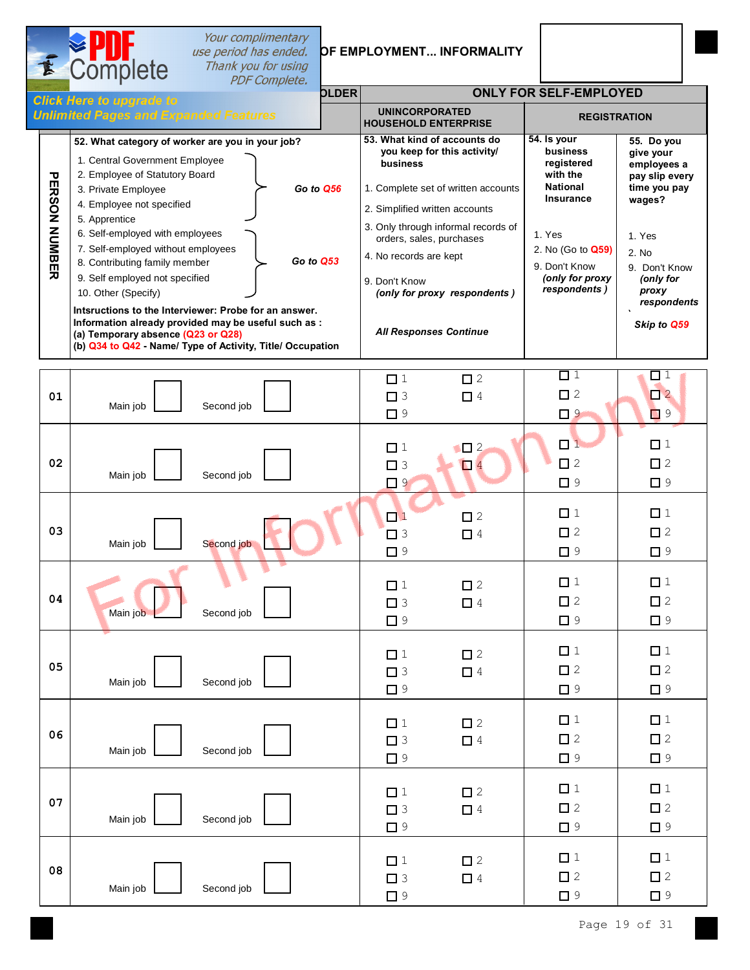# **Sour complimentary<br>
SECTION A.2 section as ended. OF EMPLOYMENT... INFORMALITY**<br>
Thank you for using

|                             | <b>E</b> Complete                                                                                                                                                                                                                                                                                                                                                                                                                                                             | Thank you for using<br><b>PDF Complete.</b> |              |                                                                                                                                                                                                                                                                                                |                                                                                                                                                                                           |                                                                                                                                                                            |
|-----------------------------|-------------------------------------------------------------------------------------------------------------------------------------------------------------------------------------------------------------------------------------------------------------------------------------------------------------------------------------------------------------------------------------------------------------------------------------------------------------------------------|---------------------------------------------|--------------|------------------------------------------------------------------------------------------------------------------------------------------------------------------------------------------------------------------------------------------------------------------------------------------------|-------------------------------------------------------------------------------------------------------------------------------------------------------------------------------------------|----------------------------------------------------------------------------------------------------------------------------------------------------------------------------|
|                             | <b>Click Here to upgrade to</b>                                                                                                                                                                                                                                                                                                                                                                                                                                               |                                             | <b>OLDER</b> |                                                                                                                                                                                                                                                                                                | <b>ONLY FOR SELF-EMPLOYED</b>                                                                                                                                                             |                                                                                                                                                                            |
|                             | <b>Unlimited Pages and Expanded Features</b>                                                                                                                                                                                                                                                                                                                                                                                                                                  |                                             |              | <b>UNINCORPORATED</b><br><b>HOUSEHOLD ENTERPRISE</b>                                                                                                                                                                                                                                           | <b>REGISTRATION</b>                                                                                                                                                                       |                                                                                                                                                                            |
| <b>PERSON</b><br>NUMBE<br>ᄀ | 52. What category of worker are you in your job?<br>1. Central Government Employee<br>2. Employee of Statutory Board<br>3. Private Employee<br>4. Employee not specified<br>5. Apprentice<br>6. Self-employed with employees<br>7. Self-employed without employees<br>8. Contributing family member<br>9. Self employed not specified<br>10. Other (Specify)<br>Intsructions to the Interviewer: Probe for an answer.<br>Information already provided may be useful such as : | Go to Q53                                   | Go to Q56    | 53. What kind of accounts do<br>you keep for this activity/<br>business<br>1. Complete set of written accounts<br>2. Simplified written accounts<br>3. Only through informal records of<br>orders, sales, purchases<br>4. No records are kept<br>9. Don't Know<br>(only for proxy respondents) | 54. Is your<br><b>business</b><br>registered<br>with the<br><b>National</b><br><b>Insurance</b><br>1. Yes<br>2. No (Go to <b>Q59)</b><br>9. Don't Know<br>(only for proxy<br>respondents) | 55. Do you<br>give your<br>employees a<br>pay slip every<br>time you pay<br>wages?<br>1. Yes<br>2. No<br>9. Don't Know<br>(only for<br>proxy<br>respondents<br>Skip to Q59 |
|                             | (a) Temporary absence (Q23 or Q28)<br>(b) Q34 to Q42 - Name/ Type of Activity, Title/ Occupation                                                                                                                                                                                                                                                                                                                                                                              |                                             |              | <b>All Responses Continue</b>                                                                                                                                                                                                                                                                  |                                                                                                                                                                                           |                                                                                                                                                                            |

 $\frac{1}{2}$ 

|    |          |            | $\Box$ 1                            | $\square$ 2             | $\Box$ 1<br>$\square$ 2             | $\Box$ 1<br>$\square$ 2             |
|----|----------|------------|-------------------------------------|-------------------------|-------------------------------------|-------------------------------------|
| 01 | Main job | Second job | $\Box$ 3<br>$\Box$ 9                | $\Box$ 4                | $\Box$ 9                            | $\Box$ 9                            |
|    |          |            | $\Box$ 1                            | $\Box$ 2                | $\Box$ 1                            | $\Box$ 1                            |
| 02 |          |            | $\Box$ 3                            | $\Box$                  | $\Box$ 2                            | $\square$ 2                         |
|    | Main job | Second job | $\Box$ 9                            |                         | $\Box$ 9                            | $\Box$<br>9                         |
| 03 |          | Second job | $\Box$ 1<br>$\square$ 3             | $\square$ 2<br>$\Box$ 4 | $\Box$ 1<br>$\square$ 2             | $\Box$ 1<br>$\square$ 2             |
|    | Main job |            | $\Box$ 9                            |                         | $\Box$ 9                            | $\Box$ 9                            |
| 04 | Main job | Second job | $\Box$ 1<br>$\square$ 3<br>$\Box$ 9 | $\square$ 2<br>$\Box$ 4 | $\Box$ 1<br>$\square$ 2<br>$\Box$ 9 | $\Box$ 1<br>$\square$ 2<br>$\Box$ 9 |
| 05 | Main job | Second job | $\Box$ 1<br>$\square$ 3<br>$\Box$ 9 | $\square$ 2<br>$\Box$ 4 | $\Box$ 1<br>$\square$ 2<br>$\Box$ 9 | $\Box$ 1<br>$\square$ 2<br>$\Box$ 9 |
| 06 | Main job | Second job | $\Box$ 1<br>$\square$ 3<br>$\Box$ 9 | $\square$ 2<br>$\Box$ 4 | $\Box$ 1<br>$\square$ 2<br>$\Box$ 9 | $\Box$ 1<br>$\square$ 2<br>$\Box$ 9 |
| 07 | Main job | Second job | $\Box$ 1<br>$\square$ 3<br>$\Box$ 9 | $\square$ 2<br>$\Box$ 4 | $\Box$ 1<br>$\Box$ 2<br>$\Box$ 9    | $\Box$ 1<br>$\square$ 2<br>$\Box$ 9 |
| 08 | Main job | Second job | $\Box$ 1<br>$\square$ 3<br>$\Box$ 9 | $\square$ 2<br>$\Box$ 4 | $\Box$ 1<br>$\Box$ 2<br>$\Box$ 9    | $\Box$ 1<br>$\square$ 2<br>$\Box$ 9 |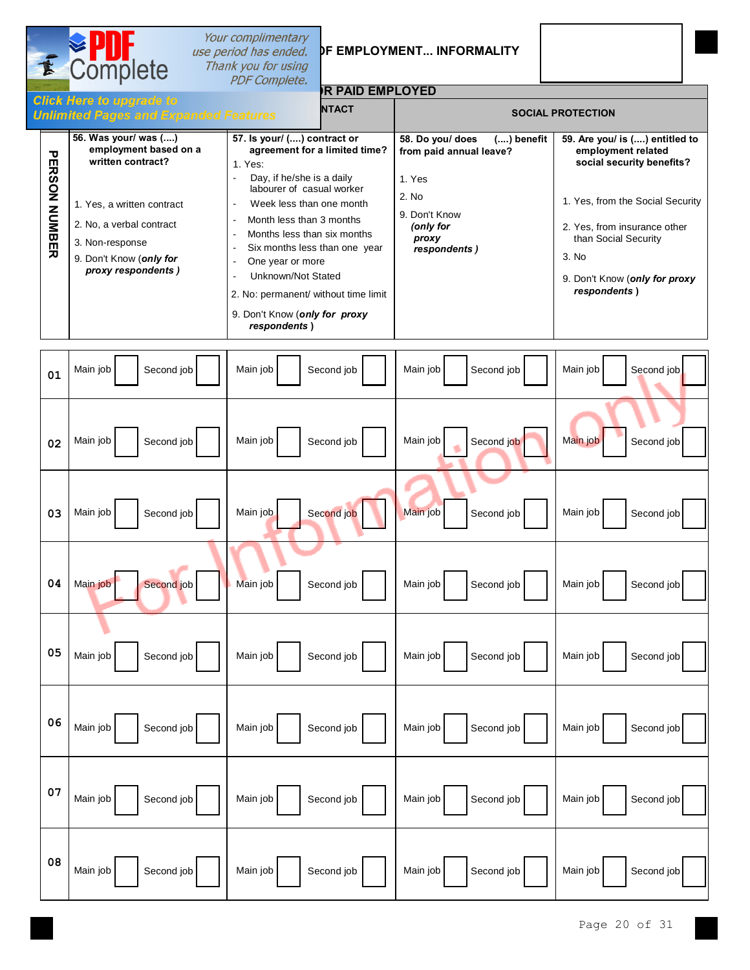

# **Sur complimentary<br>
SECTION 12 : SPECIFIC OPTION AND Thank you for using<br>
PDF Complete.**

### **OR PAID EMPLOYED**

|                                     | сиск неге то прогаде то<br><b>Unlimited Pages and Expanded Features</b>                                                                                                                          | <b>NTACT</b>                                                                                                                                                                                                                                                                                                                                                                                                                     |                                                                                                                                       | <b>SOCIAL PROTECTION</b>                                                                                                                                                                                                                |
|-------------------------------------|--------------------------------------------------------------------------------------------------------------------------------------------------------------------------------------------------|----------------------------------------------------------------------------------------------------------------------------------------------------------------------------------------------------------------------------------------------------------------------------------------------------------------------------------------------------------------------------------------------------------------------------------|---------------------------------------------------------------------------------------------------------------------------------------|-----------------------------------------------------------------------------------------------------------------------------------------------------------------------------------------------------------------------------------------|
| ᠊ᠣ<br><b>ERSON</b><br><b>NUMBER</b> | 56. Was your/ was ()<br>employment based on a<br>written contract?<br>1. Yes, a written contract<br>2. No, a verbal contract<br>3. Non-response<br>9. Don't Know (only for<br>proxy respondents) | 57. Is your/ () contract or<br>agreement for a limited time?<br>1. Yes:<br>Day, if he/she is a daily<br>labourer of casual worker<br>Week less than one month<br>$\blacksquare$<br>Month less than 3 months<br>Months less than six months<br>Six months less than one year<br>One year or more<br>Unknown/Not Stated<br>$\blacksquare$<br>2. No: permanent/ without time limit<br>9. Don't Know (only for proxy<br>respondents) | 58. Do you/ does<br>$()$ benefit<br>from paid annual leave?<br>1. Yes<br>2. No<br>9. Don't Know<br>(only for<br>proxy<br>respondents) | 59. Are you/ is () entitled to<br>employment related<br>social security benefits?<br>1. Yes, from the Social Security<br>2. Yes, from insurance other<br>than Social Security<br>3. No<br>9. Don't Know (only for proxy<br>respondents) |

| 01 | Main job   | Main job   | Main job   | Main job   |
|----|------------|------------|------------|------------|
|    | Second job | Second job | Second job | Second job |
| 02 | Main job   | Main job   | Main job   | Main job   |
|    | Second job | Second job | Second job | Second job |
| 03 | Main job   | Second job | Main job   | Main job   |
|    | Second job | Main job   | Second job | Second job |
| 04 | Main job   | Main job   | Main job   | Main job   |
|    | Second job | Second job | Second job | Second job |
| 05 | Main job   | Main job   | Main job   | Main job   |
|    | Second job | Second job | Second job | Second job |
| 06 | Main job   | Main job   | Main job   | Main job   |
|    | Second job | Second job | Second job | Second job |
| 07 | Main job   | Main job   | Main job   | Main job   |
|    | Second job | Second job | Second job | Second job |
| 08 | Main job   | Main job   | Main job   | Main job   |
|    | Second job | Second job | Second job | Second job |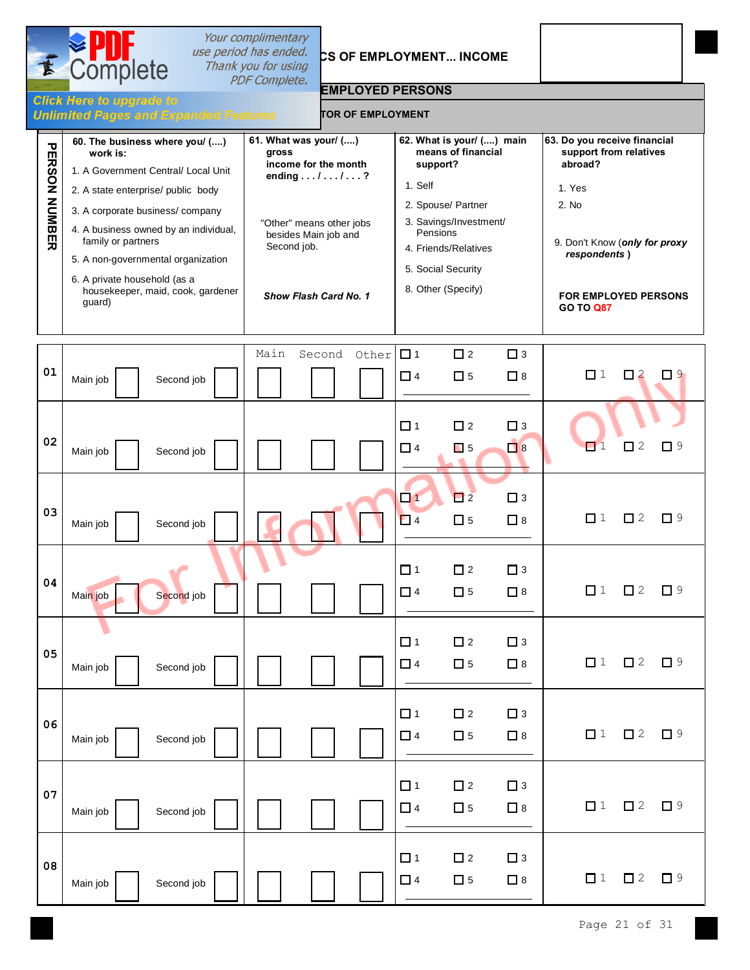| E                       | Complete                                                                                                                                                                                                                                                                                                                                       | Your complimentary<br>use period has ended.<br>Thank you for using                                                                                                 | CS OF EMPLOYMENT INCOME                                                                                                                                                                                |                                                                                                                                                                                   |
|-------------------------|------------------------------------------------------------------------------------------------------------------------------------------------------------------------------------------------------------------------------------------------------------------------------------------------------------------------------------------------|--------------------------------------------------------------------------------------------------------------------------------------------------------------------|--------------------------------------------------------------------------------------------------------------------------------------------------------------------------------------------------------|-----------------------------------------------------------------------------------------------------------------------------------------------------------------------------------|
|                         |                                                                                                                                                                                                                                                                                                                                                | <b>PDF Complete.</b><br><b>EMPLOYED PERSONS</b>                                                                                                                    |                                                                                                                                                                                                        |                                                                                                                                                                                   |
|                         | <b>Click Here to upgrade to</b><br><b>Unlimited Pages and Expanded Features</b>                                                                                                                                                                                                                                                                | <b>TOR OF EMPLOYMENT</b>                                                                                                                                           |                                                                                                                                                                                                        |                                                                                                                                                                                   |
| 品<br><b>RSON NUMBER</b> | 60. The business where you/ ()<br>work is:<br>1. A Government Central/ Local Unit<br>2. A state enterprise/ public body<br>3. A corporate business/company<br>4. A business owned by an individual,<br>family or partners<br>5. A non-governmental organization<br>6. A private household (as a<br>housekeeper, maid, cook, gardener<br>guard) | 61. What was your/ ()<br>gross<br>income for the month<br>ending / / ?<br>"Other" means other jobs<br>besides Main job and<br>Second job.<br>Show Flash Card No. 1 | 62. What is your/ () main<br>means of financial<br>support?<br>1. Self<br>2. Spouse/ Partner<br>3. Savings/Investment/<br>Pensions<br>4. Friends/Relatives<br>5. Social Security<br>8. Other (Specify) | 63. Do you receive financial<br>support from relatives<br>abroad?<br>1. Yes<br>2. No<br>9. Don't Know (only for proxy<br>respondents)<br>FOR EMPLOYED PERSONS<br><b>GO TO Q87</b> |
| 01                      | Second job<br>Main job                                                                                                                                                                                                                                                                                                                         | Main<br>Other<br>Second                                                                                                                                            | $\square$ 2<br>$\Box$ 1<br>$\Box$ 3<br>$\Box$ 4<br>$\square$ 5<br>$\Box$ 8                                                                                                                             | $\Box$ 1<br>$\Box$ 2<br>$\Box$ 9                                                                                                                                                  |
| 02                      | Second job<br>Main job                                                                                                                                                                                                                                                                                                                         |                                                                                                                                                                    | $\Box$ 1<br>$\square$ 2<br>$\Box$ 3<br>$\Box$ 8<br>$\Box$ 4<br>$\blacksquare$ 5                                                                                                                        | $\Box$ 1<br>2<br>Г 9<br>$\Box$                                                                                                                                                    |
| 03                      | Second job<br>Main job                                                                                                                                                                                                                                                                                                                         |                                                                                                                                                                    | $\Box$ 2<br>$\Box$ 1<br>$\Box$ 3<br>$\square$ 5<br>$\Box$ 8<br>$\Box$ 4                                                                                                                                | $\Box$ 1<br>$\Box$ 2<br>$\Box$ 9                                                                                                                                                  |
| 04                      | Second job<br>Main job                                                                                                                                                                                                                                                                                                                         |                                                                                                                                                                    | $\Box$ 1<br>$\square$ 2<br>$\square$ 3<br>$\Box$ 5<br>$\Box$ 4<br>$\Box$ 8                                                                                                                             | $\Box$ 1<br>$\square$ 2<br>$\Box$ 9                                                                                                                                               |
| 05                      | Second job<br>Main job                                                                                                                                                                                                                                                                                                                         |                                                                                                                                                                    | $\Box$ 1<br>$\square$ 2<br>$\Box$ 3<br>$\Box$ 4<br>$\square$ 5<br>$\Box$ 8                                                                                                                             | $\Box$ 1<br>$\Box$ 2<br>$\Box$ 9                                                                                                                                                  |
| 06                      | Second job<br>Main job                                                                                                                                                                                                                                                                                                                         |                                                                                                                                                                    | $\Box$ 1<br>$\square$ 2<br>$\Box$ 3<br>$\Box$ 5<br>$\Box$ 4<br>$\Box$ 8                                                                                                                                | $\Box$ 1<br>$\Box$ 2<br>$\Box$ 9                                                                                                                                                  |
| 07                      | Second job<br>Main job                                                                                                                                                                                                                                                                                                                         |                                                                                                                                                                    | $\Box$ 1<br>$\square$ 2<br>$\square$ 3<br>$\Box$ 5<br>$\Box$ 8<br>$\Box$ 4                                                                                                                             | $\Box$ 1<br>$\square$ 2<br>$\Box$ 9                                                                                                                                               |
| 08                      | Second job<br>Main job                                                                                                                                                                                                                                                                                                                         |                                                                                                                                                                    | $\square$ 2<br>$\square$ 3<br>$\Box$ 1<br>$\Box$ 5<br>$\Box$ 8<br>$\Box$ 4                                                                                                                             | $\square$ 2<br>$\Box$ 1<br>$\Box$ 9                                                                                                                                               |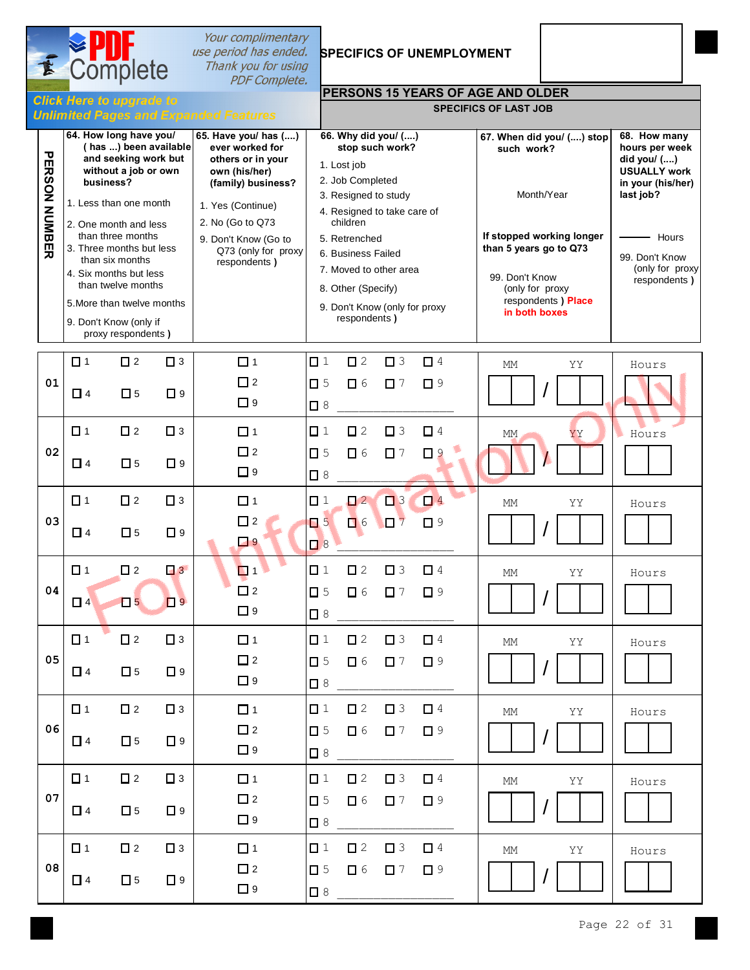| E                        |                                                                                                                                                                                                                                                               | Complete                   |                         | Your complimentary<br>use period has ended.<br>Thank you for using<br><b>PDF</b> Complete.                                                                                                                  |                                                                     |                                                                                                                                                                                            |                         | <b>SPECIFICS OF UNEMPLOYMENT</b>                                          |                                      |                                                                      |                                                                                                                                                      |
|--------------------------|---------------------------------------------------------------------------------------------------------------------------------------------------------------------------------------------------------------------------------------------------------------|----------------------------|-------------------------|-------------------------------------------------------------------------------------------------------------------------------------------------------------------------------------------------------------|---------------------------------------------------------------------|--------------------------------------------------------------------------------------------------------------------------------------------------------------------------------------------|-------------------------|---------------------------------------------------------------------------|--------------------------------------|----------------------------------------------------------------------|------------------------------------------------------------------------------------------------------------------------------------------------------|
|                          | <b>Click Here to upgrade to</b>                                                                                                                                                                                                                               |                            |                         |                                                                                                                                                                                                             |                                                                     |                                                                                                                                                                                            |                         |                                                                           | PERSONS 15 YEARS OF AGE AND OLDER    |                                                                      |                                                                                                                                                      |
|                          |                                                                                                                                                                                                                                                               |                            |                         | <b>Unlimited Pages and Expanded Features</b>                                                                                                                                                                |                                                                     |                                                                                                                                                                                            |                         |                                                                           | <b>SPECIFICS OF LAST JOB</b>         |                                                                      |                                                                                                                                                      |
| υ<br><b>ERSON NUMBER</b> | 64. How long have you/<br>(has ) been available<br>and seeking work but<br>without a job or own<br>business?<br>1. Less than one month<br>2. One month and less<br>than three months<br>3. Three months but less<br>than six months<br>4. Six months but less |                            |                         | 65. Have you/ has ()<br>ever worked for<br>others or in your<br>own (his/her)<br>(family) business?<br>1. Yes (Continue)<br>2. No (Go to Q73<br>9. Don't Know (Go to<br>Q73 (only for proxy<br>respondents) |                                                                     | 66. Why did you/ ()<br>1. Lost job<br>2. Job Completed<br>3. Resigned to study<br>4. Resigned to take care of<br>children<br>5. Retrenched<br>6. Business Failed<br>7. Moved to other area | stop such work?         |                                                                           | such work?<br>than 5 years go to Q73 | 67. When did you/ () stop<br>Month/Year<br>If stopped working longer | 68. How many<br>hours per week<br>did you/ ()<br><b>USUALLY work</b><br>in your (his/her)<br>last job?<br>Hours<br>99. Don't Know<br>(only for proxy |
|                          | than twelve months<br>5. More than twelve months<br>9. Don't Know (only if<br>proxy respondents)                                                                                                                                                              |                            |                         |                                                                                                                                                                                                             | 8. Other (Specify)<br>9. Don't Know (only for proxy<br>respondents) |                                                                                                                                                                                            |                         | 99. Don't Know<br>(only for proxy<br>respondents ) Place<br>in both boxes |                                      | respondents)                                                         |                                                                                                                                                      |
| 01                       | $\Box$ 1<br>$\Box$ 4                                                                                                                                                                                                                                          | $\square$ 2<br>$\square$ 5 | $\Box$ 3<br>$\square$ 9 | $\Box$ 1<br>$\Box$ 2<br>$\Box$ 9                                                                                                                                                                            | $\Box$ 1<br>$\square$ 5<br>$\Box$ 8                                 | $\square$ 2<br>$\Box$ 6                                                                                                                                                                    | $\square$ 3<br>$\Box$ 7 | $\Box$ 4<br>$\square$ 9                                                   | МM                                   | YY                                                                   | Hours                                                                                                                                                |
| 02                       | $\Box$ 1<br>$\Box$ 4                                                                                                                                                                                                                                          | $\square$ 2<br>$\square$ 5 | $\Box$ 3<br>$\Box$ 9    | $\Box$ 1<br>$\square$ 2                                                                                                                                                                                     | $\Box$ 1<br>$\square$ 5                                             | $\square$ 2<br>$\Box$ 6                                                                                                                                                                    | $\Box$ 3<br>$\square$ 7 | $\Box$ 4<br>$\Box$ 9                                                      | MM                                   | YY                                                                   | Hours                                                                                                                                                |
|                          | $\Box$ 1                                                                                                                                                                                                                                                      | $\square$ 2                | $\Box$ 3                | $\Box$ 9<br>$\Box$ 1                                                                                                                                                                                        | $\Box$ 8<br>$\Box$ 1                                                | $\Box$ 2                                                                                                                                                                                   | $\square$ 3             | $\Box$ 4                                                                  | МM                                   | YΥ                                                                   | Hours                                                                                                                                                |
| 03                       | $\Box$ 4                                                                                                                                                                                                                                                      | $\square$ 5                | $\square$ 9             | $\square$ 2<br>$\Box$ 9                                                                                                                                                                                     | $\Box$ 5<br>$\Box$ 8                                                | $\Box$ 6                                                                                                                                                                                   | $\square$ 7             | $\square$ 9                                                               |                                      |                                                                      |                                                                                                                                                      |
| 04                       | $\Box$ 1<br>$\Box$ 4                                                                                                                                                                                                                                          | $\square$ 2<br>$\Box$ 5    | $\Box$ 3<br>$\Box$      | $\Box$ 1<br>$\Box$ 2<br>$\Box$ 9                                                                                                                                                                            | $\Box$ 1<br>$\square$ 5<br>$\Box$ 8                                 | $\square$ 2<br>$\Box$ 6                                                                                                                                                                    | $\Box$ 3<br>$\Box$ 7    | $\Box$ 4<br>$\Box$ 9                                                      | $\mathop{\rm MM}$                    | YY                                                                   | Hours                                                                                                                                                |
| 05                       | $\Box$ 1<br>$\Box$ 4                                                                                                                                                                                                                                          | $\square$ 2<br>$\square$ 5 | $\square$ 3<br>$\Box$ 9 | $\Box$ 1<br>$\square$ 2<br>$\Box$ 9                                                                                                                                                                         | $\Box$ 1<br>$\square$ 5<br>$\Box$ 8                                 | $\square$ 2<br>$\Box$ 6                                                                                                                                                                    | $\Box$ 3<br>$\Box$ 7    | $\Box$ 4<br>$\Box$ 9                                                      | MM                                   | ΥY                                                                   | Hours                                                                                                                                                |
| 06                       | $\Box$ 1<br>$\Box$ 4                                                                                                                                                                                                                                          | $\square$ 2<br>$\square$ 5 | $\square$ 3<br>$\Box$ 9 | $\Box$ 1<br>$\square$ 2                                                                                                                                                                                     | $\Box$ 1<br>$\square$ 5                                             | $\square$ 2<br>$\Box$ 6                                                                                                                                                                    | $\Box$ 3<br>$\square$ 7 | $\Box$ 4<br>$\Box$ 9                                                      | МM                                   | YY                                                                   | Hours                                                                                                                                                |
|                          | $\Box$ 1                                                                                                                                                                                                                                                      | $\Box$ 2                   | $\Box$ 3                | $\Box$ 9<br>$\Box$ 1                                                                                                                                                                                        | $\Box$ 8<br>$\Box$ 1                                                | $\square$ 2                                                                                                                                                                                | $\Box$ 3                | $\Box$ 4                                                                  | $\mathop{\rm MM}$                    | ΥY                                                                   | Hours                                                                                                                                                |
| 07                       | $\Box$ 4                                                                                                                                                                                                                                                      | $\square$ 5                | $\Box$ 9                | $\Box$ 2<br>$\Box$ 9                                                                                                                                                                                        | $\square$ 5<br>$\Box$ 8                                             | $\Box$ 6                                                                                                                                                                                   | $\Box$ 7                | $\square$ 9                                                               |                                      |                                                                      |                                                                                                                                                      |
| 08                       | $\Box$ 1<br>$\Box$ 4                                                                                                                                                                                                                                          | $\square$ 2<br>$\square$ 5 | $\Box$ 3<br>$\Box$ 9    | $\Box$ 1<br>$\square$ 2<br>$\Box$ 9                                                                                                                                                                         | $\Box$ 1<br>$\square$ 5<br>$\Box$ 8                                 | $\square$ 2<br>$\Box$ 6                                                                                                                                                                    | $\Box$ 3<br>$\Box$ 7    | $\Box$ 4<br>$\square$ 9                                                   | MM                                   | YY                                                                   | Hours                                                                                                                                                |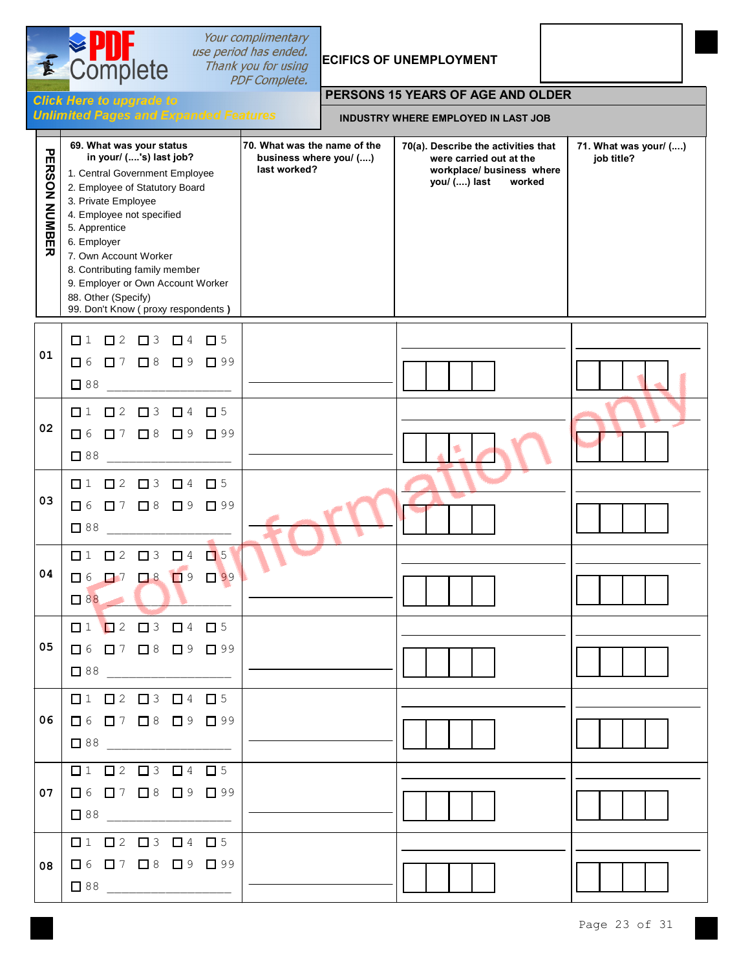| <b>AND</b>           | Complete                                                                                                                                                                                                                                                                                                                                                                | Your complimentary<br>use period has ended.<br>Thank you for using<br><b>PDF Complete.</b> |                                            | <b>ECIFICS OF UNEMPLOYMENT</b>                                                                                        |                                     |  |  |  |  |
|----------------------|-------------------------------------------------------------------------------------------------------------------------------------------------------------------------------------------------------------------------------------------------------------------------------------------------------------------------------------------------------------------------|--------------------------------------------------------------------------------------------|--------------------------------------------|-----------------------------------------------------------------------------------------------------------------------|-------------------------------------|--|--|--|--|
|                      | <b>Click Here to upgrade to</b>                                                                                                                                                                                                                                                                                                                                         |                                                                                            |                                            | PERSONS 15 YEARS OF AGE AND OLDER                                                                                     |                                     |  |  |  |  |
|                      | <b>Unlimited Pages and Expanded Features</b>                                                                                                                                                                                                                                                                                                                            |                                                                                            | <b>INDUSTRY WHERE EMPLOYED IN LAST JOB</b> |                                                                                                                       |                                     |  |  |  |  |
| PERSON<br>NUMBE<br>ᄀ | 69. What was your status<br>in your/ ('s) last job?<br>1. Central Government Employee<br>2. Employee of Statutory Board<br>3. Private Employee<br>4. Employee not specified<br>5. Apprentice<br>6. Employer<br>7. Own Account Worker<br>8. Contributing family member<br>9. Employer or Own Account Worker<br>88. Other (Specify)<br>99. Don't Know (proxy respondents) | 70. What was the name of the<br>business where you/ ()<br>last worked?                     |                                            | 70(a). Describe the activities that<br>were carried out at the<br>workplace/ business where<br>you/ () last<br>worked | 71. What was your/ ()<br>job title? |  |  |  |  |
| 01                   | $\Box$ 1<br>$\Box$ 2<br>$\Box$ 3<br>$\Box$ 5<br>$\Box$ 4<br>$\Box$ 6<br>$\Box$ 7<br>$\Box$ 8<br>$\Box$ 9<br>$\Box$ 99<br>$\square$ 88                                                                                                                                                                                                                                   |                                                                                            |                                            |                                                                                                                       |                                     |  |  |  |  |
| 02                   | $\square$ 2<br>$\Box$ 3<br>$\Box$ 1<br>$\Box$ 4<br>$\Box$ 5<br>$\Box$ 8 $\Box$ 9<br>$\Box$ 6<br>$\Box$ 7<br>$\Box$ 99<br>$\square$ 88                                                                                                                                                                                                                                   |                                                                                            |                                            |                                                                                                                       |                                     |  |  |  |  |
| 03                   | $\Box$ 1<br>$\Box$ 2<br>$\Box$ 3<br>$\Box$ 4<br>$\square$ 5<br>$\Box$ 8 $\Box$ 9<br>$\Box$ 6<br>$\Box$ 7<br>$\Box$ 99<br>$\Box$ 88                                                                                                                                                                                                                                      |                                                                                            |                                            |                                                                                                                       |                                     |  |  |  |  |
| 04                   | $\begin{array}{ccccccccccccccccc}\n\square & 2 & \square & 3 & \square & 4 & \square & 5\n\end{array}$<br>$\Box$ 1<br>$\Box$ 88                                                                                                                                                                                                                                         |                                                                                            |                                            |                                                                                                                       |                                     |  |  |  |  |
| 05                   |                                                                                                                                                                                                                                                                                                                                                                         |                                                                                            |                                            |                                                                                                                       |                                     |  |  |  |  |
| 06                   | $\Box$ 88                                                                                                                                                                                                                                                                                                                                                               |                                                                                            |                                            |                                                                                                                       |                                     |  |  |  |  |
| 07                   | $\Box 1 \quad \Box 2 \quad \Box 3 \quad \Box 4 \quad \Box 5$<br>$\begin{array}{c c c c c} \hline \quad & 88 & \quad \quad & \quad \quad & \quad \quad & \quad \quad \\ \hline \end{array}$                                                                                                                                                                              |                                                                                            |                                            |                                                                                                                       |                                     |  |  |  |  |
| 08                   | $\Box 1 \quad \Box 2 \quad \Box 3 \quad \Box 4 \quad \Box 5$<br>$\begin{array}{cccccccccccccc} \Box & 6 & \Box & 7 & \Box & 8 & \Box & 9 & \Box & 99 \end{array}$<br>$\Box$ 88                                                                                                                                                                                          |                                                                                            |                                            |                                                                                                                       |                                     |  |  |  |  |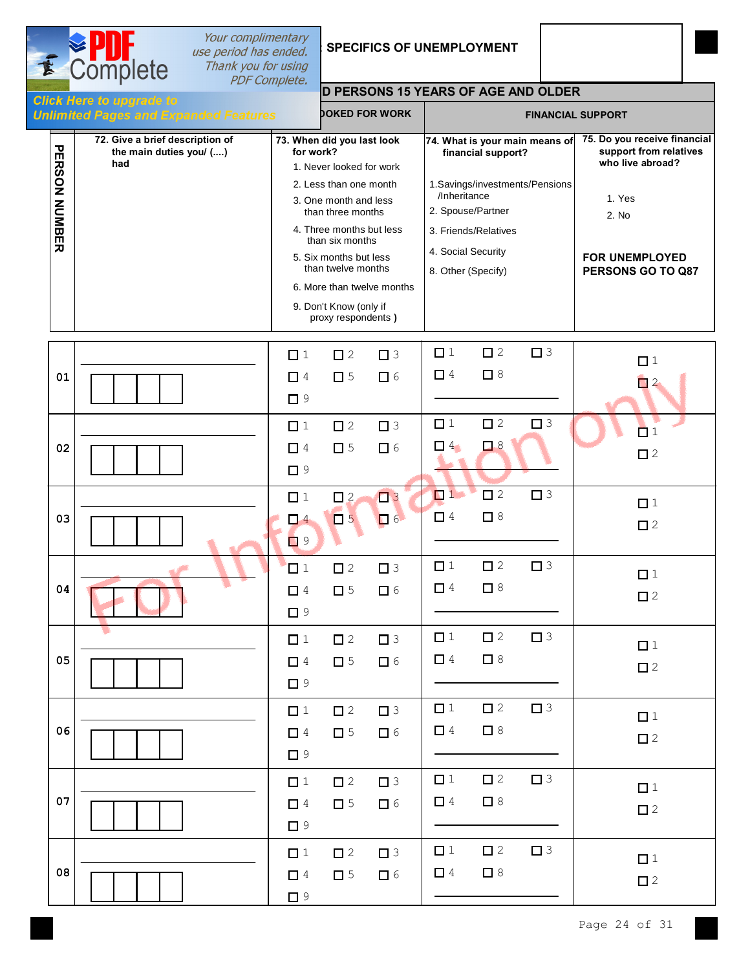| E |                      | Your complimentary<br>use period has ended.<br>Complete<br>Thank you for using |                                         |                                                                                                                                                                                                                                                 | <b>SPECIFICS OF UNEMPLOYMENT</b> |                                                                               |                                                                                                                |           |                                                                                                                                             |
|---|----------------------|--------------------------------------------------------------------------------|-----------------------------------------|-------------------------------------------------------------------------------------------------------------------------------------------------------------------------------------------------------------------------------------------------|----------------------------------|-------------------------------------------------------------------------------|----------------------------------------------------------------------------------------------------------------|-----------|---------------------------------------------------------------------------------------------------------------------------------------------|
|   |                      | <b>PDF Complete.</b><br><b>Click Here to upgrade to</b>                        |                                         |                                                                                                                                                                                                                                                 |                                  |                                                                               | <b>D PERSONS 15 YEARS OF AGE AND OLDER</b>                                                                     |           |                                                                                                                                             |
|   |                      | <b>Unlimited Pages and Expanded Features</b>                                   |                                         |                                                                                                                                                                                                                                                 | <b>JOKED FOR WORK</b>            |                                                                               |                                                                                                                |           | <b>FINANCIAL SUPPORT</b>                                                                                                                    |
|   | <b>PERSON NUMBER</b> | 72. Give a brief description of<br>the main duties you/ ()<br>had              | 73. When did you last look<br>for work? | 1. Never looked for work<br>2. Less than one month<br>3. One month and less<br>than three months<br>4. Three months but less<br>than six months<br>5. Six months but less<br>than twelve months<br>9. Don't Know (only if<br>proxy respondents) | 6. More than twelve months       | /Inheritance<br>2. Spouse/Partner<br>4. Social Security<br>8. Other (Specify) | 74. What is your main means of<br>financial support?<br>1.Savings/investments/Pensions<br>3. Friends/Relatives |           | 75. Do you receive financial<br>support from relatives<br>who live abroad?<br>1. Yes<br>2. No<br><b>FOR UNEMPLOYED</b><br>PERSONS GO TO Q87 |
|   | 01                   |                                                                                | $\Box$ 1<br>$\Box$ 4<br>$\Box$ 9        | $\Box$ 2<br>$\square$ 5                                                                                                                                                                                                                         | $\Box$ 3<br>$\Box$ 6             | $\Box$ 1<br>$\Box$ 4                                                          | $\square$ 2<br>$\Box$ 8                                                                                        | $\Box$    | $\Box$ 1<br>$\Box$ 2                                                                                                                        |
|   | 02                   |                                                                                | $\Box$ 1<br>$\Box$ 4<br>$\Box$ 9        | $\square$ 2<br>$\square$ 5                                                                                                                                                                                                                      | $\square$ 3<br>$\Box$ 6          | $\Box$ 1<br>$\Box$ 4                                                          | $\square$ 2<br>$\Box$ 8                                                                                        | $\square$ | $\Box$ 1<br>$\square$ 2                                                                                                                     |
|   | 03                   |                                                                                | $\Box$ 1<br>$\Box$ 4<br>$\Box$ 9        | $\square$ 2<br>$\Box$                                                                                                                                                                                                                           | $\Box$<br>$\Box$ 6               | $\Box$ 1<br>$\Box$ 4                                                          | $\square$ 2<br>$\square$ 8                                                                                     | $\Box$ 3  | $\Box$ 1<br>$\Box$ 2                                                                                                                        |
|   | 04                   |                                                                                | $\Box$ 1<br>$\Box$ 4<br>$\Box$ 9        | $\square$ 2<br>$\square$ 5                                                                                                                                                                                                                      | $\square$ 3<br>$\Box$ 6          | $\Box$ 1<br>$\Box$ 4                                                          | $\square$ 2<br>$\Box$ 8                                                                                        | $\Box$ 3  | $\Box$ 1<br>$\square$ 2                                                                                                                     |
|   | 05                   |                                                                                | $\Box$ 1<br>$\Box$ 4<br>$\Box$ 9        | $\square$ 2<br>$\Box$ 5                                                                                                                                                                                                                         | $\Box$ 3<br>$\Box$ 6             | $\Box$ 1<br>$\Box$ 4                                                          | $\square$ 2<br>$\Box$ 8                                                                                        | $\Box$ 3  | $\Box$ 1<br>$\square$ 2                                                                                                                     |
|   | 06                   |                                                                                | $\Box$ 1<br>$\Box$ 4<br>$\Box$ 9        | $\square$ 2<br>$\square$ 5                                                                                                                                                                                                                      | $\Box$ 3<br>$\Box$ 6             | $\Box$ 1<br>$\Box$ 4                                                          | $\square$ 2<br>$\Box$ 8                                                                                        | $\Box$ 3  | $\Box$ 1<br>$\square$ 2                                                                                                                     |
|   | 07                   |                                                                                | $\Box$ 1<br>$\Box$ 4<br>$\Box$ 9        | $\square$ 2<br>$\square$ 5                                                                                                                                                                                                                      | $\Box$ 3<br>$\Box$ 6             | $\Box$ 1<br>$\Box$ 4                                                          | $\Box$ 2<br>$\Box$ 8                                                                                           | $\Box$ 3  | $\Box$ 1<br>$\square$ 2                                                                                                                     |
|   | 08                   |                                                                                | $\Box$ 1<br>$\Box$ 4<br>$\Box$ 9        | $\square$ 2<br>$\square$ 5                                                                                                                                                                                                                      | $\Box$ 3<br>$\Box$ 6             | $\Box$ 1<br>$\Box$ 4                                                          | $\square$ 2<br>$\Box$ 8                                                                                        | $\Box$ 3  | $\Box$ 1<br>$\square$ 2                                                                                                                     |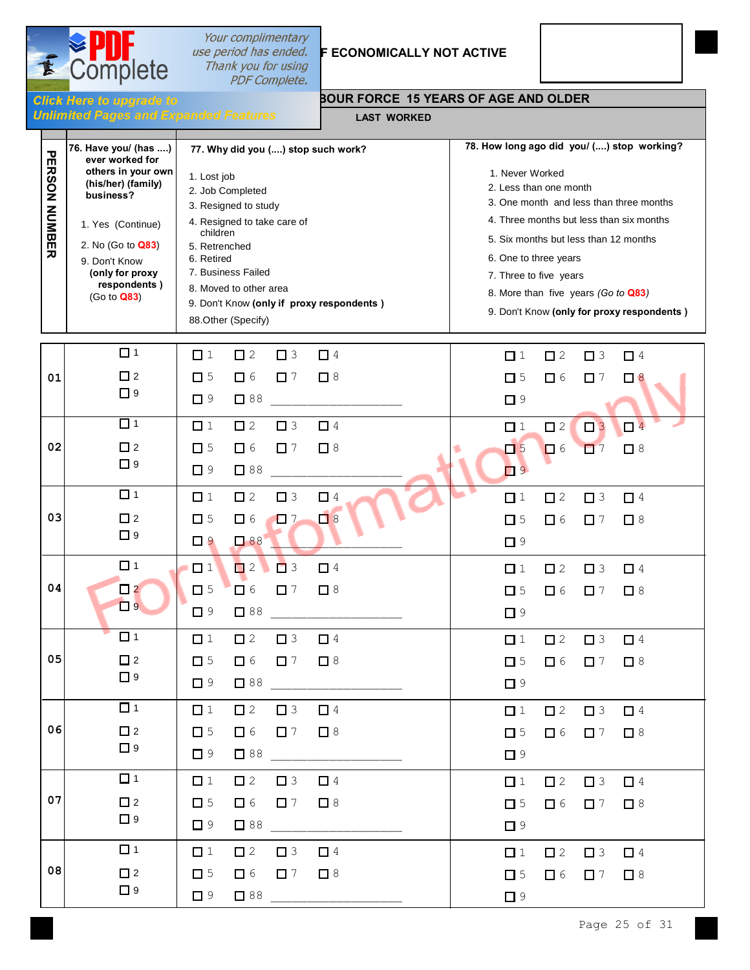

### Your complimentary *use period has ended.* F **ECONOMICALLY NOT ACTIVE**<br>Thank you for using PDF Complete.

**Click Here to upgrade to<br>Unlimited Pages and Expanded Features** 

#### **ABOUR FORCE 15 YEARS OF AGE AND OLDER**

**LAST WORKED**

| $\mathbf{\overline{v}}$ | 76. Have you/ (has )<br>ever worked for                                                                                                                            | 77. Why did you () stop such work?                                                                                                                                                                                                                   | 78. How long ago did you/ () stop working?                                                                                                                                                                                                                                                                        |  |
|-------------------------|--------------------------------------------------------------------------------------------------------------------------------------------------------------------|------------------------------------------------------------------------------------------------------------------------------------------------------------------------------------------------------------------------------------------------------|-------------------------------------------------------------------------------------------------------------------------------------------------------------------------------------------------------------------------------------------------------------------------------------------------------------------|--|
| m<br><b>RSON NUMBER</b> | others in your own<br>(his/her) (family)<br>business?<br>1. Yes (Continue)<br>2. No (Go to Q83)<br>9. Don't Know<br>(only for proxy<br>respondents)<br>(Go to Q83) | 1. Lost job<br>2. Job Completed<br>3. Resigned to study<br>4. Resigned to take care of<br>children<br>5. Retrenched<br>6. Retired<br>7. Business Failed<br>8. Moved to other area<br>9. Don't Know (only if proxy respondents)<br>88.Other (Specify) | 1. Never Worked<br>2. Less than one month<br>3. One month and less than three months<br>4. Three months but less than six months<br>5. Six months but less than 12 months<br>6. One to three years<br>7. Three to five years<br>8. More than five years (Go to Q83)<br>9. Don't Know (only for proxy respondents) |  |
|                         | $\Box$ 1                                                                                                                                                           | $\Box$ 1<br>$\square$ 2<br>$\Box$ 3<br>$\Box$ 4                                                                                                                                                                                                      | $\square$ 2<br>$\Box$ 4<br>$\Box$ 1<br>$\square$ 3                                                                                                                                                                                                                                                                |  |
| 01                      | $\Box$ 2<br>$\Box$ 9                                                                                                                                               | $\square$ 5<br>$\Box$ 6<br>$\square$ 7<br>$\Box$ 8<br>$\Box$ 88<br>$\Box$ 9                                                                                                                                                                          | $\square$ 5<br>$\Box$ 7<br>$\Box$ 6<br>$\Box$ $8$<br>$\Box$ 9                                                                                                                                                                                                                                                     |  |
|                         | $\Box$ 1                                                                                                                                                           | $\Box$ 1<br>$\square$ 2<br>$\Box$ 3<br>$\Box$ 4                                                                                                                                                                                                      | $\square$ 2<br>$\Box$ <sup>4</sup><br>$\Box$ 1                                                                                                                                                                                                                                                                    |  |
| 02                      | $\Box$ 2<br>$\Box$ 9                                                                                                                                               | $\Box$ 6<br>$\Box$ 7<br>$\square$ 5<br>$\Box$ 8<br>$\square$ 88<br>$\Box$ 9                                                                                                                                                                          | $\Box$ 5<br>$\square$ 8<br>$\Box$ 6<br>$\Box$ 7<br>$\Box$ 9                                                                                                                                                                                                                                                       |  |
|                         | $\Box$ 1                                                                                                                                                           | $\square$ 2<br>$\Box$ 1<br>$\Box$ 3<br>$\Box$ 4                                                                                                                                                                                                      | $\square$ 2<br>$\Box$ 4<br>$\Box$ 1<br>$\Box$ 3                                                                                                                                                                                                                                                                   |  |
| 03                      | $\square$ 2<br>$\Box$ 9                                                                                                                                            | $\Box$ 6<br>$\Box$<br>$\Box$ 8<br>$\Box$ 5<br>$\Box$ 88<br>$\Box$ 9                                                                                                                                                                                  | $\square$ 5<br>$\Box$ 6<br>$\Box$ 7<br>$\Box$ 8<br>$\Box$ 9                                                                                                                                                                                                                                                       |  |
|                         | $\Box$ 1                                                                                                                                                           | $\Box$ 2<br>$\Box$ 1<br>$\Box$ 3<br>$\Box$ 4                                                                                                                                                                                                         | $\Box$ 4<br>$\Box$ 1<br>$\square$ 2<br>$\Box$ 3                                                                                                                                                                                                                                                                   |  |
| 04                      | $\Box$ 2<br>$\Box$ 9                                                                                                                                               | $\Box$ 6<br>$\Box$ 5<br>$\Box$ 7<br>$\Box$ 8<br>$\square$ 88<br>$\Box$ 9                                                                                                                                                                             | $\Box$ 5<br>$\Box$ 6<br>$\Box$ 7<br>$\Box$ 8<br>$\Box$ 9                                                                                                                                                                                                                                                          |  |
|                         | $\Box$ 1                                                                                                                                                           | $\Box$ 1<br>$\Box$ 2<br>$\Box$ 3<br>$\Box$ 4                                                                                                                                                                                                         | $\square$ 2<br>$\Box$ 3<br>$\Box$ <sup>4</sup><br>$\Box$ 1                                                                                                                                                                                                                                                        |  |
| 05                      | $\Box$ 2<br>$\Box$ 9                                                                                                                                               | $\square$ 5<br>$\Box$ 6<br>$\Box$ 7<br>$\Box$ 8<br>$\Box$ 9<br>$\Box$ 88                                                                                                                                                                             | $\square$ 5<br>$\Box$ 6<br>$\Box$ 7<br>$\Box$ 8<br>$\Box$ 9                                                                                                                                                                                                                                                       |  |
|                         | $\Box$ 1                                                                                                                                                           | $\Box$ 2<br>$\Box$ 1<br>$\Box$ 3<br>$\Box$ 4                                                                                                                                                                                                         | $\Box$ 1<br>$\Box$ 2<br>$\Box$ 3<br>$\Box$ 4                                                                                                                                                                                                                                                                      |  |
| 06                      | $\square$ 2<br>$\Box$ 9                                                                                                                                            | $\Box$ 5<br>$\Box$ 6<br>$\Box$ 7<br>$\Box$ 8<br>$\Box$ 9<br>188                                                                                                                                                                                      | $\Box$ 5<br>$\Box$ 6<br>$\Box$ 7<br>$\Box$ 8<br>$\Box$ 9                                                                                                                                                                                                                                                          |  |
|                         | $\Box$ 1                                                                                                                                                           | $\Box$ 1<br>$\Box$ 2<br>$\Box$ 3<br>$\Box$ 4                                                                                                                                                                                                         | $\Box$ 1<br>$\square$ 2<br>$\Box$ 3<br>$\Box$ 4                                                                                                                                                                                                                                                                   |  |
| 07                      | $\Box$ 2<br>$\Box$ 9                                                                                                                                               | $\square$ 5<br>$\Box$ 6<br>$\Box$ 7<br>$\Box$ 8<br>$\Box$ 9<br>$\sqrt{88}$                                                                                                                                                                           | $\Box$ 5<br>$\Box$ 6<br>$\Box$ 7<br>$\Box$ 8<br>$\Box$ 9                                                                                                                                                                                                                                                          |  |
|                         | $\Box$ 1                                                                                                                                                           | $\Box$ 1<br>$\Box$ 2<br>$\Box$ 3<br>$\Box$ 4                                                                                                                                                                                                         | $\Box$ 1<br>$\Box$ 2<br>$\Box$ 3<br>$\Box$ 4                                                                                                                                                                                                                                                                      |  |
| 08                      | $\Box$ 2<br>$\Box$ 9                                                                                                                                               | $\square$ 5<br>$\Box$ 6<br>$\Box$ 7<br>$\Box$ 8<br>$\begin{array}{c} \n \boxed{38} \end{array}$<br>$\Box$ 9                                                                                                                                          | $\square$ 5<br>$\Box$ 6<br>$\Box$ 7<br>$\Box$ 8<br>$\Box$ 9                                                                                                                                                                                                                                                       |  |
|                         |                                                                                                                                                                    |                                                                                                                                                                                                                                                      |                                                                                                                                                                                                                                                                                                                   |  |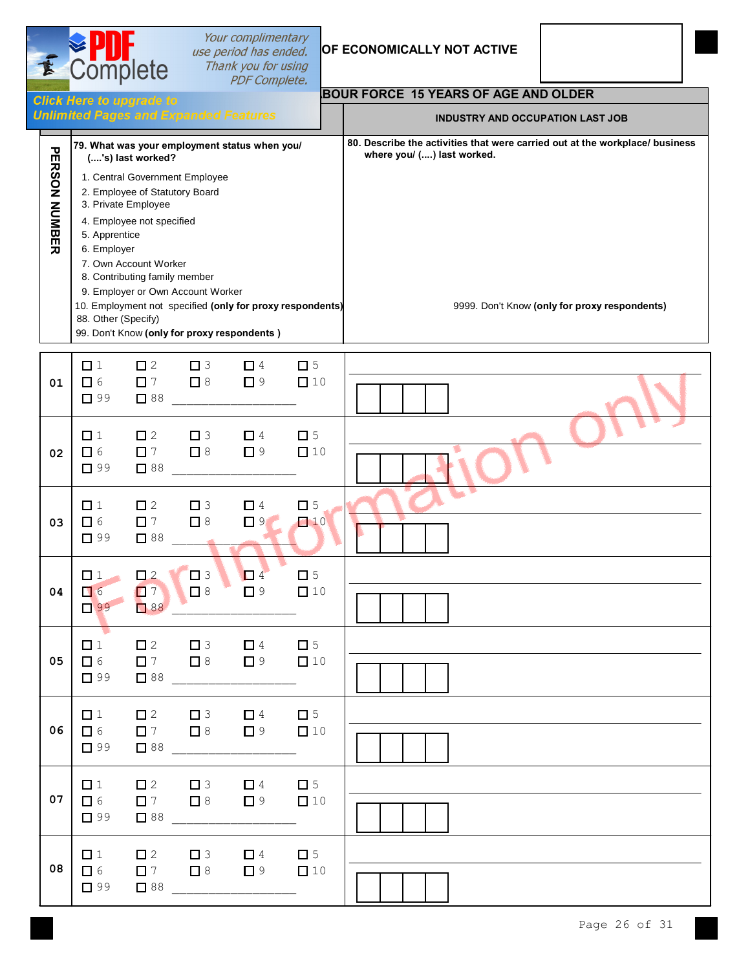| <b>SPDI</b>     | Your complimentary<br>use period has ended. |  |
|-----------------|---------------------------------------------|--|
| <b>Complete</b> | Thank you for using<br><b>PDF Complete.</b> |  |

東

#### **OF ECONOMICALLY NOT ACTIVE**

|                      | <b>BOUR FORCE 15 YEARS OF AGE AND OLDER</b><br><b>Click Here to upgrade to</b> |                                                                                                                                                                   |                                                                     |                                                                                              |                                                           |                                                                                                                                                             |
|----------------------|--------------------------------------------------------------------------------|-------------------------------------------------------------------------------------------------------------------------------------------------------------------|---------------------------------------------------------------------|----------------------------------------------------------------------------------------------|-----------------------------------------------------------|-------------------------------------------------------------------------------------------------------------------------------------------------------------|
|                      | <b>Unlimited Pages and Expanded Features</b>                                   |                                                                                                                                                                   |                                                                     |                                                                                              |                                                           | <b>INDUSTRY AND OCCUPATION LAST JOB</b>                                                                                                                     |
| <b>PERSON NUMBER</b> | 5. Apprentice<br>6. Employer<br>88. Other (Specify)                            | ('s) last worked?<br>2. Employee of Statutory Board<br>3. Private Employee<br>4. Employee not specified<br>7. Own Account Worker<br>8. Contributing family member | 1. Central Government Employee<br>9. Employer or Own Account Worker | 79. What was your employment status when you/<br>99. Don't Know (only for proxy respondents) | 10. Employment not specified (only for proxy respondents) | 80. Describe the activities that were carried out at the workplace/ business<br>where you/ () last worked.<br>9999. Don't Know (only for proxy respondents) |
| 01                   | $\Box$ 1<br>$\Box$ 6<br>$\Box$ 99                                              | $\square$ 2<br>$\Box$ 7<br>$\Box$ 88                                                                                                                              | $\Box$ 3<br>$\Box$ 8                                                | $\Box$ 4<br>$\Box$ 9                                                                         | $\Box$ 5<br>$\Box$ 10                                     |                                                                                                                                                             |
| 02                   | $\Box$ 1<br>$\Box$ 6<br>$\Box$ 99                                              | $\square$ 2<br>$\Box$ 7<br>$\Box$ 88                                                                                                                              | $\Box$ 3<br>$\square$ 8                                             | $\Box$ 4<br>$\Box$ 9                                                                         | $\Box$ 5<br>$\Box$ 10                                     |                                                                                                                                                             |
| 03                   | $\Box$ 1<br>$\Box$ 6<br>$\Box$ 99                                              | $\square$ 2<br>$\Box$ 7<br>$\Box$ 88                                                                                                                              | $\Box$ 3<br>$\Box$ 8                                                | $\Box$ 4<br>$\Box$ 9                                                                         | $\Box$ 5<br>$\Box$ 10                                     |                                                                                                                                                             |
| 04                   | $\Box$ 1<br>$\Box$ 6<br>$\Box$ 99                                              | $\Box$ 2<br>$\Box$ 7<br>188                                                                                                                                       | $\Box$ 3<br>$\Box$ 8                                                | $\Box$ 4<br>$\square$ 9                                                                      | $\Box$ 5<br>$\Box$ 10                                     |                                                                                                                                                             |
| 05                   | $\Box$ 1<br>口 6<br>$\Box$ 99                                                   | $\Box$ 2<br>$\square$ 7 $\square$ 8<br>$\Box$ 88                                                                                                                  | $\Box$ 3                                                            | $\Box$ 4<br>$\Box$ 9                                                                         | $\Box$ 5<br>$\Box$ 10                                     |                                                                                                                                                             |
| 06                   | $\Box$ 1<br>$\Box$ 6<br>$\Box$ 99                                              | $\square$ 2<br>$\Box$ 7<br>$\Box$ 88                                                                                                                              | $\Box$ 3<br>$\Box$ 8                                                | $\Box$ 4<br>$\Box$ 9                                                                         | $\square$ 5<br>$\Box$ 10                                  |                                                                                                                                                             |
| 07                   | $\Box$ 1<br>$\Box$ 6<br>$\Box$ 99                                              | $\square$ 2<br>$\Box$ 7<br>$\Box$ 88                                                                                                                              | $\Box$ 3<br>$\Box$ 8                                                | $\Box$ 4<br>$\Box$ 9                                                                         | $\Box$ 5<br>$\Box$ 10                                     |                                                                                                                                                             |
| 08                   | $\Box$ 1<br>$\Box$ 6<br>$\Box$ 99                                              | $\Box$ 2<br>$\Box$ 7<br>$\Box$ 88                                                                                                                                 | $\Box$ 3<br>$\Box$ 8                                                | $\Box$ 4<br>$\Box$ 9                                                                         | $\square$ 5<br>$\Box$ 10                                  |                                                                                                                                                             |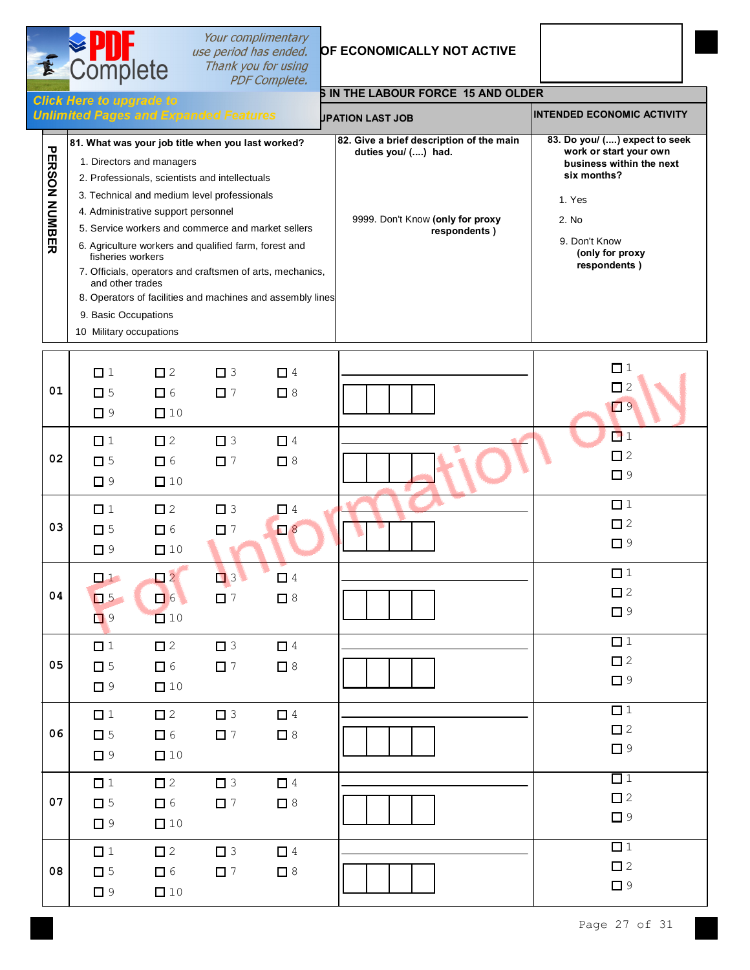# **Sour complimentary<br>
Section has ended. OF ECONOMICALLY NOT ACTIVE**<br>
Thank you for using<br>
PDF Complete.



|                      | слск пеге ю иругаче ю<br><b>Unlimited Pages and Expanded Features</b>                                                                                                                                                                                                                                                                                                                                                                                                                                                                                           | <b>JPATION LAST JOB</b>                                                                                             | <b>INTENDED ECONOMIC ACTIVITY</b>                                                                                                                                         |
|----------------------|-----------------------------------------------------------------------------------------------------------------------------------------------------------------------------------------------------------------------------------------------------------------------------------------------------------------------------------------------------------------------------------------------------------------------------------------------------------------------------------------------------------------------------------------------------------------|---------------------------------------------------------------------------------------------------------------------|---------------------------------------------------------------------------------------------------------------------------------------------------------------------------|
| π<br>ERSON<br>NUMBER | 81. What was your job title when you last worked?<br>1. Directors and managers<br>2. Professionals, scientists and intellectuals<br>3. Technical and medium level professionals<br>4. Administrative support personnel<br>5. Service workers and commerce and market sellers<br>6. Agriculture workers and qualified farm, forest and<br>fisheries workers<br>7. Officials, operators and craftsmen of arts, mechanics,<br>and other trades<br>8. Operators of facilities and machines and assembly lines<br>9. Basic Occupations<br>Military occupations<br>10 | 82. Give a brief description of the main<br>duties you/ () had.<br>9999. Don't Know (only for proxy<br>respondents) | 83. Do you/ () expect to seek<br>work or start your own<br>business within the next<br>six months?<br>1. Yes<br>2. No<br>9. Don't Know<br>(only for proxy<br>respondents) |

 $\overline{\mathbf{2}}$  Complete

| 01 | $\Box$ 1<br>$\square$ 5<br>$\Box$ 9 | $\square$ 2<br>$\Box$ 6<br>$\Box$ 10                                    | $\Box$ 3<br>$\Box$ 7    | $\Box$ 4<br>$\Box$ 8 | $\Box$ 1<br>$\Box$ 2<br>$\Box$         |
|----|-------------------------------------|-------------------------------------------------------------------------|-------------------------|----------------------|----------------------------------------|
| 02 | $\Box$ 1<br>$\Box$ 5<br>$\Box$ 9    | $\square$ 2<br>$\Box$ 6<br>$\square$ 10                                 | $\square$ 3<br>$\Box$ 7 | $\Box$ 4<br>$\Box$ 8 | $\Box$ 1<br>$\square$ 2<br>$\Box$ 9    |
| 03 | $\Box$ 1<br>$\square$ 5<br>$\Box$ 9 | $\square$ 2<br>$\Box$ 6<br>$\Box$ 10                                    | $\Box$ 3<br>$\Box$ 7    | $\Box$ 4<br>$\Box$ 8 | $\Box$ 1<br>$\square$ 2<br>$\Box$ 9    |
| 04 | $\Box$<br>$\Box$ 5<br>$\Box$ 9      | $\begin{array}{c} \n \square 2 \n \end{array}$<br>$\Box$ 6<br>$\Box$ 10 | $\Box$ 3<br>$\Box$ 7    | $\Box$ 4<br>$\Box$ 8 | $\Box$ 1<br>$\square$ 2<br>$\Box$ 9    |
| 05 | $\Box$ 1<br>$\Box$ 5<br>$\Box$ 9    | $\square$ 2<br>$\Box$ 6<br>$\Box$ 10                                    | $\Box$ 3<br>$\Box$ 7    | $\Box$ 4<br>$\Box$ 8 | $\Box$ 1<br>$\square$ 2<br>$\Box$ 9    |
| 06 | $\Box$ 1<br>$\Box$ 5<br>$\Box$ 9    | $\square$ 2<br>$\Box$ 6<br>$\Box$ 10                                    | $\Box$ 3<br>$\Box$ 7    | $\Box$ 4<br>$\Box$ 8 | $\Box$ 1<br>$\square$ 2<br>$\square$ 9 |
| 07 | $\Box$ 1<br>$\Box$ 5<br>$\Box$ 9    | $\square$ 2<br>$\Box$ 6<br>$\Box$ 10                                    | $\Box$ 3<br>$\Box$ 7    | $\Box$ 4<br>$\Box$ 8 | $\Box$ 1<br>$\square$ 2<br>$\Box$ 9    |
| 08 | $\Box$ 1<br>$\square$ 5<br>$\Box$ 9 | $\square$ 2<br>$\Box$ 6<br>$\Box$ 10                                    | $\Box$ 3<br>$\Box$ 7    | $\Box$ 4<br>$\Box$ 8 | $\Box$ 1<br>$\square$ 2<br>$\Box$ 9    |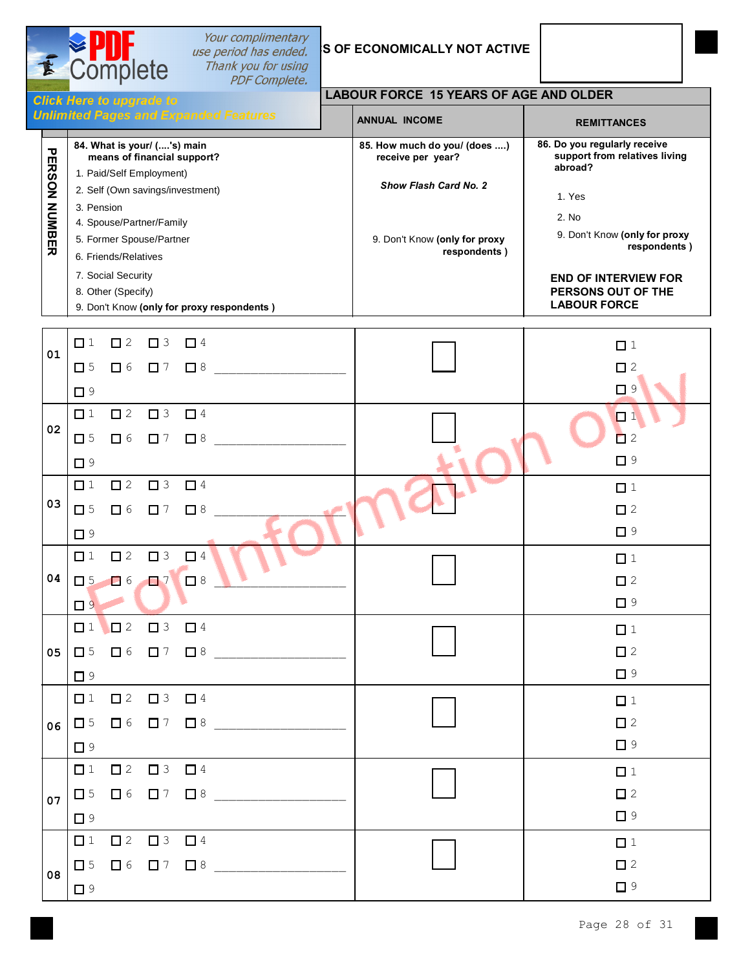Complete

套

## **LABOUR FORCE 15 YEARS OF AGE AND OLDER**

|                                                                 |                                                            | <b>Chentiers</b> to uppress to               |                                                   |                                                               |  |
|-----------------------------------------------------------------|------------------------------------------------------------|----------------------------------------------|---------------------------------------------------|---------------------------------------------------------------|--|
|                                                                 |                                                            | <b>Unlimited Pages and Expanded Features</b> | <b>ANNUAL INCOME</b>                              | <b>REMITTANCES</b>                                            |  |
| 84. What is your/ ('s) main<br>τ<br>means of financial support? |                                                            |                                              | 85. How much do you/ (does )<br>receive per year? | 86. Do you regularly receive<br>support from relatives living |  |
|                                                                 |                                                            | 1. Paid/Self Employment)                     |                                                   | abroad?                                                       |  |
|                                                                 | <b>ERSON</b>                                               | 2. Self (Own savings/investment)             | <b>Show Flash Card No. 2</b>                      | 1. Yes                                                        |  |
|                                                                 |                                                            | 3. Pension                                   |                                                   |                                                               |  |
|                                                                 |                                                            | 4. Spouse/Partner/Family                     |                                                   | 2. No                                                         |  |
|                                                                 | NUMBER<br>5. Former Spouse/Partner<br>6. Friends/Relatives |                                              | 9. Don't Know (only for proxy                     | 9. Don't Know (only for proxy<br>respondents)                 |  |
|                                                                 |                                                            |                                              | respondents)                                      |                                                               |  |
|                                                                 |                                                            | 7. Social Security                           |                                                   | <b>END OF INTERVIEW FOR</b>                                   |  |
|                                                                 |                                                            | 8. Other (Specify)                           |                                                   | PERSONS OUT OF THE                                            |  |
|                                                                 |                                                            | 9. Don't Know (only for proxy respondents)   |                                                   | <b>LABOUR FORCE</b>                                           |  |

| 01 |          | $\begin{array}{cccccccccccccc} \Box & 1 & \Box & 2 & \Box & 3 & \Box & 4 \end{array}$                  |                                                                                                        | $\Box$ 1    |
|----|----------|--------------------------------------------------------------------------------------------------------|--------------------------------------------------------------------------------------------------------|-------------|
|    |          |                                                                                                        | $\Box 5 \quad \Box 6 \quad \Box 7 \quad \Box 8$                                                        | $\square$ 2 |
|    | $\Box$ 9 |                                                                                                        |                                                                                                        | $\Box$ 9    |
|    |          | $\begin{array}{ccccccccccccccccc}\n\square & 1 & \square & 2 & \square & 3 & \square & 4\n\end{array}$ |                                                                                                        | $\Box$ 1    |
| 02 | $\Box$ 5 |                                                                                                        | $\Box$ 6 $\Box$ 7 $\Box$ 8                                                                             | $\Box$ 2    |
|    | $\Box$ 9 |                                                                                                        |                                                                                                        | $\Box$ 9    |
|    |          | $\begin{array}{ccccccccccccccccc}\n\square & 1 & \square & 2 & \square & 3 & \square & 4\n\end{array}$ |                                                                                                        | $\Box$ 1    |
| 03 |          |                                                                                                        | $\square$ 5 $\square$ 6 $\square$ 7 $\square$ 8 $\square$                                              | $\square$ 2 |
|    | $\Box$ 9 |                                                                                                        |                                                                                                        | $\Box$ 9    |
|    |          | $\begin{array}{ccccccccccccccccc}\n\square & 1 & \square & 2 & \square & 3 & \square & 4\n\end{array}$ |                                                                                                        | $\Box$ 1    |
| 04 |          | $\begin{array}{ccc}\n\boxed{3} & \boxed{6} & \boxed{7} & \boxed{8}\n\end{array}$                       |                                                                                                        | $\square$ 2 |
|    | $\Box$ 9 |                                                                                                        |                                                                                                        | $\Box$ 9    |
|    |          |                                                                                                        |                                                                                                        | $\Box$ 1    |
| 05 | $\Box$ 5 |                                                                                                        |                                                                                                        | $\square$ 2 |
|    | $\Box$ 9 |                                                                                                        |                                                                                                        | $\Box$ 9    |
|    |          | $\begin{array}{ccccccccccccccccc}\n\square & 1 & \square & 2 & \square & 3 & \square & 4\n\end{array}$ |                                                                                                        | $\Box$ 1    |
| 06 |          |                                                                                                        |                                                                                                        | $\square$ 2 |
|    | $\Box$ 9 |                                                                                                        |                                                                                                        | $\Box$ 9    |
|    |          | $\begin{array}{cccccccccccccc} \Box & 1 & \Box & 2 & \Box & 3 & \Box & 4 \end{array}$                  |                                                                                                        | $\Box$ 1    |
| 07 |          |                                                                                                        | $\begin{array}{ccccccccccccccccc}\n\square & 5 & \square & 6 & \square & 7 & \square & 8\n\end{array}$ | $\square$ 2 |
|    | $\Box$ 9 |                                                                                                        |                                                                                                        | $\Box$ 9    |
|    |          | $\begin{array}{cccccccccccccc} \Box & 1 & \Box & 2 & \Box & 3 & \Box & 4 \end{array}$                  |                                                                                                        | $\Box$ 1    |
| 08 | $\Box$ 5 |                                                                                                        | $\Box$ 6 $\Box$ 7 $\Box$ 8                                                                             | $\square$ 2 |
|    | $\Box$ 9 |                                                                                                        |                                                                                                        | $\Box$ 9    |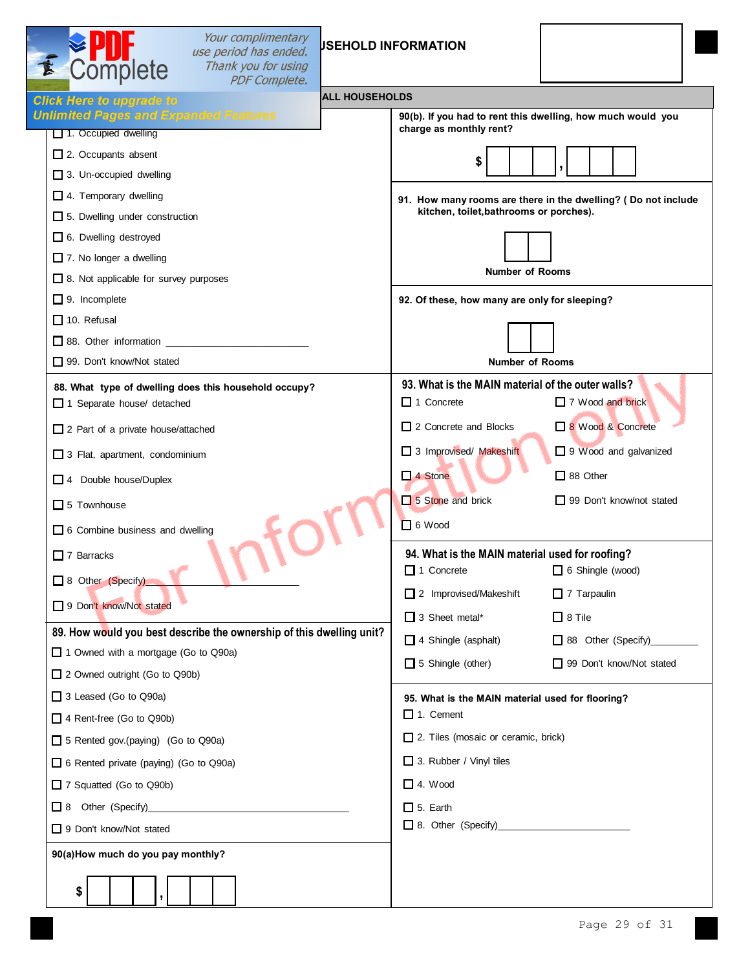| Your complimentary<br>use period has ended.<br>Complete<br>Thank you for using<br><b>PDF Complete.</b> | <b>JSEHOLD INFORMATION</b>                                                                                                                                                                                                     |
|--------------------------------------------------------------------------------------------------------|--------------------------------------------------------------------------------------------------------------------------------------------------------------------------------------------------------------------------------|
| <b>ALL HOUSEHOLDS</b><br><b>Click Here to upgrade to</b>                                               |                                                                                                                                                                                                                                |
| <b>Unlimited Pages and Expanded Features</b><br>1. Occupied dwelling                                   | 90(b). If you had to rent this dwelling, how much would you<br>charge as monthly rent?                                                                                                                                         |
| $\Box$ 2. Occupants absent                                                                             |                                                                                                                                                                                                                                |
| $\Box$ 3. Un-occupied dwelling                                                                         |                                                                                                                                                                                                                                |
| $\Box$ 4. Temporary dwelling                                                                           | 91. How many rooms are there in the dwelling? ( Do not include                                                                                                                                                                 |
| 5. Dwelling under construction                                                                         | kitchen, toilet, bathrooms or porches).                                                                                                                                                                                        |
| 6. Dwelling destroyed                                                                                  |                                                                                                                                                                                                                                |
| $\Box$ 7. No longer a dwelling                                                                         |                                                                                                                                                                                                                                |
| $\Box$ 8. Not applicable for survey purposes                                                           | <b>Number of Rooms</b>                                                                                                                                                                                                         |
| $\Box$ 9. Incomplete                                                                                   | 92. Of these, how many are only for sleeping?                                                                                                                                                                                  |
| $\Box$ 10. Refusal                                                                                     |                                                                                                                                                                                                                                |
| $\Box$ 88. Other information                                                                           |                                                                                                                                                                                                                                |
| 99. Don't know/Not stated                                                                              | <b>Number of Rooms</b>                                                                                                                                                                                                         |
| 88. What type of dwelling does this household occupy?<br>1 Separate house/ detached                    | 93. What is the MAIN material of the outer walls?<br>$\Box$ 1 Concrete<br>7 Wood and brick                                                                                                                                     |
| 2 Part of a private house/attached                                                                     | 2 Concrete and Blocks<br>8 Wood & Concrete                                                                                                                                                                                     |
| 3 Flat, apartment, condominium                                                                         | 3 Improvised/ Makeshift<br>9 Wood and galvanized                                                                                                                                                                               |
| 4 Double house/Duplex                                                                                  | $\Box$ 4 Stone<br>$\Box$ 88 Other                                                                                                                                                                                              |
| $\Box$ 5 Townhouse                                                                                     | $\Box$ 5 Stone and brick<br>$\Box$ 99 Don't know/not stated                                                                                                                                                                    |
| 6 Combine business and dwelling                                                                        | $\Box$ 6 Wood                                                                                                                                                                                                                  |
| $\Box$ 7 Barracks                                                                                      | 94. What is the MAIN material used for roofing?                                                                                                                                                                                |
| □ 8 Other (Specify)                                                                                    | $\Box$ 1 Concrete<br>$\Box$ 6 Shingle (wood)                                                                                                                                                                                   |
| 9 Don't know/Not stated                                                                                | 2 Improvised/Makeshift<br>$\Box$ 7 Tarpaulin                                                                                                                                                                                   |
|                                                                                                        | $\Box$ 3 Sheet metal*<br>$\Box$ 8 Tile                                                                                                                                                                                         |
| 89. How would you best describe the ownership of this dwelling unit?                                   | $\Box$ 4 Shingle (asphalt)<br>38 Other (Specify)______                                                                                                                                                                         |
| 1 Owned with a mortgage (Go to Q90a)                                                                   | $\Box$ 5 Shingle (other)<br>99 Don't know/Not stated                                                                                                                                                                           |
| □ 2 Owned outright (Go to Q90b)                                                                        |                                                                                                                                                                                                                                |
| □ 3 Leased (Go to Q90a)                                                                                | 95. What is the MAIN material used for flooring?<br>$\Box$ 1. Cement                                                                                                                                                           |
| 4 Rent-free (Go to Q90b)                                                                               | 2. Tiles (mosaic or ceramic, brick)                                                                                                                                                                                            |
| 5 Rented gov.(paying) (Go to Q90a)                                                                     |                                                                                                                                                                                                                                |
| 6 Rented private (paying) (Go to Q90a)                                                                 | 3. Rubber / Vinyl tiles                                                                                                                                                                                                        |
| 7 Squatted (Go to Q90b)                                                                                | $\Box$ 4. Wood                                                                                                                                                                                                                 |
|                                                                                                        | $\Box$ 5. Earth                                                                                                                                                                                                                |
| 9 Don't know/Not stated                                                                                | 8. Other (Specify) 2. 2010 12:00 12:00 12:00 12:00 12:00 12:00 12:00 12:00 12:00 12:00 12:00 12:00 12:00 12:00 12:00 12:00 12:00 12:00 12:00 12:00 12:00 12:00 12:00 12:00 12:00 12:00 12:00 12:00 12:00 12:00 12:00 12:00 12: |
| 90(a) How much do you pay monthly?                                                                     |                                                                                                                                                                                                                                |
| \$                                                                                                     |                                                                                                                                                                                                                                |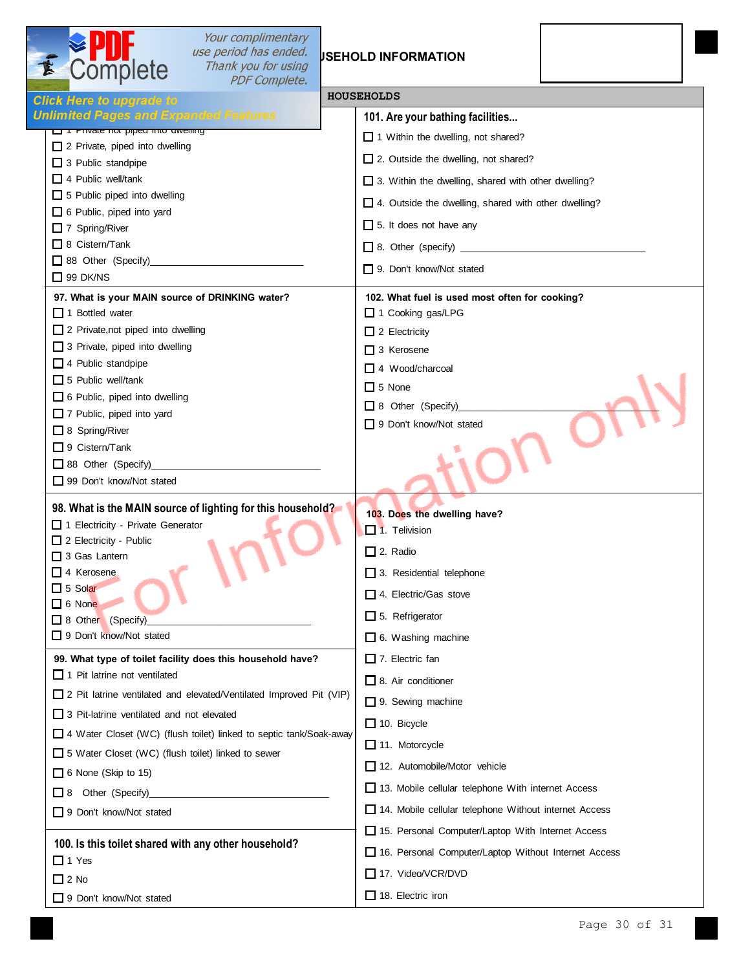| Complete                                                                          | Your complimentary<br>use period has ended.<br>Thank you for using<br><b>PDF Complete.</b> |                 | <b>JSEHOLD INFORMATION</b>                            |  |
|-----------------------------------------------------------------------------------|--------------------------------------------------------------------------------------------|-----------------|-------------------------------------------------------|--|
| <b>Click Here to upgrade to</b>                                                   |                                                                                            |                 | <b>HOUSEHOLDS</b>                                     |  |
| <b>Unlimited Pages and Expanded Features</b>                                      |                                                                                            |                 | 101. Are your bathing facilities                      |  |
| <b>Later Frivate flore piped linto awelling</b><br>2 Private, piped into dwelling |                                                                                            |                 | 1 Within the dwelling, not shared?                    |  |
| $\Box$ 3 Public standpipe                                                         |                                                                                            |                 | 2. Outside the dwelling, not shared?                  |  |
| $\Box$ 4 Public well/tank                                                         |                                                                                            |                 | □ 3. Within the dwelling, shared with other dwelling? |  |
| 5 Public piped into dwelling                                                      |                                                                                            |                 | 4. Outside the dwelling, shared with other dwelling?  |  |
| 6 Public, piped into yard<br>$\Box$ 7 Spring/River                                |                                                                                            |                 | $\Box$ 5. It does not have any                        |  |
| $\Box$ 8 Cistern/Tank                                                             |                                                                                            |                 |                                                       |  |
|                                                                                   |                                                                                            |                 | □ 9. Don't know/Not stated                            |  |
| $\Box$ 99 DK/NS                                                                   |                                                                                            |                 |                                                       |  |
| 97. What is your MAIN source of DRINKING water?                                   |                                                                                            |                 | 102. What fuel is used most often for cooking?        |  |
| $\Box$ 1 Bottled water<br>2 Private, not piped into dwelling                      |                                                                                            |                 | 1 Cooking gas/LPG                                     |  |
| 3 Private, piped into dwelling                                                    |                                                                                            |                 | $\Box$ 2 Electricity<br>$\Box$ 3 Kerosene             |  |
| 4 Public standpipe                                                                |                                                                                            |                 | $\Box$ 4 Wood/charcoal                                |  |
| $\Box$ 5 Public well/tank                                                         |                                                                                            |                 | $\Box$ 5 None                                         |  |
| 6 Public, piped into dwelling                                                     |                                                                                            |                 | □ 8 Other (Specify)                                   |  |
| 7 Public, piped into yard<br>$\Box$ 8 Spring/River                                |                                                                                            |                 | 9 Don't know/Not stated                               |  |
| $\Box$ 9 Cistern/Tank                                                             |                                                                                            |                 |                                                       |  |
| 38 Other (Specify)                                                                |                                                                                            |                 |                                                       |  |
| 99 Don't know/Not stated                                                          |                                                                                            |                 |                                                       |  |
|                                                                                   | 98. What is the MAIN source of lighting for this household?                                |                 | 103. Does the dwelling have?                          |  |
| 1 Electricity - Private Generator                                                 |                                                                                            |                 | $\Box$ 1. Telivision                                  |  |
| 2 Electricity - Public<br>3 Gas Lantern                                           |                                                                                            | $\Box$ 2. Radio |                                                       |  |
| $\Box$ 4 Kerosene                                                                 |                                                                                            |                 | 3. Residential telephone                              |  |
| $\Box$ 5 Solar                                                                    |                                                                                            |                 | $\Box$ 4. Electric/Gas stove                          |  |
| $\Box$ 6 None<br>□ 8 Other (Specify)                                              |                                                                                            |                 | $\Box$ 5. Refrigerator                                |  |
| 9 Don't know/Not stated                                                           |                                                                                            |                 | $\Box$ 6. Washing machine                             |  |
|                                                                                   | 99. What type of toilet facility does this household have?                                 |                 | $\Box$ 7. Electric fan                                |  |
| $\Box$ 1 Pit latrine not ventilated                                               |                                                                                            |                 | $\Box$ 8. Air conditioner                             |  |
|                                                                                   | $\Box$ 2 Pit latrine ventilated and elevated/Ventilated Improved Pit (VIP)                 |                 | 9. Sewing machine                                     |  |
| 3 Pit-latrine ventilated and not elevated                                         |                                                                                            |                 |                                                       |  |
|                                                                                   | 4 Water Closet (WC) (flush toilet) linked to septic tank/Soak-away                         |                 | $\Box$ 10. Bicycle                                    |  |
| 5 Water Closet (WC) (flush toilet) linked to sewer                                |                                                                                            |                 | $\Box$ 11. Motorcycle                                 |  |
| $\Box$ 6 None (Skip to 15)                                                        |                                                                                            |                 | 12. Automobile/Motor vehicle                          |  |
| $\Box$ 8 Other (Specify)                                                          |                                                                                            |                 | 13. Mobile cellular telephone With internet Access    |  |
| $\Box$ 9 Don't know/Not stated                                                    |                                                                                            |                 | 14. Mobile cellular telephone Without internet Access |  |
| 100. Is this toilet shared with any other household?                              |                                                                                            |                 | 15. Personal Computer/Laptop With Internet Access     |  |
| $\Box$ 1 Yes                                                                      |                                                                                            |                 | 16. Personal Computer/Laptop Without Internet Access  |  |
| $\Box$ 2 No                                                                       |                                                                                            |                 | 17. Video/VCR/DVD                                     |  |
| 9 Don't know/Not stated                                                           |                                                                                            |                 | $\Box$ 18. Electric iron                              |  |